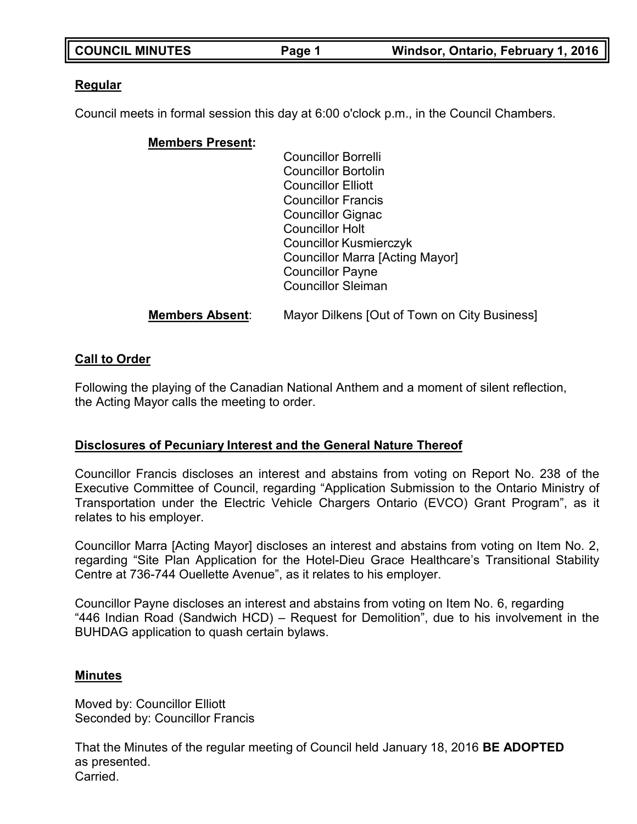| <b>COUNCIL MINUTES</b> | Page 1 | Windsor, Ontario, February 1, 2016 |
|------------------------|--------|------------------------------------|

## **Regular**

Council meets in formal session this day at 6:00 o'clock p.m., in the Council Chambers.

## **Members Present:**

Councillor Borrelli Councillor Bortolin Councillor Elliott Councillor Francis Councillor Gignac Councillor Holt Councillor Kusmierczyk Councillor Marra [Acting Mayor] Councillor Payne Councillor Sleiman

**Members Absent**: Mayor Dilkens [Out of Town on City Business]

## **Call to Order**

Following the playing of the Canadian National Anthem and a moment of silent reflection, the Acting Mayor calls the meeting to order.

## **Disclosures of Pecuniary Interest and the General Nature Thereof**

Councillor Francis discloses an interest and abstains from voting on Report No. 238 of the Executive Committee of Council, regarding "Application Submission to the Ontario Ministry of Transportation under the Electric Vehicle Chargers Ontario (EVCO) Grant Program", as it relates to his employer.

Councillor Marra [Acting Mayor] discloses an interest and abstains from voting on Item No. 2, regarding "Site Plan Application for the Hotel-Dieu Grace Healthcare's Transitional Stability Centre at 736-744 Ouellette Avenue", as it relates to his employer.

Councillor Payne discloses an interest and abstains from voting on Item No. 6, regarding "446 Indian Road (Sandwich HCD) – Request for Demolition", due to his involvement in the BUHDAG application to quash certain bylaws.

### **Minutes**

Moved by: Councillor Elliott Seconded by: Councillor Francis

That the Minutes of the regular meeting of Council held January 18, 2016 **BE ADOPTED** as presented. **Carried**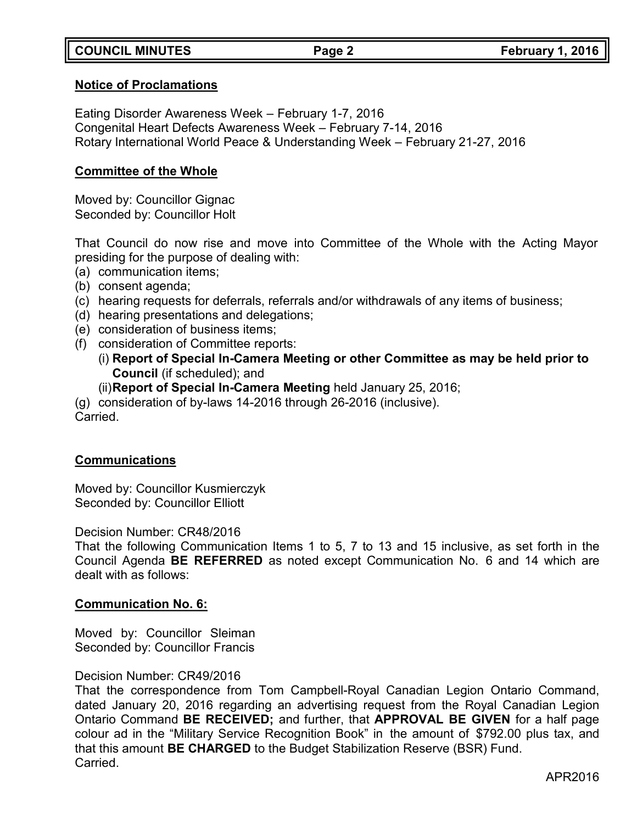## **COUNCIL MINUTES Page 2 February 1, 2016**

### **Notice of Proclamations**

Eating Disorder Awareness Week – February 1-7, 2016 Congenital Heart Defects Awareness Week – February 7-14, 2016 Rotary International World Peace & Understanding Week – February 21-27, 2016

### **Committee of the Whole**

Moved by: Councillor Gignac Seconded by: Councillor Holt

That Council do now rise and move into Committee of the Whole with the Acting Mayor presiding for the purpose of dealing with:

- (a) communication items;
- (b) consent agenda;
- (c) hearing requests for deferrals, referrals and/or withdrawals of any items of business;
- (d) hearing presentations and delegations;
- (e) consideration of business items;
- (f) consideration of Committee reports:
	- (i) **Report of Special In-Camera Meeting or other Committee as may be held prior to Council** (if scheduled); and
	- (ii)**Report of Special In-Camera Meeting** held January 25, 2016;

(g) consideration of by-laws 14-2016 through 26-2016 (inclusive). Carried.

### **Communications**

Moved by: Councillor Kusmierczyk Seconded by: Councillor Elliott

Decision Number: CR48/2016

That the following Communication Items 1 to 5, 7 to 13 and 15 inclusive, as set forth in the Council Agenda **BE REFERRED** as noted except Communication No. 6 and 14 which are dealt with as follows:

### **Communication No. 6:**

Moved by: Councillor Sleiman Seconded by: Councillor Francis

### Decision Number: CR49/2016

That the correspondence from Tom Campbell-Royal Canadian Legion Ontario Command, dated January 20, 2016 regarding an advertising request from the Royal Canadian Legion Ontario Command **BE RECEIVED;** and further, that **APPROVAL BE GIVEN** for a half page colour ad in the "Military Service Recognition Book" in the amount of \$792.00 plus tax, and that this amount **BE CHARGED** to the Budget Stabilization Reserve (BSR) Fund. Carried.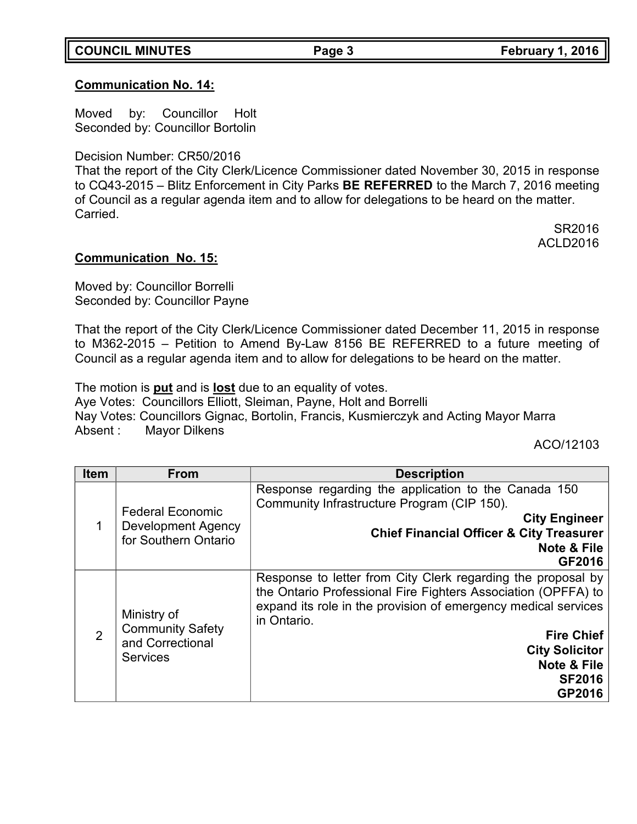## **COUNCIL MINUTES Page 3 February 1, 2016**

## **Communication No. 14:**

Moved by: Councillor Holt Seconded by: Councillor Bortolin

Decision Number: CR50/2016

That the report of the City Clerk/Licence Commissioner dated November 30, 2015 in response to CQ43-2015 – Blitz Enforcement in City Parks **BE REFERRED** to the March 7, 2016 meeting of Council as a regular agenda item and to allow for delegations to be heard on the matter. Carried.

SR2016 ACLD2016

### **Communication No. 15:**

Moved by: Councillor Borrelli Seconded by: Councillor Payne

That the report of the City Clerk/Licence Commissioner dated December 11, 2015 in response to M362-2015 – Petition to Amend By-Law 8156 BE REFERRED to a future meeting of Council as a regular agenda item and to allow for delegations to be heard on the matter.

The motion is **put** and is **lost** due to an equality of votes.

Aye Votes: Councillors Elliott, Sleiman, Payne, Holt and Borrelli Nay Votes: Councillors Gignac, Bortolin, Francis, Kusmierczyk and Acting Mayor Marra Absent : Mayor Dilkens

ACO/12103

| <b>Item</b>    | <b>From</b>                                                                   | <b>Description</b>                                                                                                                                                                                                                                                                                     |  |
|----------------|-------------------------------------------------------------------------------|--------------------------------------------------------------------------------------------------------------------------------------------------------------------------------------------------------------------------------------------------------------------------------------------------------|--|
| 1              | <b>Federal Economic</b><br><b>Development Agency</b><br>for Southern Ontario  | Response regarding the application to the Canada 150<br>Community Infrastructure Program (CIP 150).<br><b>City Engineer</b><br><b>Chief Financial Officer &amp; City Treasurer</b><br>Note & File<br><b>GF2016</b>                                                                                     |  |
| $\overline{2}$ | Ministry of<br><b>Community Safety</b><br>and Correctional<br><b>Services</b> | Response to letter from City Clerk regarding the proposal by<br>the Ontario Professional Fire Fighters Association (OPFFA) to<br>expand its role in the provision of emergency medical services<br>in Ontario.<br><b>Fire Chief</b><br><b>City Solicitor</b><br>Note & File<br><b>SF2016</b><br>GP2016 |  |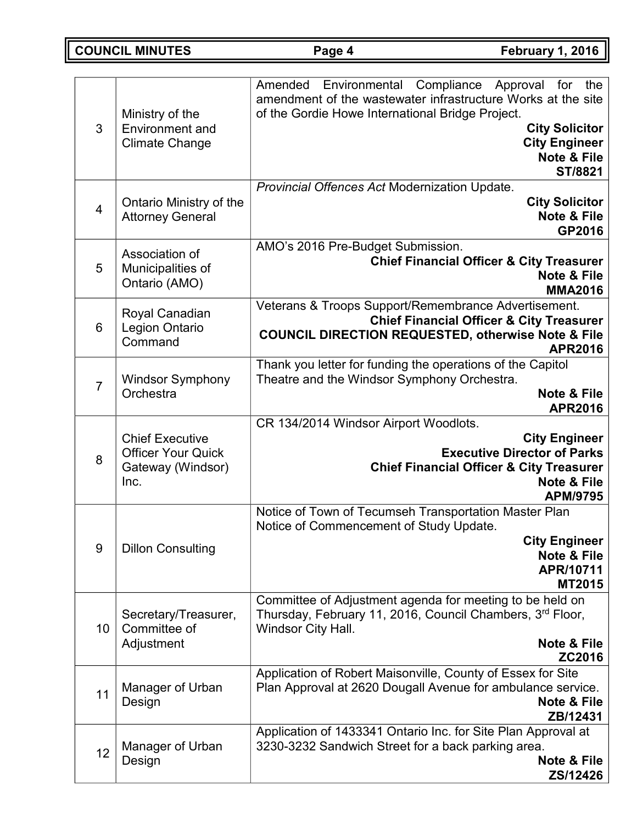**COUNCIL MINUTES Page 4 February 1, 2016**

| 3              | Ministry of the<br><b>Environment</b> and<br><b>Climate Change</b>               | Compliance<br>Amended<br>Environmental<br>Approval<br>the<br>for<br>amendment of the wastewater infrastructure Works at the site<br>of the Gordie Howe International Bridge Project.<br><b>City Solicitor</b><br><b>City Engineer</b><br>Note & File<br>ST/8821 |
|----------------|----------------------------------------------------------------------------------|-----------------------------------------------------------------------------------------------------------------------------------------------------------------------------------------------------------------------------------------------------------------|
| $\overline{4}$ | Ontario Ministry of the<br><b>Attorney General</b>                               | Provincial Offences Act Modernization Update.<br><b>City Solicitor</b><br>Note & File<br>GP2016                                                                                                                                                                 |
| 5              | Association of<br>Municipalities of<br>Ontario (AMO)                             | AMO's 2016 Pre-Budget Submission.<br><b>Chief Financial Officer &amp; City Treasurer</b><br><b>Note &amp; File</b><br><b>MMA2016</b>                                                                                                                            |
| 6              | Royal Canadian<br>Legion Ontario<br>Command                                      | Veterans & Troops Support/Remembrance Advertisement.<br><b>Chief Financial Officer &amp; City Treasurer</b><br><b>COUNCIL DIRECTION REQUESTED, otherwise Note &amp; File</b><br><b>APR2016</b>                                                                  |
| $\overline{7}$ | <b>Windsor Symphony</b><br>Orchestra                                             | Thank you letter for funding the operations of the Capitol<br>Theatre and the Windsor Symphony Orchestra.<br><b>Note &amp; File</b><br><b>APR2016</b>                                                                                                           |
| 8              | <b>Chief Executive</b><br><b>Officer Your Quick</b><br>Gateway (Windsor)<br>Inc. | CR 134/2014 Windsor Airport Woodlots.<br><b>City Engineer</b><br><b>Executive Director of Parks</b><br><b>Chief Financial Officer &amp; City Treasurer</b><br><b>Note &amp; File</b><br><b>APM/9795</b>                                                         |
| 9              | <b>Dillon Consulting</b>                                                         | Notice of Town of Tecumseh Transportation Master Plan<br>Notice of Commencement of Study Update.<br><b>City Engineer</b><br><b>Note &amp; File</b><br>APR/10711<br><b>MT2015</b>                                                                                |
| 10             | Secretary/Treasurer,<br>Committee of<br>Adjustment                               | Committee of Adjustment agenda for meeting to be held on<br>Thursday, February 11, 2016, Council Chambers, 3rd Floor,<br>Windsor City Hall.<br>Note & File<br>ZC2016                                                                                            |
| 11             | Manager of Urban<br>Design                                                       | Application of Robert Maisonville, County of Essex for Site<br>Plan Approval at 2620 Dougall Avenue for ambulance service.<br><b>Note &amp; File</b><br>ZB/12431                                                                                                |
| 12             | Manager of Urban<br>Design                                                       | Application of 1433341 Ontario Inc. for Site Plan Approval at<br>3230-3232 Sandwich Street for a back parking area.<br>Note & File<br>ZS/12426                                                                                                                  |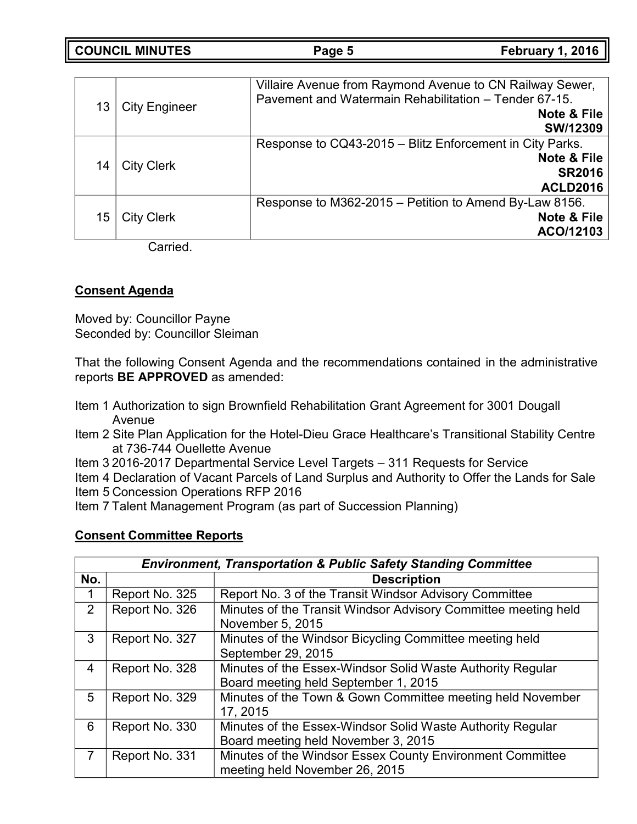**COUNCIL MINUTES Page 5 February 1, 2016**

| 13 | <b>City Engineer</b> | Villaire Avenue from Raymond Avenue to CN Railway Sewer,<br>Pavement and Watermain Rehabilitation - Tender 67-15.<br><b>Note &amp; File</b><br>SW/12309 |
|----|----------------------|---------------------------------------------------------------------------------------------------------------------------------------------------------|
| 14 | <b>City Clerk</b>    | Response to CQ43-2015 - Blitz Enforcement in City Parks.<br><b>Note &amp; File</b><br><b>SR2016</b><br><b>ACLD2016</b>                                  |
| 15 | <b>City Clerk</b>    | Response to M362-2015 – Petition to Amend By-Law 8156.<br><b>Note &amp; File</b><br>ACO/12103                                                           |

Carried.

## **Consent Agenda**

Moved by: Councillor Payne Seconded by: Councillor Sleiman

That the following Consent Agenda and the recommendations contained in the administrative reports **BE APPROVED** as amended:

- Item 1 Authorization to sign Brownfield Rehabilitation Grant Agreement for 3001 Dougall Avenue
- Item 2 Site Plan Application for the Hotel-Dieu Grace Healthcare's Transitional Stability Centre at 736-744 Ouellette Avenue
- Item 3 2016-2017 Departmental Service Level Targets 311 Requests for Service

Item 4 Declaration of Vacant Parcels of Land Surplus and Authority to Offer the Lands for Sale

- Item 5 Concession Operations RFP 2016
- Item 7 Talent Management Program (as part of Succession Planning)

## **Consent Committee Reports**

|     | <b>Environment, Transportation &amp; Public Safety Standing Committee</b> |                                                                                                    |  |
|-----|---------------------------------------------------------------------------|----------------------------------------------------------------------------------------------------|--|
| No. |                                                                           | <b>Description</b>                                                                                 |  |
|     | Report No. 325                                                            | Report No. 3 of the Transit Windsor Advisory Committee                                             |  |
| 2   | Report No. 326                                                            | Minutes of the Transit Windsor Advisory Committee meeting held<br>November 5, 2015                 |  |
| 3   | Report No. 327                                                            | Minutes of the Windsor Bicycling Committee meeting held<br>September 29, 2015                      |  |
| 4   | Report No. 328                                                            | Minutes of the Essex-Windsor Solid Waste Authority Regular<br>Board meeting held September 1, 2015 |  |
| 5   | Report No. 329                                                            | Minutes of the Town & Gown Committee meeting held November<br>17, 2015                             |  |
| 6   | Report No. 330                                                            | Minutes of the Essex-Windsor Solid Waste Authority Regular<br>Board meeting held November 3, 2015  |  |
|     | Report No. 331                                                            | Minutes of the Windsor Essex County Environment Committee<br>meeting held November 26, 2015        |  |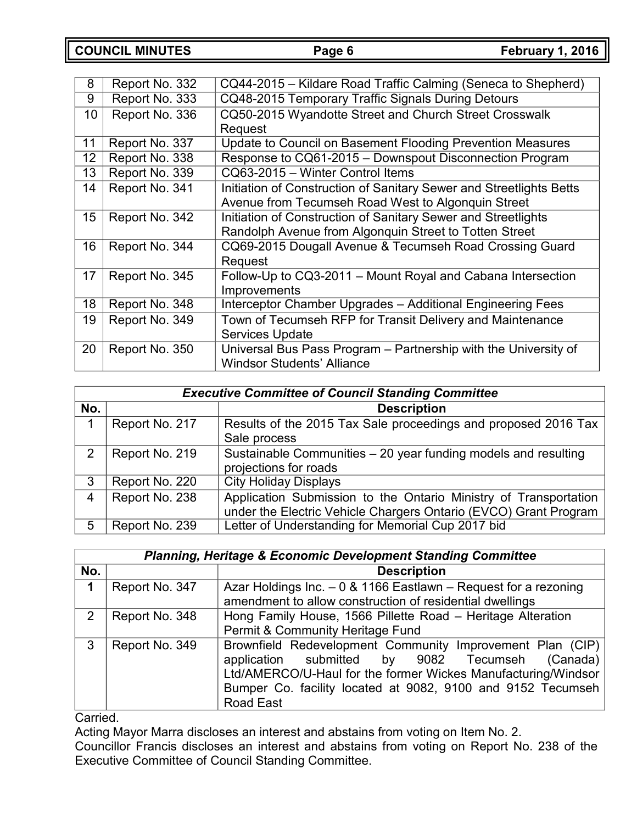**COUNCIL MINUTES Page 6 February 1, 2016**

| 8  | Report No. 332 | CQ44-2015 – Kildare Road Traffic Calming (Seneca to Shepherd)       |
|----|----------------|---------------------------------------------------------------------|
| 9  | Report No. 333 | CQ48-2015 Temporary Traffic Signals During Detours                  |
| 10 | Report No. 336 | CQ50-2015 Wyandotte Street and Church Street Crosswalk              |
|    |                | Request                                                             |
| 11 | Report No. 337 | Update to Council on Basement Flooding Prevention Measures          |
| 12 | Report No. 338 | Response to CQ61-2015 - Downspout Disconnection Program             |
| 13 | Report No. 339 | CQ63-2015 - Winter Control Items                                    |
| 14 | Report No. 341 | Initiation of Construction of Sanitary Sewer and Streetlights Betts |
|    |                | Avenue from Tecumseh Road West to Algonquin Street                  |
| 15 | Report No. 342 | Initiation of Construction of Sanitary Sewer and Streetlights       |
|    |                | Randolph Avenue from Algonquin Street to Totten Street              |
| 16 | Report No. 344 | CQ69-2015 Dougall Avenue & Tecumseh Road Crossing Guard             |
|    |                | Request                                                             |
| 17 | Report No. 345 | Follow-Up to CQ3-2011 – Mount Royal and Cabana Intersection         |
|    |                | Improvements                                                        |
| 18 | Report No. 348 | Interceptor Chamber Upgrades - Additional Engineering Fees          |
| 19 | Report No. 349 | Town of Tecumseh RFP for Transit Delivery and Maintenance           |
|    |                | <b>Services Update</b>                                              |
| 20 | Report No. 350 | Universal Bus Pass Program - Partnership with the University of     |
|    |                | <b>Windsor Students' Alliance</b>                                   |

|     | <b>Executive Committee of Council Standing Committee</b> |                                                                  |  |  |
|-----|----------------------------------------------------------|------------------------------------------------------------------|--|--|
| No. |                                                          | <b>Description</b>                                               |  |  |
| 1   | Report No. 217                                           | Results of the 2015 Tax Sale proceedings and proposed 2016 Tax   |  |  |
|     |                                                          | Sale process                                                     |  |  |
| 2   | Report No. 219                                           | Sustainable Communities - 20 year funding models and resulting   |  |  |
|     |                                                          | projections for roads                                            |  |  |
| 3   | Report No. 220                                           | <b>City Holiday Displays</b>                                     |  |  |
| 4   | Report No. 238                                           | Application Submission to the Ontario Ministry of Transportation |  |  |
|     |                                                          | under the Electric Vehicle Chargers Ontario (EVCO) Grant Program |  |  |
| 5   | Report No. 239                                           | Letter of Understanding for Memorial Cup 2017 bid                |  |  |

|     | <b>Planning, Heritage &amp; Economic Development Standing Committee</b> |                                                                  |  |  |
|-----|-------------------------------------------------------------------------|------------------------------------------------------------------|--|--|
| No. |                                                                         | <b>Description</b>                                               |  |  |
| 1   | Report No. 347                                                          | Azar Holdings Inc. $-0$ & 1166 Eastlawn – Request for a rezoning |  |  |
|     |                                                                         | amendment to allow construction of residential dwellings         |  |  |
| 2   | Report No. 348                                                          | Hong Family House, 1566 Pillette Road - Heritage Alteration      |  |  |
|     |                                                                         | Permit & Community Heritage Fund                                 |  |  |
| 3   | Report No. 349                                                          | Brownfield Redevelopment Community Improvement Plan (CIP)        |  |  |
|     |                                                                         | application submitted by 9082 Tecumseh<br>(Canada)               |  |  |
|     |                                                                         | Ltd/AMERCO/U-Haul for the former Wickes Manufacturing/Windsor    |  |  |
|     |                                                                         | Bumper Co. facility located at 9082, 9100 and 9152 Tecumseh      |  |  |
|     |                                                                         | <b>Road East</b>                                                 |  |  |

Carried.

Acting Mayor Marra discloses an interest and abstains from voting on Item No. 2.

Councillor Francis discloses an interest and abstains from voting on Report No. 238 of the Executive Committee of Council Standing Committee.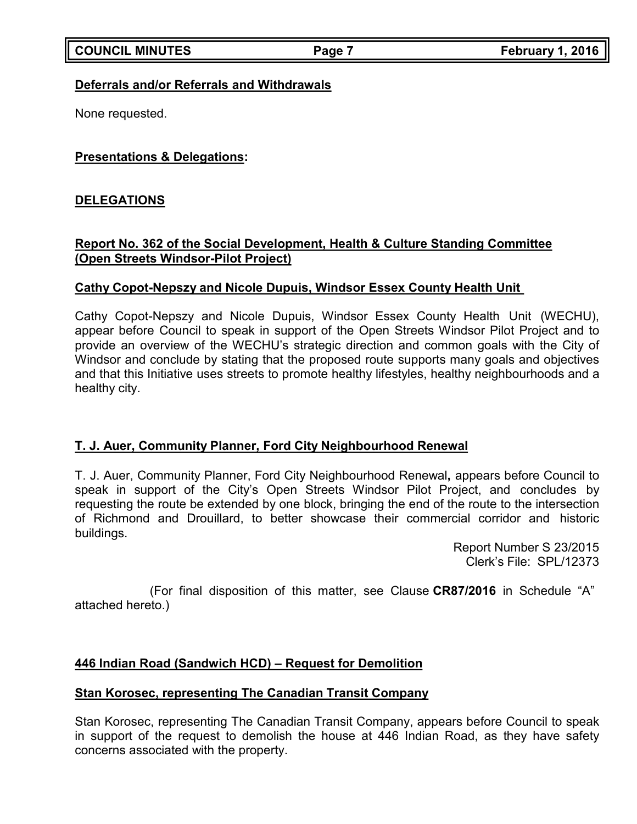### **Deferrals and/or Referrals and Withdrawals**

None requested.

## **Presentations & Delegations:**

## **DELEGATIONS**

## **Report No. 362 of the Social Development, Health & Culture Standing Committee (Open Streets Windsor-Pilot Project)**

## **Cathy Copot-Nepszy and Nicole Dupuis, Windsor Essex County Health Unit**

Cathy Copot-Nepszy and Nicole Dupuis, Windsor Essex County Health Unit (WECHU), appear before Council to speak in support of the Open Streets Windsor Pilot Project and to provide an overview of the WECHU's strategic direction and common goals with the City of Windsor and conclude by stating that the proposed route supports many goals and objectives and that this Initiative uses streets to promote healthy lifestyles, healthy neighbourhoods and a healthy city.

## **T. J. Auer, Community Planner, Ford City Neighbourhood Renewal**

T. J. Auer, Community Planner, Ford City Neighbourhood Renewal**,** appears before Council to speak in support of the City's Open Streets Windsor Pilot Project, and concludes by requesting the route be extended by one block, bringing the end of the route to the intersection of Richmond and Drouillard, to better showcase their commercial corridor and historic buildings.

> Report Number S 23/2015 Clerk's File: SPL/12373

(For final disposition of this matter, see Clause **CR87/2016** in Schedule "A" attached hereto.)

## **446 Indian Road (Sandwich HCD) – Request for Demolition**

### **Stan Korosec, representing The Canadian Transit Company**

Stan Korosec, representing The Canadian Transit Company, appears before Council to speak in support of the request to demolish the house at 446 Indian Road, as they have safety concerns associated with the property.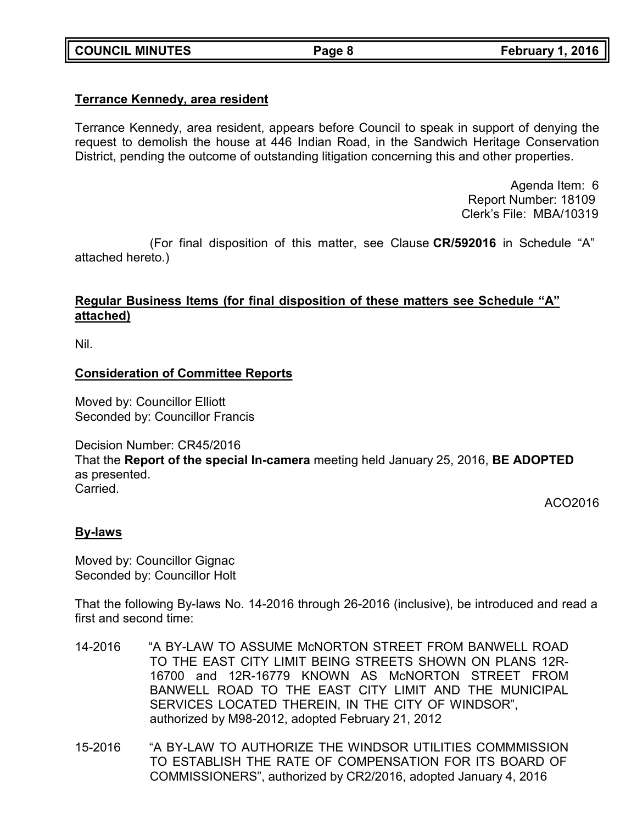## **Terrance Kennedy, area resident**

Terrance Kennedy, area resident, appears before Council to speak in support of denying the request to demolish the house at 446 Indian Road, in the Sandwich Heritage Conservation District, pending the outcome of outstanding litigation concerning this and other properties.

> Agenda Item: 6 Report Number: 18109 Clerk's File: MBA/10319

(For final disposition of this matter, see Clause **CR/592016** in Schedule "A" attached hereto.)

## **Regular Business Items (for final disposition of these matters see Schedule "A" attached)**

Nil.

### **Consideration of Committee Reports**

Moved by: Councillor Elliott Seconded by: Councillor Francis

Decision Number: CR45/2016

That the **Report of the special In-camera** meeting held January 25, 2016, **BE ADOPTED** as presented. Carried.

ACO2016

## **By-laws**

Moved by: Councillor Gignac Seconded by: Councillor Holt

That the following By-laws No. 14-2016 through 26-2016 (inclusive), be introduced and read a first and second time:

- 14-2016 "A BY-LAW TO ASSUME McNORTON STREET FROM BANWELL ROAD TO THE EAST CITY LIMIT BEING STREETS SHOWN ON PLANS 12R-16700 and 12R-16779 KNOWN AS McNORTON STREET FROM BANWELL ROAD TO THE EAST CITY LIMIT AND THE MUNICIPAL SERVICES LOCATED THEREIN, IN THE CITY OF WINDSOR", authorized by M98-2012, adopted February 21, 2012
- 15-2016 "A BY-LAW TO AUTHORIZE THE WINDSOR UTILITIES COMMMISSION TO ESTABLISH THE RATE OF COMPENSATION FOR ITS BOARD OF COMMISSIONERS", authorized by CR2/2016, adopted January 4, 2016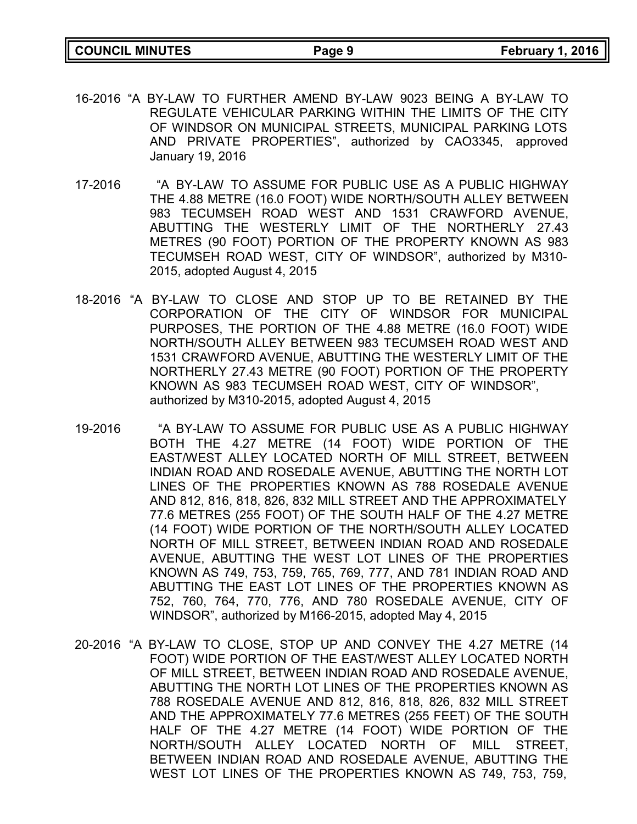- 16-2016 "A BY-LAW TO FURTHER AMEND BY-LAW 9023 BEING A BY-LAW TO REGULATE VEHICULAR PARKING WITHIN THE LIMITS OF THE CITY OF WINDSOR ON MUNICIPAL STREETS, MUNICIPAL PARKING LOTS AND PRIVATE PROPERTIES", authorized by CAO3345, approved January 19, 2016
- 17-2016 "A BY-LAW TO ASSUME FOR PUBLIC USE AS A PUBLIC HIGHWAY THE 4.88 METRE (16.0 FOOT) WIDE NORTH/SOUTH ALLEY BETWEEN 983 TECUMSEH ROAD WEST AND 1531 CRAWFORD AVENUE, ABUTTING THE WESTERLY LIMIT OF THE NORTHERLY 27.43 METRES (90 FOOT) PORTION OF THE PROPERTY KNOWN AS 983 TECUMSEH ROAD WEST, CITY OF WINDSOR", authorized by M310- 2015, adopted August 4, 2015
- 18-2016 "A BY-LAW TO CLOSE AND STOP UP TO BE RETAINED BY THE CORPORATION OF THE CITY OF WINDSOR FOR MUNICIPAL PURPOSES, THE PORTION OF THE 4.88 METRE (16.0 FOOT) WIDE NORTH/SOUTH ALLEY BETWEEN 983 TECUMSEH ROAD WEST AND 1531 CRAWFORD AVENUE, ABUTTING THE WESTERLY LIMIT OF THE NORTHERLY 27.43 METRE (90 FOOT) PORTION OF THE PROPERTY KNOWN AS 983 TECUMSEH ROAD WEST, CITY OF WINDSOR", authorized by M310-2015, adopted August 4, 2015
- 19-2016 "A BY-LAW TO ASSUME FOR PUBLIC USE AS A PUBLIC HIGHWAY BOTH THE 4.27 METRE (14 FOOT) WIDE PORTION OF THE EAST/WEST ALLEY LOCATED NORTH OF MILL STREET, BETWEEN INDIAN ROAD AND ROSEDALE AVENUE, ABUTTING THE NORTH LOT LINES OF THE PROPERTIES KNOWN AS 788 ROSEDALE AVENUE AND 812, 816, 818, 826, 832 MILL STREET AND THE APPROXIMATELY 77.6 METRES (255 FOOT) OF THE SOUTH HALF OF THE 4.27 METRE (14 FOOT) WIDE PORTION OF THE NORTH/SOUTH ALLEY LOCATED NORTH OF MILL STREET, BETWEEN INDIAN ROAD AND ROSEDALE AVENUE, ABUTTING THE WEST LOT LINES OF THE PROPERTIES KNOWN AS 749, 753, 759, 765, 769, 777, AND 781 INDIAN ROAD AND ABUTTING THE EAST LOT LINES OF THE PROPERTIES KNOWN AS 752, 760, 764, 770, 776, AND 780 ROSEDALE AVENUE, CITY OF WINDSOR", authorized by M166-2015, adopted May 4, 2015
- 20-2016 "A BY-LAW TO CLOSE, STOP UP AND CONVEY THE 4.27 METRE (14 FOOT) WIDE PORTION OF THE EAST/WEST ALLEY LOCATED NORTH OF MILL STREET, BETWEEN INDIAN ROAD AND ROSEDALE AVENUE, ABUTTING THE NORTH LOT LINES OF THE PROPERTIES KNOWN AS 788 ROSEDALE AVENUE AND 812, 816, 818, 826, 832 MILL STREET AND THE APPROXIMATELY 77.6 METRES (255 FEET) OF THE SOUTH HALF OF THE 4.27 METRE (14 FOOT) WIDE PORTION OF THE NORTH/SOUTH ALLEY LOCATED NORTH OF MILL STREET, BETWEEN INDIAN ROAD AND ROSEDALE AVENUE, ABUTTING THE WEST LOT LINES OF THE PROPERTIES KNOWN AS 749, 753, 759,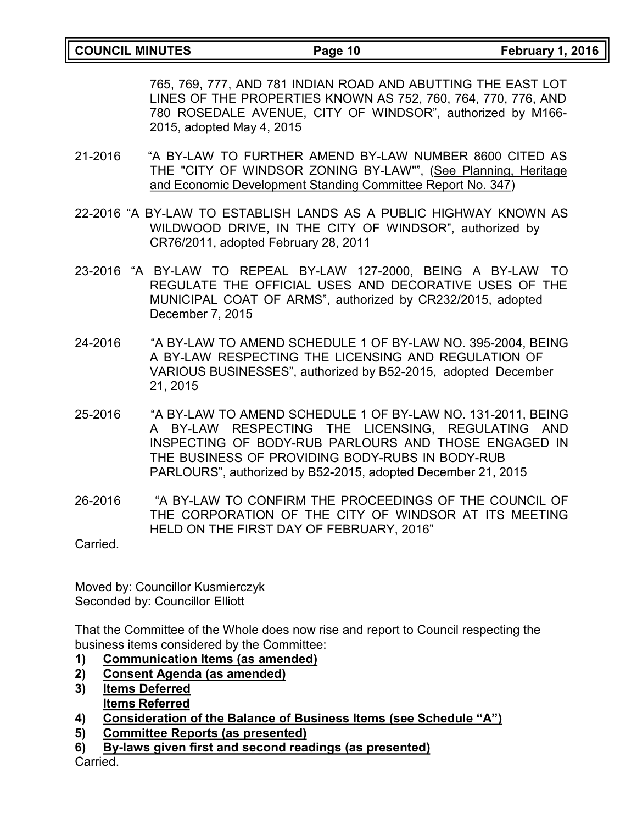765, 769, 777, AND 781 INDIAN ROAD AND ABUTTING THE EAST LOT LINES OF THE PROPERTIES KNOWN AS 752, 760, 764, 770, 776, AND 780 ROSEDALE AVENUE, CITY OF WINDSOR", authorized by M166- 2015, adopted May 4, 2015

- 21-2016 "A BY-LAW TO FURTHER AMEND BY-LAW NUMBER 8600 CITED AS THE "CITY OF WINDSOR ZONING BY-LAW"", (See Planning, Heritage and Economic Development Standing Committee Report No. 347)
- 22-2016 "A BY-LAW TO ESTABLISH LANDS AS A PUBLIC HIGHWAY KNOWN AS WILDWOOD DRIVE, IN THE CITY OF WINDSOR", authorized by CR76/2011, adopted February 28, 2011
- 23-2016 "A BY-LAW TO REPEAL BY-LAW 127-2000, BEING A BY-LAW TO REGULATE THE OFFICIAL USES AND DECORATIVE USES OF THE MUNICIPAL COAT OF ARMS", authorized by CR232/2015, adopted December 7, 2015
- 24-2016 "A BY-LAW TO AMEND SCHEDULE 1 OF BY-LAW NO. 395-2004, BEING A BY-LAW RESPECTING THE LICENSING AND REGULATION OF VARIOUS BUSINESSES", authorized by B52-2015, adopted December 21, 2015
- 25-2016 "A BY-LAW TO AMEND SCHEDULE 1 OF BY-LAW NO. 131-2011, BEING A BY-LAW RESPECTING THE LICENSING, REGULATING AND INSPECTING OF BODY-RUB PARLOURS AND THOSE ENGAGED IN THE BUSINESS OF PROVIDING BODY-RUBS IN BODY-RUB PARLOURS", authorized by B52-2015, adopted December 21, 2015
- 26-2016 "A BY-LAW TO CONFIRM THE PROCEEDINGS OF THE COUNCIL OF THE CORPORATION OF THE CITY OF WINDSOR AT ITS MEETING HELD ON THE FIRST DAY OF FEBRUARY, 2016"

Carried.

Moved by: Councillor Kusmierczyk Seconded by: Councillor Elliott

That the Committee of the Whole does now rise and report to Council respecting the business items considered by the Committee:

- **1) Communication Items (as amended)**
- **2) Consent Agenda (as amended)**
- **3) Items Deferred Items Referred**
- **4) Consideration of the Balance of Business Items (see Schedule "A")**
- **5) Committee Reports (as presented)**
- **6) By-laws given first and second readings (as presented)**

Carried.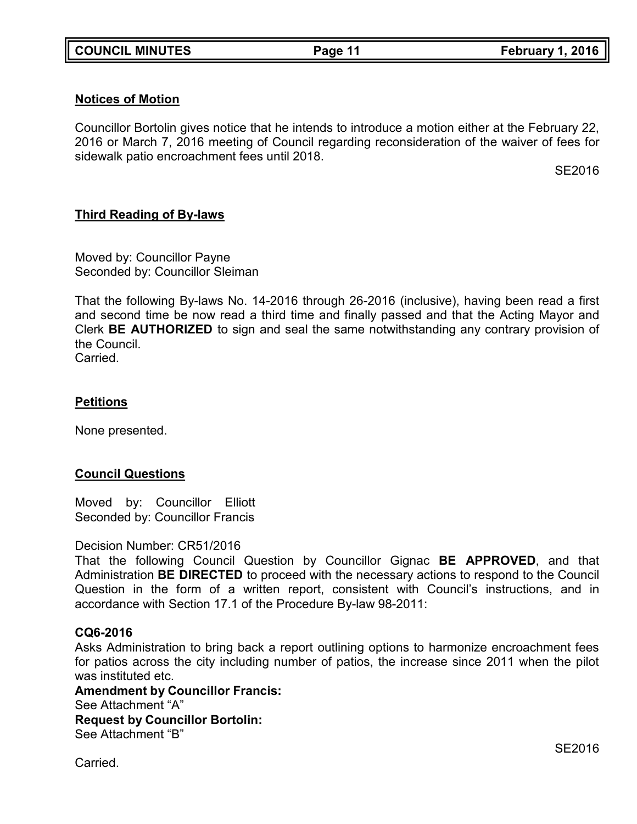## **Notices of Motion**

Councillor Bortolin gives notice that he intends to introduce a motion either at the February 22, 2016 or March 7, 2016 meeting of Council regarding reconsideration of the waiver of fees for sidewalk patio encroachment fees until 2018.

SE2016

## **Third Reading of By-laws**

Moved by: Councillor Payne Seconded by: Councillor Sleiman

That the following By-laws No. 14-2016 through 26-2016 (inclusive), having been read a first and second time be now read a third time and finally passed and that the Acting Mayor and Clerk **BE AUTHORIZED** to sign and seal the same notwithstanding any contrary provision of the Council.

Carried.

### **Petitions**

None presented.

### **Council Questions**

Moved by: Councillor Elliott Seconded by: Councillor Francis

### Decision Number: CR51/2016

That the following Council Question by Councillor Gignac **BE APPROVED**, and that Administration **BE DIRECTED** to proceed with the necessary actions to respond to the Council Question in the form of a written report, consistent with Council's instructions, and in accordance with Section 17.1 of the Procedure By-law 98-2011:

### **CQ6-2016**

Asks Administration to bring back a report outlining options to harmonize encroachment fees for patios across the city including number of patios, the increase since 2011 when the pilot was instituted etc.

**Amendment by Councillor Francis:** See Attachment "A" **Request by Councillor Bortolin:** See Attachment "B"

Carried.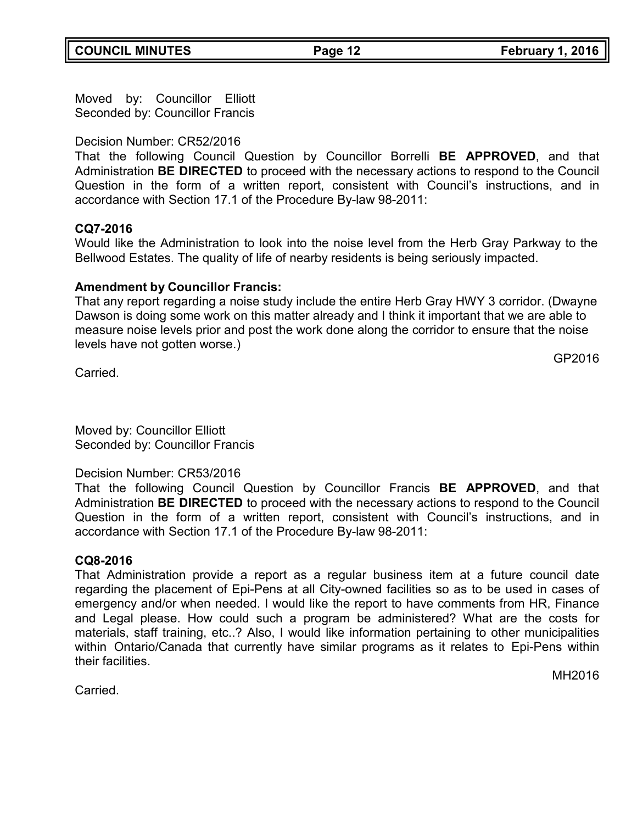Moved by: Councillor Elliott Seconded by: Councillor Francis

## Decision Number: CR52/2016

That the following Council Question by Councillor Borrelli **BE APPROVED**, and that Administration **BE DIRECTED** to proceed with the necessary actions to respond to the Council Question in the form of a written report, consistent with Council's instructions, and in accordance with Section 17.1 of the Procedure By-law 98-2011:

## **CQ7-2016**

Would like the Administration to look into the noise level from the Herb Gray Parkway to the Bellwood Estates. The quality of life of nearby residents is being seriously impacted.

### **Amendment by Councillor Francis:**

That any report regarding a noise study include the entire Herb Gray HWY 3 corridor. (Dwayne Dawson is doing some work on this matter already and I think it important that we are able to measure noise levels prior and post the work done along the corridor to ensure that the noise levels have not gotten worse.)

Carried.

GP2016

Moved by: Councillor Elliott Seconded by: Councillor Francis

### Decision Number: CR53/2016

That the following Council Question by Councillor Francis **BE APPROVED**, and that Administration **BE DIRECTED** to proceed with the necessary actions to respond to the Council Question in the form of a written report, consistent with Council's instructions, and in accordance with Section 17.1 of the Procedure By-law 98-2011:

### **CQ8-2016**

That Administration provide a report as a regular business item at a future council date regarding the placement of Epi-Pens at all City-owned facilities so as to be used in cases of emergency and/or when needed. I would like the report to have comments from HR, Finance and Legal please. How could such a program be administered? What are the costs for materials, staff training, etc..? Also, I would like information pertaining to other municipalities within Ontario/Canada that currently have similar programs as it relates to Epi-Pens within their facilities.

MH2016

**Carried**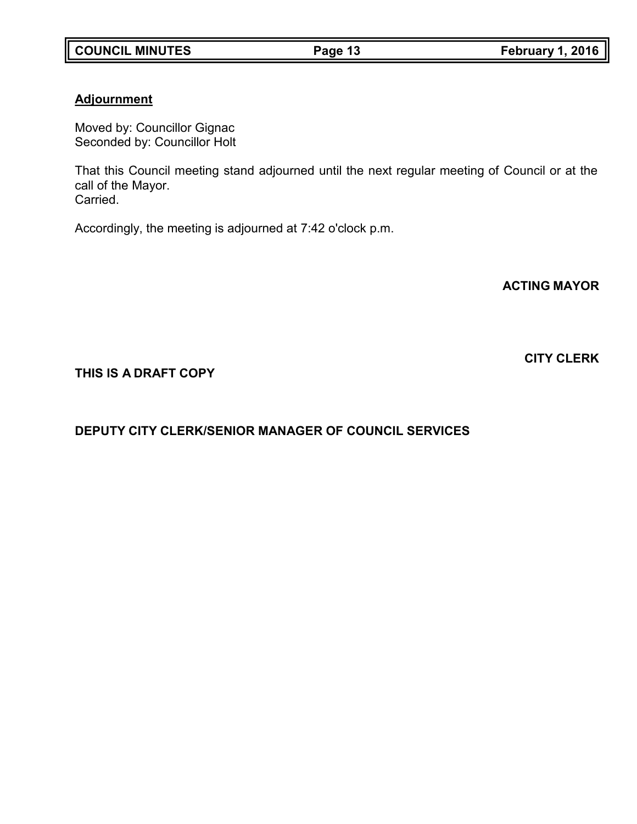## **Adjournment**

Moved by: Councillor Gignac Seconded by: Councillor Holt

That this Council meeting stand adjourned until the next regular meeting of Council or at the call of the Mayor. Carried.

Accordingly, the meeting is adjourned at 7:42 o'clock p.m.

**ACTING MAYOR**

## **THIS IS A DRAFT COPY**

## **DEPUTY CITY CLERK/SENIOR MANAGER OF COUNCIL SERVICES**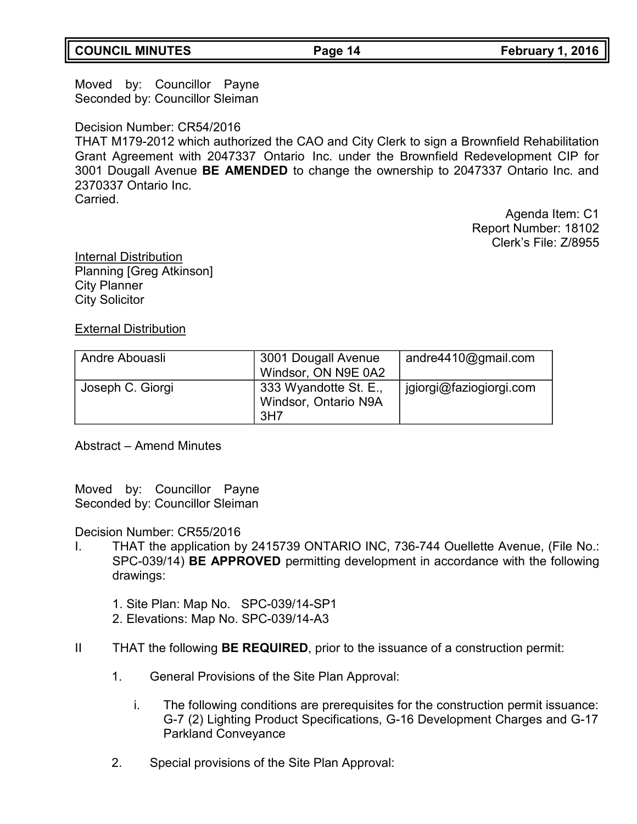## **COUNCIL MINUTES Page 14 February 1, 2016**

Moved by: Councillor Payne Seconded by: Councillor Sleiman

### Decision Number: CR54/2016

THAT M179-2012 which authorized the CAO and City Clerk to sign a Brownfield Rehabilitation Grant Agreement with 2047337 Ontario Inc. under the Brownfield Redevelopment CIP for 3001 Dougall Avenue **BE AMENDED** to change the ownership to 2047337 Ontario Inc. and 2370337 Ontario Inc. Carried.

> Agenda Item: C1 Report Number: 18102 Clerk's File: Z/8955

Internal Distribution Planning [Greg Atkinson] City Planner City Solicitor

## External Distribution

| Andre Abouasli   | 3001 Dougall Avenue<br>Windsor, ON N9E 0A2                       | andre $4410$ @gmail.com |
|------------------|------------------------------------------------------------------|-------------------------|
| Joseph C. Giorgi | 333 Wyandotte St. E.,<br>Windsor, Ontario N9A<br>3H <sub>7</sub> | jgiorgi@faziogiorgi.com |

### Abstract – Amend Minutes

Moved by: Councillor Payne Seconded by: Councillor Sleiman

Decision Number: CR55/2016

- I. THAT the application by 2415739 ONTARIO INC, 736-744 Ouellette Avenue, (File No.: SPC-039/14) **BE APPROVED** permitting development in accordance with the following drawings:
	- 1. Site Plan: Map No. SPC-039/14-SP1
	- 2. Elevations: Map No. SPC-039/14-A3
- II THAT the following **BE REQUIRED**, prior to the issuance of a construction permit:
	- 1. General Provisions of the Site Plan Approval:
		- i. The following conditions are prerequisites for the construction permit issuance: G-7 (2) Lighting Product Specifications, G-16 Development Charges and G-17 Parkland Conveyance
	- 2. Special provisions of the Site Plan Approval: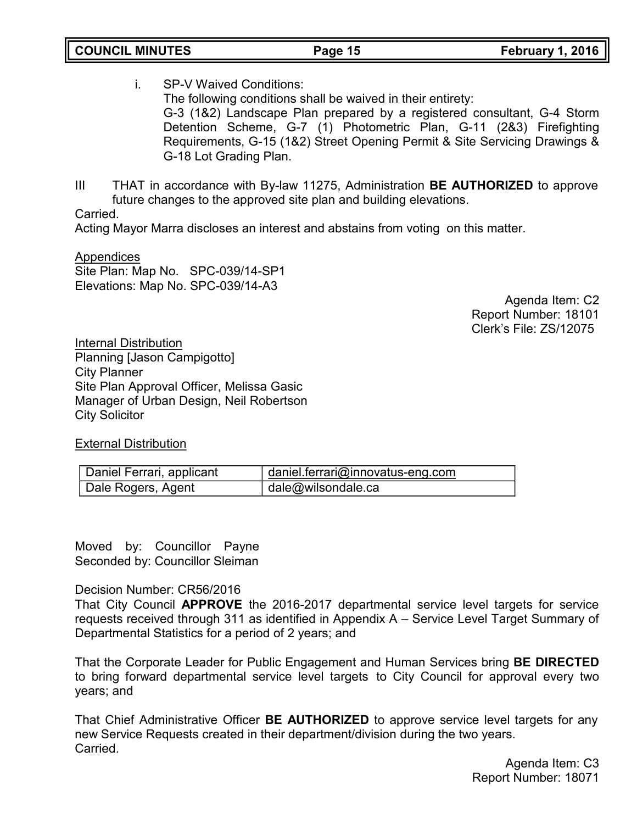- i. SP-V Waived Conditions: The following conditions shall be waived in their entirety: G-3 (1&2) Landscape Plan prepared by a registered consultant, G-4 Storm Detention Scheme, G-7 (1) Photometric Plan, G-11 (2&3) Firefighting Requirements, G-15 (1&2) Street Opening Permit & Site Servicing Drawings & G-18 Lot Grading Plan.
- III THAT in accordance with By-law 11275, Administration **BE AUTHORIZED** to approve future changes to the approved site plan and building elevations.

Carried.

Acting Mayor Marra discloses an interest and abstains from voting on this matter.

**Appendices** Site Plan: Map No. SPC-039/14-SP1 Elevations: Map No. SPC-039/14-A3

Agenda Item: C2 Report Number: 18101 Clerk's File: ZS/12075

Internal Distribution Planning [Jason Campigotto] City Planner Site Plan Approval Officer, Melissa Gasic Manager of Urban Design, Neil Robertson City Solicitor

External Distribution

| Daniel Ferrari, applicant | daniel.ferrari@innovatus-eng.com |
|---------------------------|----------------------------------|
| Dale Rogers, Agent        | dale@wilsondale.ca               |

Moved by: Councillor Payne Seconded by: Councillor Sleiman

Decision Number: CR56/2016

That City Council **APPROVE** the 2016-2017 departmental service level targets for service requests received through 311 as identified in Appendix A – Service Level Target Summary of Departmental Statistics for a period of 2 years; and

That the Corporate Leader for Public Engagement and Human Services bring **BE DIRECTED** to bring forward departmental service level targets to City Council for approval every two years; and

That Chief Administrative Officer **BE AUTHORIZED** to approve service level targets for any new Service Requests created in their department/division during the two years. Carried.

Agenda Item: C3 Report Number: 18071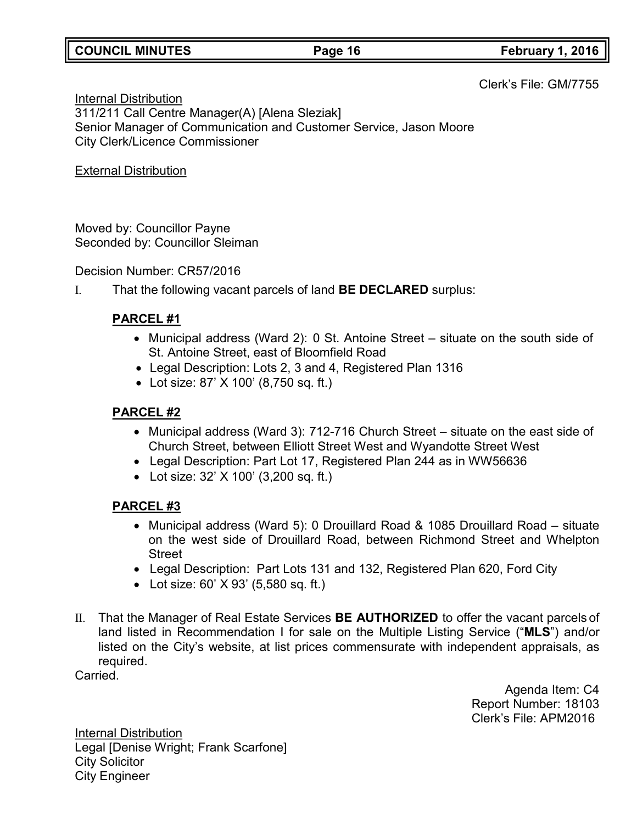## **COUNCIL MINUTES Page 16 February 1, 2016**

Clerk's File: GM/7755

Internal Distribution 311/211 Call Centre Manager(A) [Alena Sleziak] Senior Manager of Communication and Customer Service, Jason Moore City Clerk/Licence Commissioner

External Distribution

Moved by: Councillor Payne Seconded by: Councillor Sleiman

Decision Number: CR57/2016

I. That the following vacant parcels of land **BE DECLARED** surplus:

## **PARCEL #1**

- Municipal address (Ward 2): 0 St. Antoine Street situate on the south side of St. Antoine Street, east of Bloomfield Road
- Legal Description: Lots 2, 3 and 4, Registered Plan 1316
- Lot size: 87' X 100' (8,750 sq. ft.)

## **PARCEL #2**

- Municipal address (Ward 3): 712-716 Church Street situate on the east side of Church Street, between Elliott Street West and Wyandotte Street West
- Legal Description: Part Lot 17, Registered Plan 244 as in WW56636
- Lot size: 32' X 100' (3,200 sq. ft.)

## **PARCEL #3**

- Municipal address (Ward 5): 0 Drouillard Road & 1085 Drouillard Road situate on the west side of Drouillard Road, between Richmond Street and Whelpton Street
- Legal Description: Part Lots 131 and 132, Registered Plan 620, Ford City
- Lot size: 60' X 93' (5,580 sq. ft.)
- II. That the Manager of Real Estate Services **BE AUTHORIZED** to offer the vacant parcels of land listed in Recommendation I for sale on the Multiple Listing Service ("**MLS**") and/or listed on the City's website, at list prices commensurate with independent appraisals, as required.

Carried.

Agenda Item: C4 Report Number: 18103 Clerk's File: APM2016

Internal Distribution Legal [Denise Wright; Frank Scarfone] City Solicitor City Engineer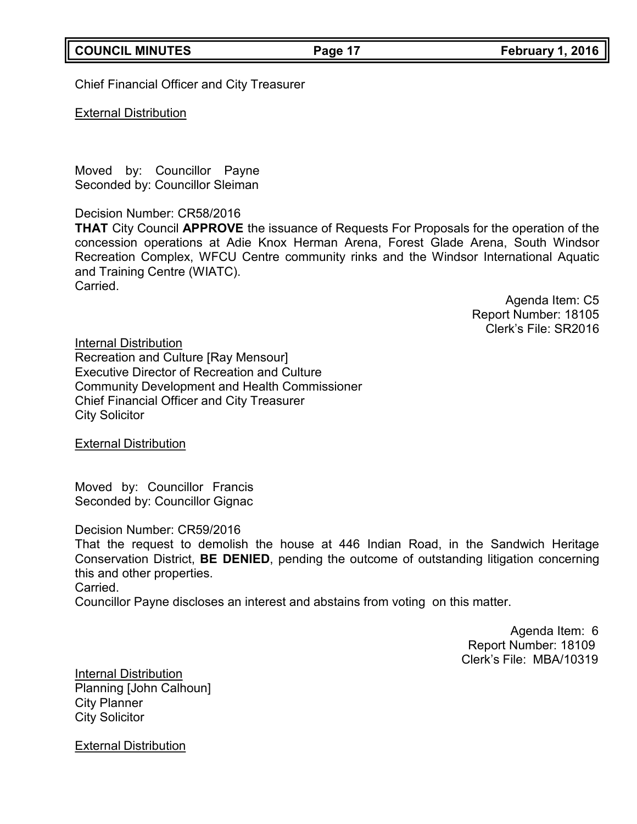Chief Financial Officer and City Treasurer

External Distribution

Moved by: Councillor Payne Seconded by: Councillor Sleiman

Decision Number: CR58/2016

**THAT** City Council **APPROVE** the issuance of Requests For Proposals for the operation of the concession operations at Adie Knox Herman Arena, Forest Glade Arena, South Windsor Recreation Complex, WFCU Centre community rinks and the Windsor International Aquatic and Training Centre (WIATC). Carried.

> Agenda Item: C5 Report Number: 18105 Clerk's File: SR2016

Internal Distribution Recreation and Culture [Ray Mensour] Executive Director of Recreation and Culture Community Development and Health Commissioner Chief Financial Officer and City Treasurer City Solicitor

External Distribution

Moved by: Councillor Francis Seconded by: Councillor Gignac

Decision Number: CR59/2016

That the request to demolish the house at 446 Indian Road, in the Sandwich Heritage Conservation District, **BE DENIED**, pending the outcome of outstanding litigation concerning this and other properties.

Carried.

Councillor Payne discloses an interest and abstains from voting on this matter.

Agenda Item: 6 Report Number: 18109 Clerk's File: MBA/10319

Internal Distribution Planning [John Calhoun] City Planner City Solicitor

External Distribution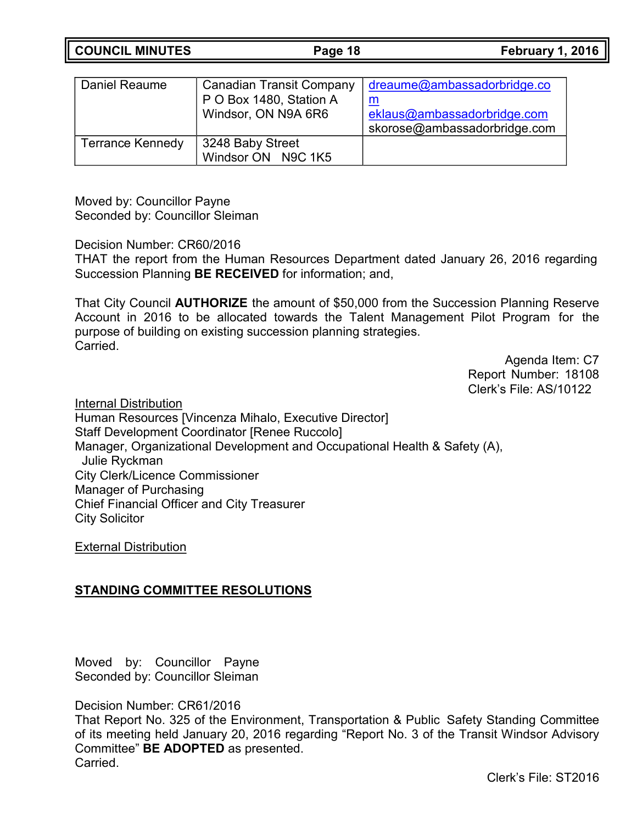**COUNCIL MINUTES Page 18 February 1, 2016**

| Daniel Reaume           | <b>Canadian Transit Company</b><br>P O Box 1480, Station A<br>Windsor, ON N9A 6R6 | dreaume@ambassadorbridge.co<br>eklaus@ambassadorbridge.com<br>skorose@ambassadorbridge.com |
|-------------------------|-----------------------------------------------------------------------------------|--------------------------------------------------------------------------------------------|
| <b>Terrance Kennedy</b> | 3248 Baby Street<br>Windsor ON N9C 1K5                                            |                                                                                            |

Moved by: Councillor Payne Seconded by: Councillor Sleiman

Decision Number: CR60/2016

THAT the report from the Human Resources Department dated January 26, 2016 regarding Succession Planning **BE RECEIVED** for information; and,

That City Council **AUTHORIZE** the amount of \$50,000 from the Succession Planning Reserve Account in 2016 to be allocated towards the Talent Management Pilot Program for the purpose of building on existing succession planning strategies. Carried.

> Agenda Item: C7 Report Number: 18108 Clerk's File: AS/10122

Internal Distribution

Human Resources [Vincenza Mihalo, Executive Director] Staff Development Coordinator [Renee Ruccolo] Manager, Organizational Development and Occupational Health & Safety (A), Julie Ryckman City Clerk/Licence Commissioner Manager of Purchasing Chief Financial Officer and City Treasurer City Solicitor

External Distribution

## **STANDING COMMITTEE RESOLUTIONS**

Moved by: Councillor Payne Seconded by: Councillor Sleiman

Decision Number: CR61/2016

That Report No. 325 of the Environment, Transportation & Public Safety Standing Committee of its meeting held January 20, 2016 regarding "Report No. 3 of the Transit Windsor Advisory Committee" **BE ADOPTED** as presented. **Carried**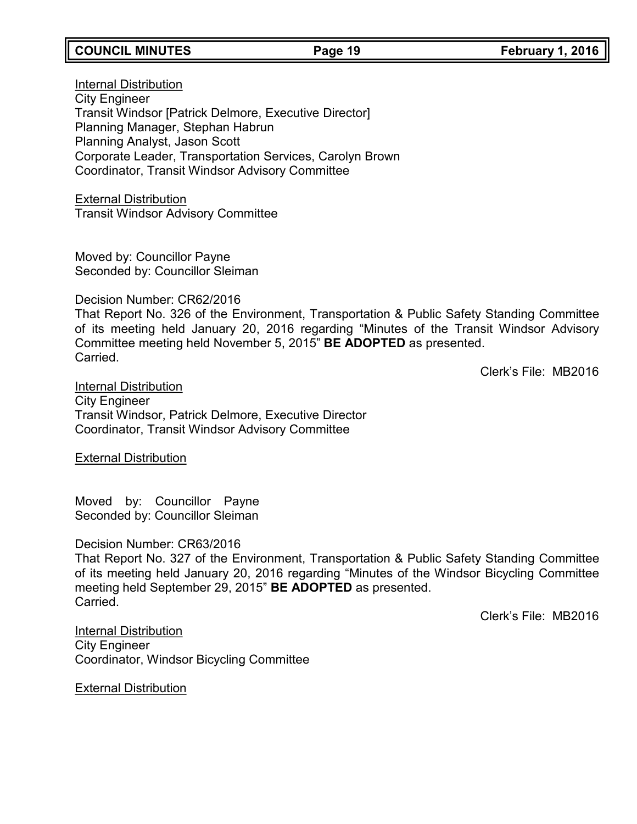## **COUNCIL MINUTES Page 19 February 1, 2016**

## Internal Distribution City Engineer Transit Windsor [Patrick Delmore, Executive Director] Planning Manager, Stephan Habrun Planning Analyst, Jason Scott Corporate Leader, Transportation Services, Carolyn Brown Coordinator, Transit Windsor Advisory Committee

External Distribution Transit Windsor Advisory Committee

Moved by: Councillor Payne Seconded by: Councillor Sleiman

Decision Number: CR62/2016

That Report No. 326 of the Environment, Transportation & Public Safety Standing Committee of its meeting held January 20, 2016 regarding "Minutes of the Transit Windsor Advisory Committee meeting held November 5, 2015" **BE ADOPTED** as presented. Carried.

Clerk's File: MB2016

Internal Distribution City Engineer Transit Windsor, Patrick Delmore, Executive Director Coordinator, Transit Windsor Advisory Committee

External Distribution

Moved by: Councillor Payne Seconded by: Councillor Sleiman

Decision Number: CR63/2016

That Report No. 327 of the Environment, Transportation & Public Safety Standing Committee of its meeting held January 20, 2016 regarding "Minutes of the Windsor Bicycling Committee meeting held September 29, 2015" **BE ADOPTED** as presented. Carried.

Clerk's File: MB2016

Internal Distribution City Engineer Coordinator, Windsor Bicycling Committee

External Distribution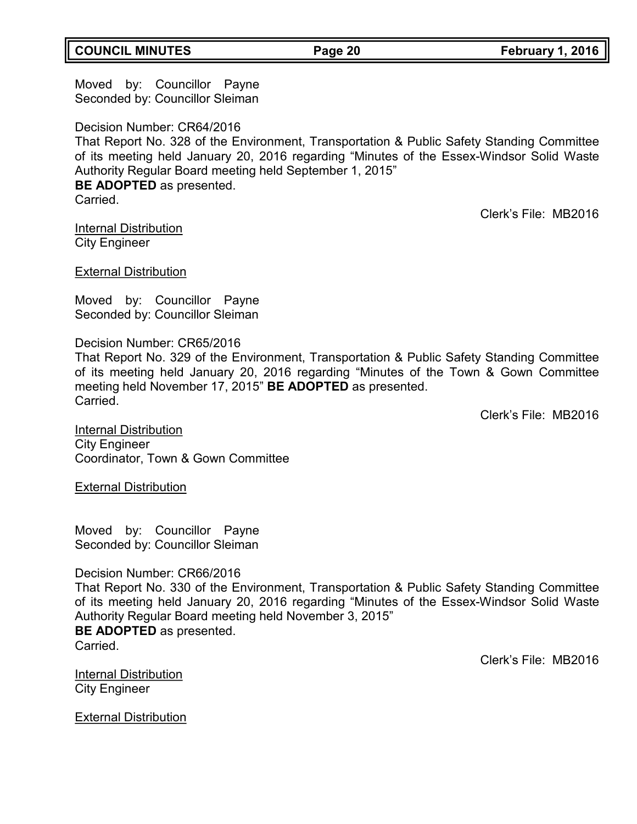## **COUNCIL MINUTES Page 20 February 1, 2016**

Moved by: Councillor Payne Seconded by: Councillor Sleiman

Decision Number: CR64/2016 That Report No. 328 of the Environment, Transportation & Public Safety Standing Committee of its meeting held January 20, 2016 regarding "Minutes of the Essex-Windsor Solid Waste Authority Regular Board meeting held September 1, 2015" **BE ADOPTED** as presented. Carried.

Clerk's File: MB2016

Internal Distribution City Engineer

External Distribution

Moved by: Councillor Payne Seconded by: Councillor Sleiman

Decision Number: CR65/2016 That Report No. 329 of the Environment, Transportation & Public Safety Standing Committee of its meeting held January 20, 2016 regarding "Minutes of the Town & Gown Committee meeting held November 17, 2015" **BE ADOPTED** as presented. Carried.

Clerk's File: MB2016

Internal Distribution City Engineer Coordinator, Town & Gown Committee

External Distribution

Moved by: Councillor Payne Seconded by: Councillor Sleiman

### Decision Number: CR66/2016

That Report No. 330 of the Environment, Transportation & Public Safety Standing Committee of its meeting held January 20, 2016 regarding "Minutes of the Essex-Windsor Solid Waste Authority Regular Board meeting held November 3, 2015" **BE ADOPTED** as presented. Carried.

Clerk's File: MB2016

Internal Distribution City Engineer

External Distribution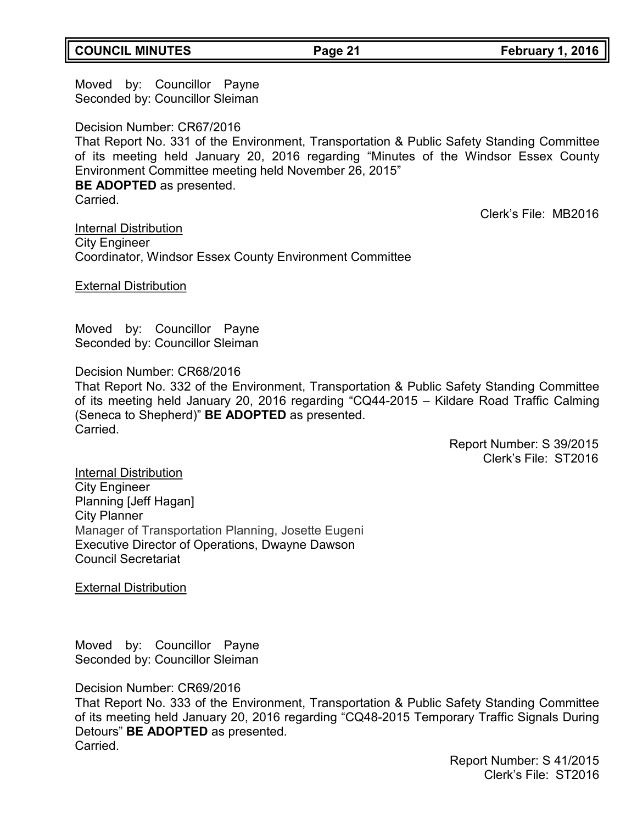## **COUNCIL MINUTES Page 21 February 1, 2016**

Moved by: Councillor Payne Seconded by: Councillor Sleiman

Decision Number: CR67/2016 That Report No. 331 of the Environment, Transportation & Public Safety Standing Committee of its meeting held January 20, 2016 regarding "Minutes of the Windsor Essex County Environment Committee meeting held November 26, 2015" **BE ADOPTED** as presented. Carried.

Clerk's File: MB2016

Internal Distribution City Engineer Coordinator, Windsor Essex County Environment Committee

### External Distribution

Moved by: Councillor Payne Seconded by: Councillor Sleiman

Decision Number: CR68/2016

That Report No. 332 of the Environment, Transportation & Public Safety Standing Committee of its meeting held January 20, 2016 regarding "CQ44-2015 – Kildare Road Traffic Calming (Seneca to Shepherd)" **BE ADOPTED** as presented. Carried.

> Report Number: S 39/2015 Clerk's File: ST2016

Internal Distribution City Engineer Planning [Jeff Hagan] City Planner Manager of Transportation Planning, Josette Eugeni Executive Director of Operations, Dwayne Dawson Council Secretariat

**External Distribution** 

Moved by: Councillor Payne Seconded by: Councillor Sleiman

Decision Number: CR69/2016

That Report No. 333 of the Environment, Transportation & Public Safety Standing Committee of its meeting held January 20, 2016 regarding "CQ48-2015 Temporary Traffic Signals During Detours" **BE ADOPTED** as presented. Carried.

> Report Number: S 41/2015 Clerk's File: ST2016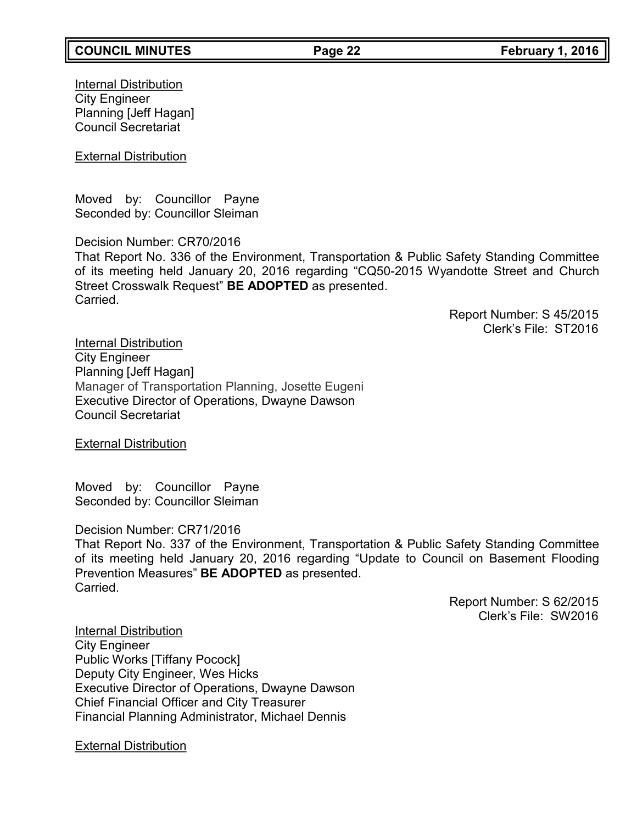**Internal Distribution** City Engineer Planning [Jeff Hagan] Council Secretariat

**External Distribution** 

Moved by: Councillor Payne Seconded by: Councillor Sleiman

Decision Number: CR70/2016 That Report No. 336 of the Environment, Transportation & Public Safety Standing Committee of its meeting held January 20, 2016 regarding "CQ50-2015 Wyandotte Street and Church Street Crosswalk Request" **BE ADOPTED** as presented. **Carried** 

> Report Number: S 45/2015 Clerk's File: ST2016

Internal Distribution City Engineer Planning [Jeff Hagan] Manager of Transportation Planning, Josette Eugeni Executive Director of Operations, Dwayne Dawson Council Secretariat

**External Distribution** 

Moved by: Councillor Payne Seconded by: Councillor Sleiman

Decision Number: CR71/2016

That Report No. 337 of the Environment, Transportation & Public Safety Standing Committee of its meeting held January 20, 2016 regarding "Update to Council on Basement Flooding Prevention Measures" **BE ADOPTED** as presented. Carried.

> Report Number: S 62/2015 Clerk's File: SW2016

Internal Distribution City Engineer Public Works [Tiffany Pocock] Deputy City Engineer, Wes Hicks Executive Director of Operations, Dwayne Dawson Chief Financial Officer and City Treasurer Financial Planning Administrator, Michael Dennis

External Distribution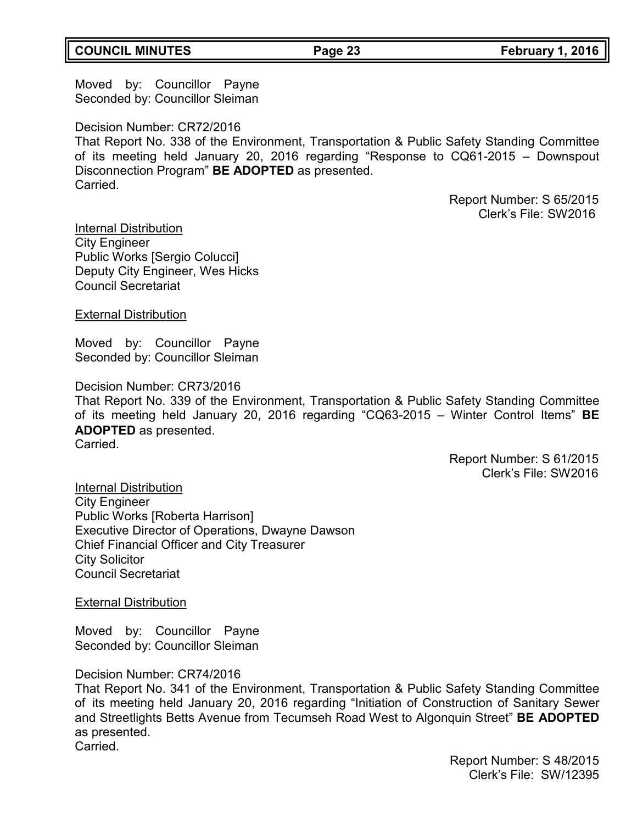## **COUNCIL MINUTES Page 23 February 1, 2016**

Moved by: Councillor Payne Seconded by: Councillor Sleiman

Decision Number: CR72/2016 That Report No. 338 of the Environment, Transportation & Public Safety Standing Committee of its meeting held January 20, 2016 regarding "Response to CQ61-2015 – Downspout Disconnection Program" **BE ADOPTED** as presented. Carried.

> Report Number: S 65/2015 Clerk's File: SW2016

Internal Distribution City Engineer Public Works [Sergio Colucci] Deputy City Engineer, Wes Hicks Council Secretariat

External Distribution

Moved by: Councillor Payne Seconded by: Councillor Sleiman

Decision Number: CR73/2016

That Report No. 339 of the Environment, Transportation & Public Safety Standing Committee of its meeting held January 20, 2016 regarding "CQ63-2015 – Winter Control Items" **BE ADOPTED** as presented.

Carried.

Report Number: S 61/2015 Clerk's File: SW2016

Internal Distribution City Engineer Public Works [Roberta Harrison] Executive Director of Operations, Dwayne Dawson Chief Financial Officer and City Treasurer City Solicitor Council Secretariat

External Distribution

Moved by: Councillor Payne Seconded by: Councillor Sleiman

Decision Number: CR74/2016

That Report No. 341 of the Environment, Transportation & Public Safety Standing Committee of its meeting held January 20, 2016 regarding "Initiation of Construction of Sanitary Sewer and Streetlights Betts Avenue from Tecumseh Road West to Algonquin Street" **BE ADOPTED** as presented. Carried.

> Report Number: S 48/2015 Clerk's File: SW/12395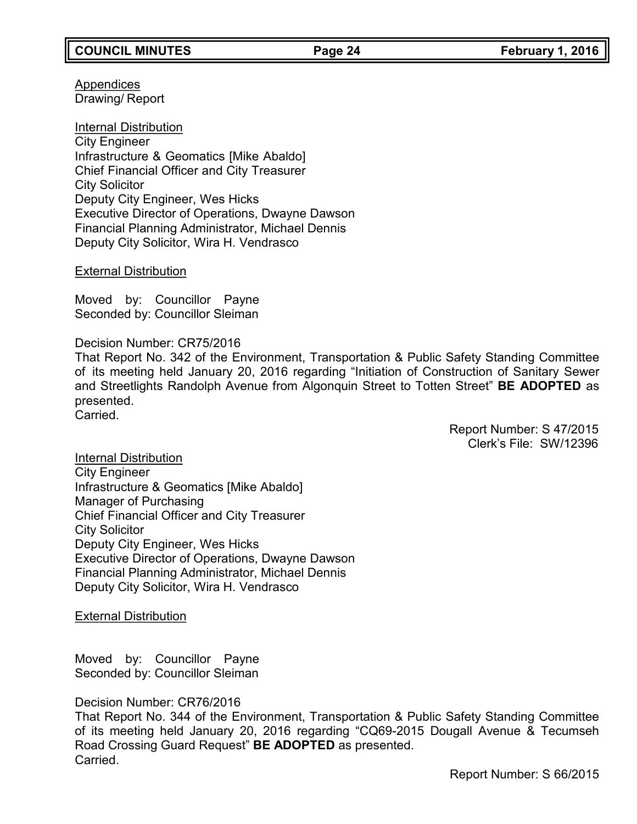Appendices Drawing/ Report

Internal Distribution City Engineer Infrastructure & Geomatics [Mike Abaldo] Chief Financial Officer and City Treasurer City Solicitor Deputy City Engineer, Wes Hicks Executive Director of Operations, Dwayne Dawson Financial Planning Administrator, Michael Dennis Deputy City Solicitor, Wira H. Vendrasco

### External Distribution

Moved by: Councillor Payne Seconded by: Councillor Sleiman

Decision Number: CR75/2016 That Report No. 342 of the Environment, Transportation & Public Safety Standing Committee of its meeting held January 20, 2016 regarding "Initiation of Construction of Sanitary Sewer and Streetlights Randolph Avenue from Algonquin Street to Totten Street" **BE ADOPTED** as presented. Carried.

> Report Number: S 47/2015 Clerk's File: SW/12396

Internal Distribution City Engineer Infrastructure & Geomatics [Mike Abaldo] Manager of Purchasing Chief Financial Officer and City Treasurer City Solicitor Deputy City Engineer, Wes Hicks Executive Director of Operations, Dwayne Dawson Financial Planning Administrator, Michael Dennis Deputy City Solicitor, Wira H. Vendrasco

**External Distribution** 

Moved by: Councillor Payne Seconded by: Councillor Sleiman

Decision Number: CR76/2016

That Report No. 344 of the Environment, Transportation & Public Safety Standing Committee of its meeting held January 20, 2016 regarding "CQ69-2015 Dougall Avenue & Tecumseh Road Crossing Guard Request" **BE ADOPTED** as presented. Carried.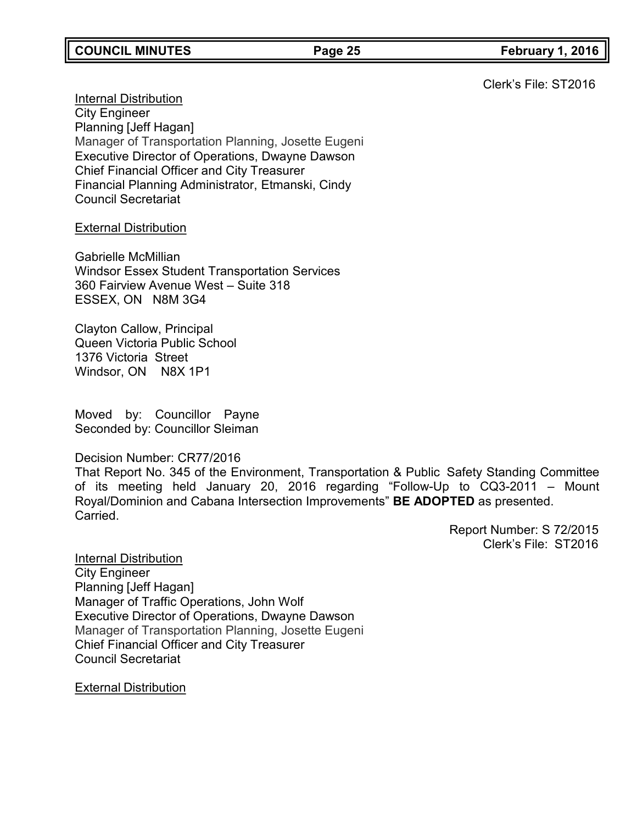Clerk's File: ST2016

Internal Distribution City Engineer Planning [Jeff Hagan] Manager of Transportation Planning, Josette Eugeni Executive Director of Operations, Dwayne Dawson Chief Financial Officer and City Treasurer Financial Planning Administrator, Etmanski, Cindy Council Secretariat

### **External Distribution**

Gabrielle McMillian Windsor Essex Student Transportation Services 360 Fairview Avenue West – Suite 318 ESSEX, ON N8M 3G4

Clayton Callow, Principal Queen Victoria Public School 1376 Victoria Street Windsor, ON N8X 1P1

Moved by: Councillor Payne Seconded by: Councillor Sleiman

Decision Number: CR77/2016

That Report No. 345 of the Environment, Transportation & Public Safety Standing Committee of its meeting held January 20, 2016 regarding "Follow-Up to CQ3-2011 – Mount Royal/Dominion and Cabana Intersection Improvements" **BE ADOPTED** as presented. Carried.

> Report Number: S 72/2015 Clerk's File: ST2016

Internal Distribution City Engineer Planning [Jeff Hagan] Manager of Traffic Operations, John Wolf Executive Director of Operations, Dwayne Dawson Manager of Transportation Planning, Josette Eugeni Chief Financial Officer and City Treasurer Council Secretariat

External Distribution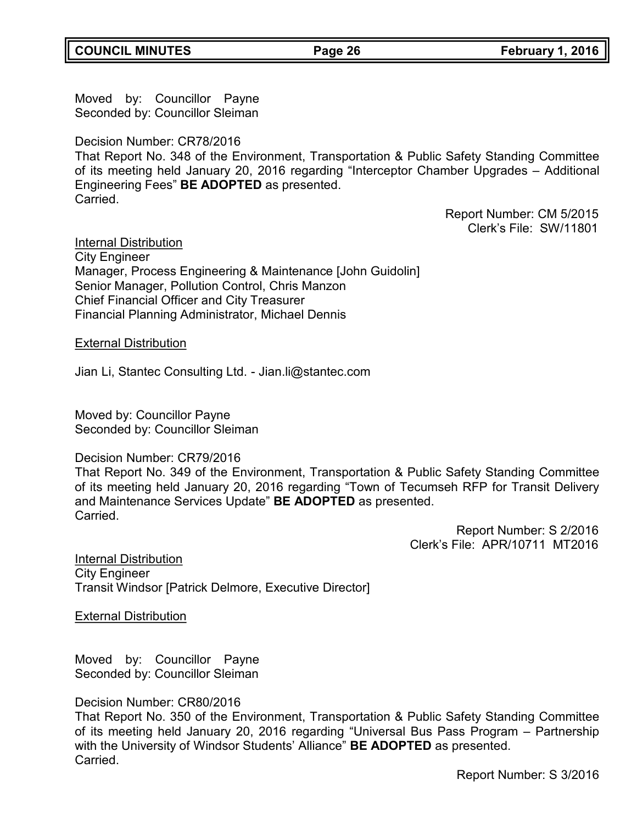Moved by: Councillor Payne Seconded by: Councillor Sleiman

Decision Number: CR78/2016

That Report No. 348 of the Environment, Transportation & Public Safety Standing Committee of its meeting held January 20, 2016 regarding "Interceptor Chamber Upgrades – Additional Engineering Fees" **BE ADOPTED** as presented. Carried.

> Report Number: CM 5/2015 Clerk's File: SW/11801

Internal Distribution

City Engineer Manager, Process Engineering & Maintenance [John Guidolin] Senior Manager, Pollution Control, Chris Manzon Chief Financial Officer and City Treasurer Financial Planning Administrator, Michael Dennis

External Distribution

Jian Li, Stantec Consulting Ltd. - [Jian.li@stantec.com](mailto:Jian.li@stantec.com)

Moved by: Councillor Payne Seconded by: Councillor Sleiman

## Decision Number: CR79/2016

That Report No. 349 of the Environment, Transportation & Public Safety Standing Committee of its meeting held January 20, 2016 regarding "Town of Tecumseh RFP for Transit Delivery and Maintenance Services Update" **BE ADOPTED** as presented. Carried.

> Report Number: S 2/2016 Clerk's File: APR/10711 MT2016

Internal Distribution City Engineer Transit Windsor [Patrick Delmore, Executive Director]

External Distribution

Moved by: Councillor Payne Seconded by: Councillor Sleiman

Decision Number: CR80/2016

That Report No. 350 of the Environment, Transportation & Public Safety Standing Committee of its meeting held January 20, 2016 regarding "Universal Bus Pass Program – Partnership with the University of Windsor Students' Alliance" **BE ADOPTED** as presented. Carried.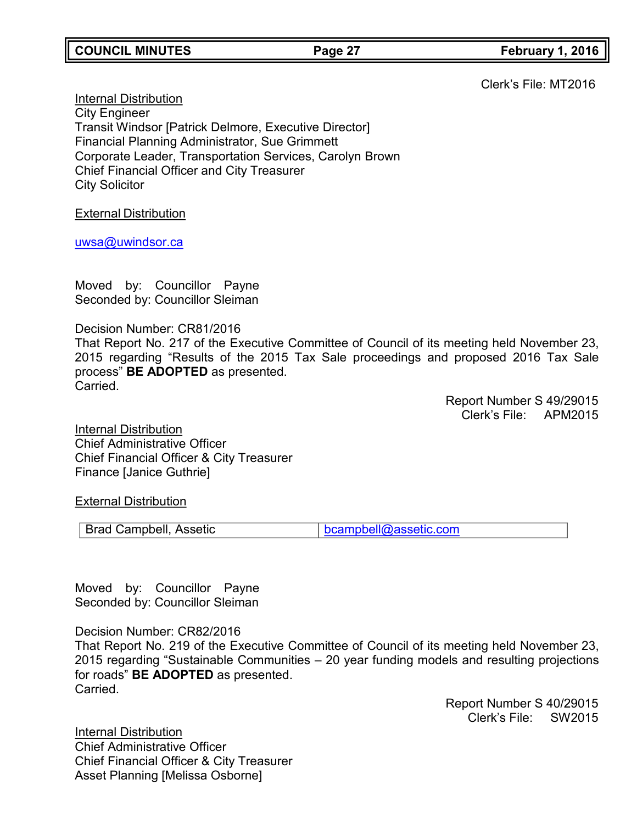**COUNCIL MINUTES Page 27 February 1, 2016**

Clerk's File: MT2016

Internal Distribution City Engineer Transit Windsor [Patrick Delmore, Executive Director] Financial Planning Administrator, Sue Grimmett Corporate Leader, Transportation Services, Carolyn Brown Chief Financial Officer and City Treasurer City Solicitor

External Distribution

[uwsa@uwindsor.ca](mailto:uwsa@uwindsor.ca)

Moved by: Councillor Payne Seconded by: Councillor Sleiman

Decision Number: CR81/2016 That Report No. 217 of the Executive Committee of Council of its meeting held November 23, 2015 regarding "Results of the 2015 Tax Sale proceedings and proposed 2016 Tax Sale process" **BE ADOPTED** as presented. Carried.

> Report Number S 49/29015 Clerk's File: APM2015

Internal Distribution Chief Administrative Officer Chief Financial Officer & City Treasurer Finance [Janice Guthrie]

External Distribution

Brad Campbell, Assetic [bcampbell@assetic.com](mailto:bcampbell@assetic.com)

Moved by: Councillor Payne Seconded by: Councillor Sleiman

Decision Number: CR82/2016

That Report No. 219 of the Executive Committee of Council of its meeting held November 23, 2015 regarding "Sustainable Communities – 20 year funding models and resulting projections for roads" **BE ADOPTED** as presented. Carried.

> Report Number S 40/29015 Clerk's File: SW2015

Internal Distribution Chief Administrative Officer Chief Financial Officer & City Treasurer Asset Planning [Melissa Osborne]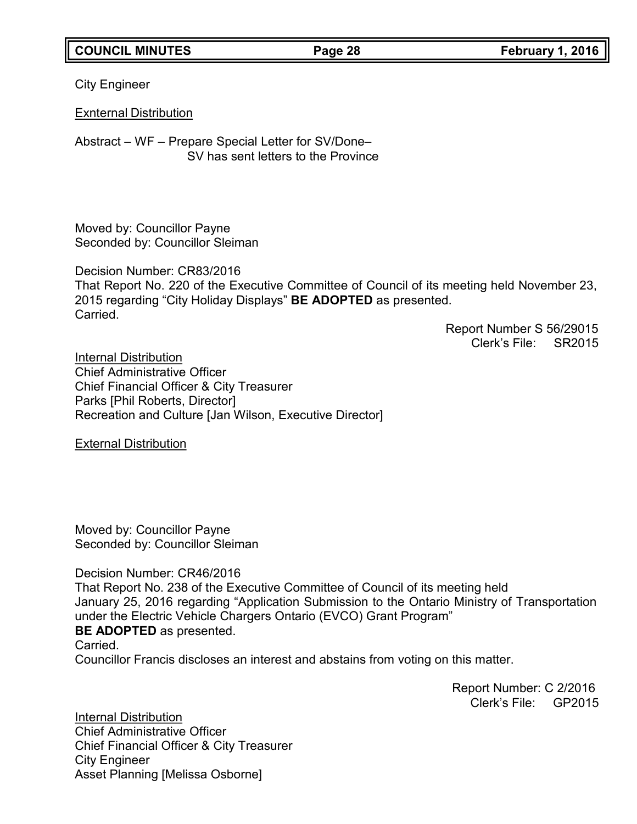## **COUNCIL MINUTES Page 28 February 1, 2016**

City Engineer

Exnternal Distribution

Abstract – WF – Prepare Special Letter for SV/Done– SV has sent letters to the Province

Moved by: Councillor Payne Seconded by: Councillor Sleiman

Decision Number: CR83/2016 That Report No. 220 of the Executive Committee of Council of its meeting held November 23, 2015 regarding "City Holiday Displays" **BE ADOPTED** as presented. Carried.

Report Number S 56/29015 Clerk's File: SR2015

Internal Distribution Chief Administrative Officer Chief Financial Officer & City Treasurer Parks [Phil Roberts, Director] Recreation and Culture [Jan Wilson, Executive Director]

External Distribution

Moved by: Councillor Payne Seconded by: Councillor Sleiman

Decision Number: CR46/2016

That Report No. 238 of the Executive Committee of Council of its meeting held January 25, 2016 regarding "Application Submission to the Ontario Ministry of Transportation under the Electric Vehicle Chargers Ontario (EVCO) Grant Program" **BE ADOPTED** as presented.

Carried.

Councillor Francis discloses an interest and abstains from voting on this matter.

Report Number: C 2/2016 Clerk's File: GP2015

Internal Distribution Chief Administrative Officer Chief Financial Officer & City Treasurer City Engineer Asset Planning [Melissa Osborne]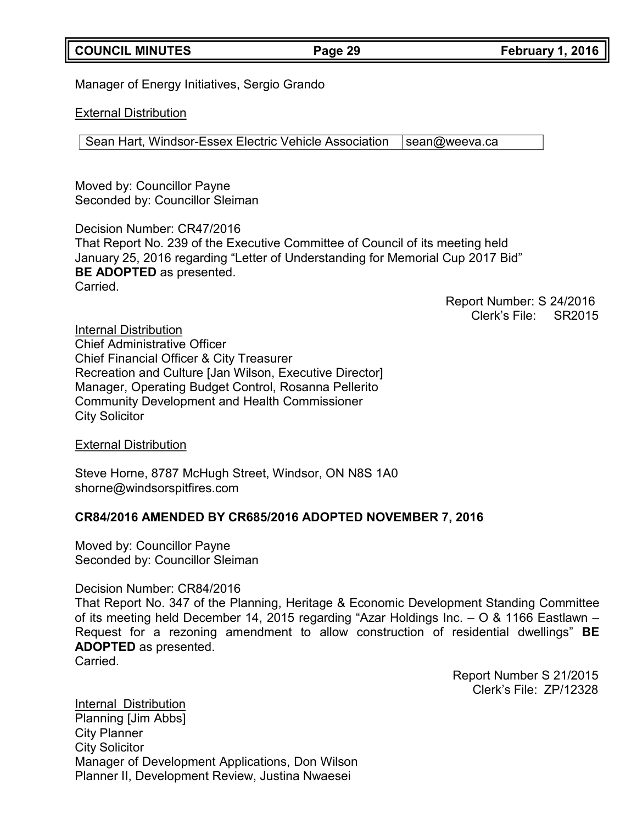## **COUNCIL MINUTES Page 29 February 1, 2016**

Manager of Energy Initiatives, Sergio Grando

### External Distribution

Sean Hart, Windsor-Essex Electric Vehicle Association | [sean@weeva.ca](mailto:sean@weeva.ca)

Moved by: Councillor Payne Seconded by: Councillor Sleiman

Decision Number: CR47/2016 That Report No. 239 of the Executive Committee of Council of its meeting held January 25, 2016 regarding "Letter of Understanding for Memorial Cup 2017 Bid" **BE ADOPTED** as presented. Carried.

> Report Number: S 24/2016 Clerk's File: SR2015

Internal Distribution Chief Administrative Officer Chief Financial Officer & City Treasurer Recreation and Culture [Jan Wilson, Executive Director] Manager, Operating Budget Control, Rosanna Pellerito Community Development and Health Commissioner City Solicitor

External Distribution

Steve Horne, 8787 McHugh Street, Windsor, ON N8S 1A0 [shorne@windsorspitfires.com](mailto:shorne@windsorspitfires.com)

### **CR84/2016 AMENDED BY CR685/2016 ADOPTED NOVEMBER 7, 2016**

Moved by: Councillor Payne Seconded by: Councillor Sleiman

Decision Number: CR84/2016

That Report No. 347 of the Planning, Heritage & Economic Development Standing Committee of its meeting held December 14, 2015 regarding "Azar Holdings Inc. – O & 1166 Eastlawn – Request for a rezoning amendment to allow construction of residential dwellings" **BE ADOPTED** as presented. Carried.

> Report Number S 21/2015 Clerk's File: ZP/12328

Internal Distribution Planning [Jim Abbs] City Planner City Solicitor Manager of Development Applications, Don Wilson Planner II, Development Review, Justina Nwaesei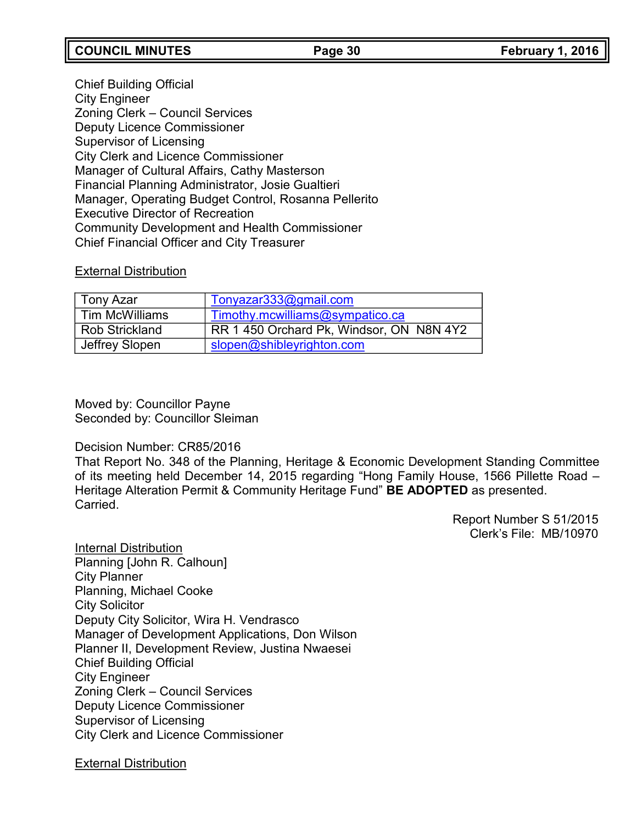## **COUNCIL MINUTES Page 30 February 1, 2016**

Chief Building Official City Engineer Zoning Clerk – Council Services Deputy Licence Commissioner Supervisor of Licensing City Clerk and Licence Commissioner Manager of Cultural Affairs, Cathy Masterson Financial Planning Administrator, Josie Gualtieri Manager, Operating Budget Control, Rosanna Pellerito Executive Director of Recreation Community Development and Health Commissioner Chief Financial Officer and City Treasurer

### External Distribution

| ∣ Tony Azar           | Tonyazar333@gmail.com                    |
|-----------------------|------------------------------------------|
| l Tim McWilliams      | Timothy.mcwilliams@sympatico.ca          |
| <b>Rob Strickland</b> | RR 1 450 Orchard Pk, Windsor, ON N8N 4Y2 |
| Jeffrey Slopen        | slopen@shibleyrighton.com                |

Moved by: Councillor Payne Seconded by: Councillor Sleiman

### Decision Number: CR85/2016

That Report No. 348 of the Planning, Heritage & Economic Development Standing Committee of its meeting held December 14, 2015 regarding "Hong Family House, 1566 Pillette Road – Heritage Alteration Permit & Community Heritage Fund" **BE ADOPTED** as presented. Carried.

> Report Number S 51/2015 Clerk's File: MB/10970

Internal Distribution Planning [John R. Calhoun] City Planner Planning, Michael Cooke City Solicitor Deputy City Solicitor, Wira H. Vendrasco Manager of Development Applications, Don Wilson Planner II, Development Review, Justina Nwaesei Chief Building Official City Engineer Zoning Clerk – Council Services Deputy Licence Commissioner Supervisor of Licensing City Clerk and Licence Commissioner

External Distribution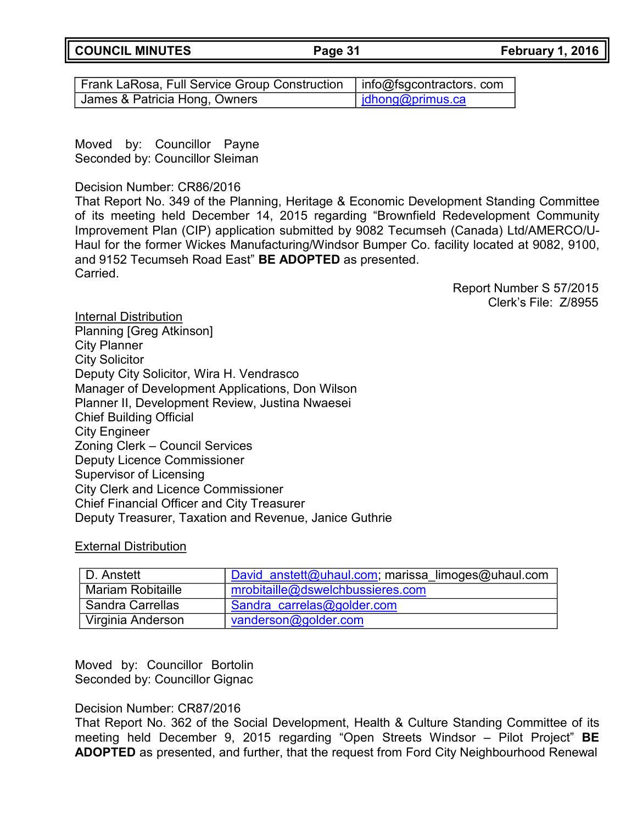**COUNCIL MINUTES Page 31 February 1, 2016**

Frank LaRosa, Full Service Group Construction  $\mid$  info@fsgcontractors. com James & Patricia Hong, Owners in the limit of limit of limits of limits of limits of limits of limits of limit

Moved by: Councillor Payne Seconded by: Councillor Sleiman

Decision Number: CR86/2016

That Report No. 349 of the Planning, Heritage & Economic Development Standing Committee of its meeting held December 14, 2015 regarding "Brownfield Redevelopment Community Improvement Plan (CIP) application submitted by 9082 Tecumseh (Canada) Ltd/AMERCO/U-Haul for the former Wickes Manufacturing/Windsor Bumper Co. facility located at 9082, 9100, and 9152 Tecumseh Road East" **BE ADOPTED** as presented. Carried.

> Report Number S 57/2015 Clerk's File: Z/8955

Internal Distribution Planning [Greg Atkinson] City Planner City Solicitor Deputy City Solicitor, Wira H. Vendrasco Manager of Development Applications, Don Wilson Planner II, Development Review, Justina Nwaesei Chief Building Official City Engineer Zoning Clerk – Council Services Deputy Licence Commissioner Supervisor of Licensing City Clerk and Licence Commissioner Chief Financial Officer and City Treasurer Deputy Treasurer, Taxation and Revenue, Janice Guthrie

External Distribution

| l D. Anstett             | David anstett@uhaul.com; marissa limoges@uhaul.com |
|--------------------------|----------------------------------------------------|
| <b>Mariam Robitaille</b> | mrobitaille@dswelchbussieres.com                   |
| Sandra Carrellas         | Sandra carrelas@golder.com                         |
| Virginia Anderson        | vanderson@golder.com                               |

Moved by: Councillor Bortolin Seconded by: Councillor Gignac

## Decision Number: CR87/2016

That Report No. 362 of the Social Development, Health & Culture Standing Committee of its meeting held December 9, 2015 regarding "Open Streets Windsor – Pilot Project" **BE ADOPTED** as presented, and further, that the request from Ford City Neighbourhood Renewal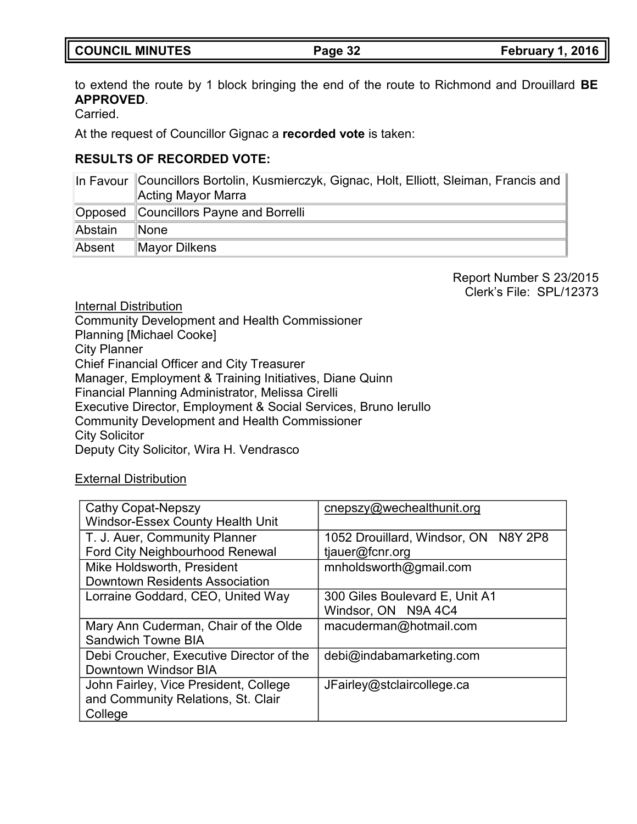## to extend the route by 1 block bringing the end of the route to Richmond and Drouillard **BE APPROVED**.

Carried.

At the request of Councillor Gignac a **recorded vote** is taken:

## **RESULTS OF RECORDED VOTE:**

|         | In Favour Councillors Bortolin, Kusmierczyk, Gignac, Holt, Elliott, Sleiman, Francis and<br>Acting Mayor Marra |
|---------|----------------------------------------------------------------------------------------------------------------|
| Opposed | Councillors Payne and Borrelli                                                                                 |
| Abstain | ∣None                                                                                                          |
| Absent  | Mayor Dilkens                                                                                                  |

Report Number S 23/2015 Clerk's File: SPL/12373

Internal Distribution

Community Development and Health Commissioner Planning [Michael Cooke] City Planner Chief Financial Officer and City Treasurer Manager, Employment & Training Initiatives, Diane Quinn Financial Planning Administrator, Melissa Cirelli Executive Director, Employment & Social Services, Bruno Ierullo Community Development and Health Commissioner City Solicitor Deputy City Solicitor, Wira H. Vendrasco

## External Distribution

| <b>Cathy Copat-Nepszy</b>                | cnepszy@wechealthunit.org            |
|------------------------------------------|--------------------------------------|
| <b>Windsor-Essex County Health Unit</b>  |                                      |
| T. J. Auer, Community Planner            | 1052 Drouillard, Windsor, ON N8Y 2P8 |
| <b>Ford City Neighbourhood Renewal</b>   | tjauer@fcnr.org                      |
| Mike Holdsworth, President               | mnholdsworth@gmail.com               |
| <b>Downtown Residents Association</b>    |                                      |
| Lorraine Goddard, CEO, United Way        | 300 Giles Boulevard E, Unit A1       |
|                                          | Windsor, ON N9A 4C4                  |
| Mary Ann Cuderman, Chair of the Olde     | macuderman@hotmail.com               |
| <b>Sandwich Towne BIA</b>                |                                      |
| Debi Croucher, Executive Director of the | debi@indabamarketing.com             |
| Downtown Windsor BIA                     |                                      |
| John Fairley, Vice President, College    | JFairley@stclaircollege.ca           |
| and Community Relations, St. Clair       |                                      |
| College                                  |                                      |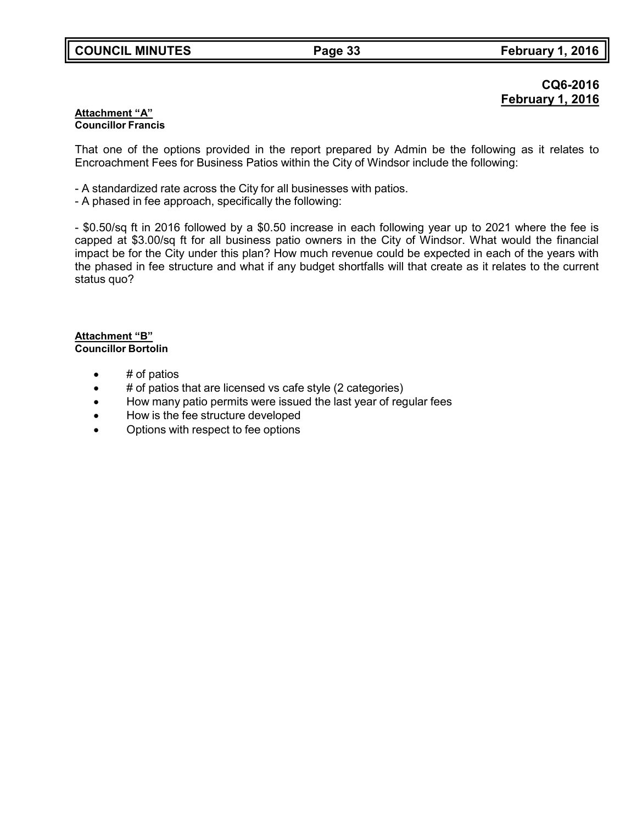## **CQ6-2016 February 1, 2016**

### **Attachment "A" Councillor Francis**

That one of the options provided in the report prepared by Admin be the following as it relates to Encroachment Fees for Business Patios within the City of Windsor include the following:

- A standardized rate across the City for all businesses with patios.
- A phased in fee approach, specifically the following:

- \$0.50/sq ft in 2016 followed by a \$0.50 increase in each following year up to 2021 where the fee is capped at \$3.00/sq ft for all business patio owners in the City of Windsor. What would the financial impact be for the City under this plan? How much revenue could be expected in each of the years with the phased in fee structure and what if any budget shortfalls will that create as it relates to the current status quo?

### **Attachment "B" Councillor Bortolin**

- # of patios
- $\bullet$  # of patios that are licensed vs cafe style (2 categories)
- How many patio permits were issued the last year of regular fees
- How is the fee structure developed
- Options with respect to fee options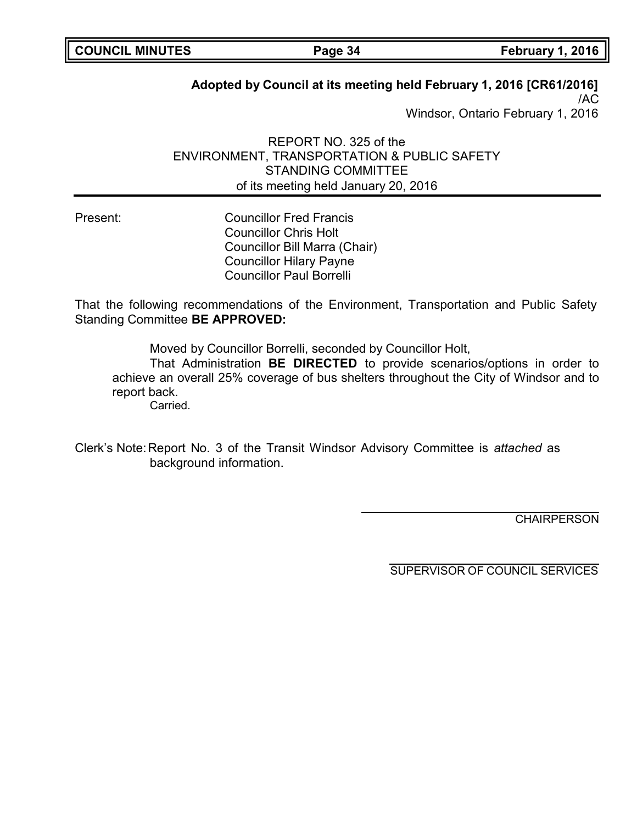| <b>COUNCIL MINUTES</b> |  |
|------------------------|--|
|------------------------|--|

## **Adopted by Council at its meeting held February 1, 2016 [CR61/2016]**

/AC Windsor, Ontario February 1, 2016

REPORT NO. 325 of the ENVIRONMENT, TRANSPORTATION & PUBLIC SAFETY STANDING COMMITTEE of its meeting held January 20, 2016

Present: Councillor Fred Francis Councillor Chris Holt Councillor Bill Marra (Chair) Councillor Hilary Payne Councillor Paul Borrelli

That the following recommendations of the Environment, Transportation and Public Safety Standing Committee **BE APPROVED:**

Moved by Councillor Borrelli, seconded by Councillor Holt,

That Administration **BE DIRECTED** to provide scenarios/options in order to achieve an overall 25% coverage of bus shelters throughout the City of Windsor and to report back.

Carried.

Clerk's Note:Report No. 3 of the Transit Windsor Advisory Committee is *attached* as background information.

**CHAIRPERSON**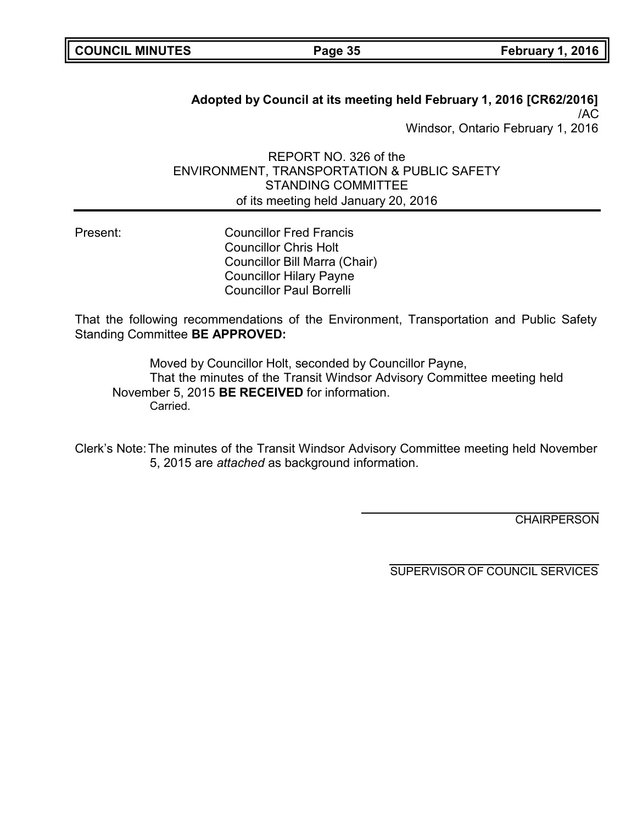| <b>COUNCIL MINUTES</b> |  |
|------------------------|--|
|------------------------|--|

**Page 35 February 1, 2016** 

## **Adopted by Council at its meeting held February 1, 2016 [CR62/2016]** /AC Windsor, Ontario February 1, 2016

REPORT NO. 326 of the ENVIRONMENT, TRANSPORTATION & PUBLIC SAFETY STANDING COMMITTEE of its meeting held January 20, 2016

Present: Councillor Fred Francis Councillor Chris Holt Councillor Bill Marra (Chair) Councillor Hilary Payne Councillor Paul Borrelli

That the following recommendations of the Environment, Transportation and Public Safety Standing Committee **BE APPROVED:**

Moved by Councillor Holt, seconded by Councillor Payne, That the minutes of the Transit Windsor Advisory Committee meeting held November 5, 2015 **BE RECEIVED** for information. Carried.

Clerk's Note:The minutes of the Transit Windsor Advisory Committee meeting held November 5, 2015 are *attached* as background information.

**CHAIRPERSON**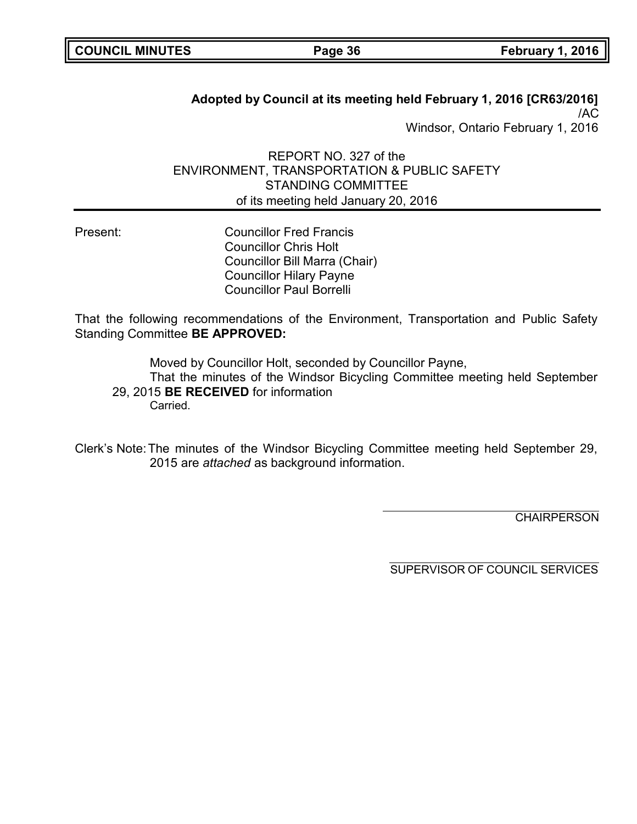| <b>COUNCIL MINUTES</b> |  |
|------------------------|--|
|------------------------|--|

**COUNCIL MINUTES Page 36 February 1, 2016**

**Adopted by Council at its meeting held February 1, 2016 [CR63/2016]** /AC Windsor, Ontario February 1, 2016

REPORT NO. 327 of the ENVIRONMENT, TRANSPORTATION & PUBLIC SAFETY STANDING COMMITTEE of its meeting held January 20, 2016

Present: Councillor Fred Francis Councillor Chris Holt Councillor Bill Marra (Chair) Councillor Hilary Payne Councillor Paul Borrelli

That the following recommendations of the Environment, Transportation and Public Safety Standing Committee **BE APPROVED:**

Moved by Councillor Holt, seconded by Councillor Payne, That the minutes of the Windsor Bicycling Committee meeting held September 29, 2015 **BE RECEIVED** for information Carried.

Clerk's Note:The minutes of the Windsor Bicycling Committee meeting held September 29, 2015 are *attached* as background information.

**CHAIRPERSON**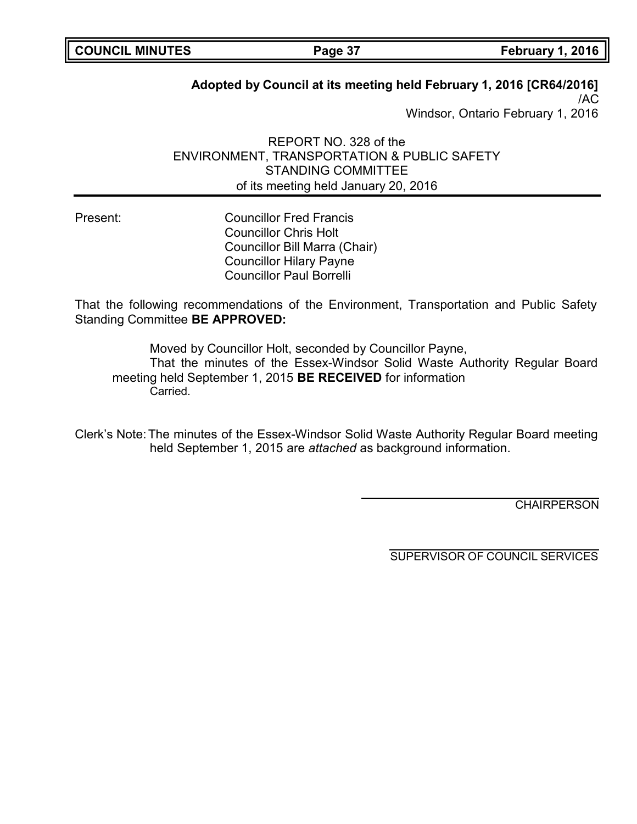## **Adopted by Council at its meeting held February 1, 2016 [CR64/2016]**

/AC Windsor, Ontario February 1, 2016

REPORT NO. 328 of the ENVIRONMENT, TRANSPORTATION & PUBLIC SAFETY STANDING COMMITTEE of its meeting held January 20, 2016

Present: Councillor Fred Francis Councillor Chris Holt Councillor Bill Marra (Chair) Councillor Hilary Payne Councillor Paul Borrelli

That the following recommendations of the Environment, Transportation and Public Safety Standing Committee **BE APPROVED:**

Moved by Councillor Holt, seconded by Councillor Payne,

That the minutes of the Essex-Windsor Solid Waste Authority Regular Board meeting held September 1, 2015 **BE RECEIVED** for information Carried.

Clerk's Note:The minutes of the Essex-Windsor Solid Waste Authority Regular Board meeting held September 1, 2015 are *attached* as background information.

**CHAIRPERSON** 

SUPERVISOR OF COUNCIL SERVICES

**COUNCIL MINUTES Page 37 February 1, 2016**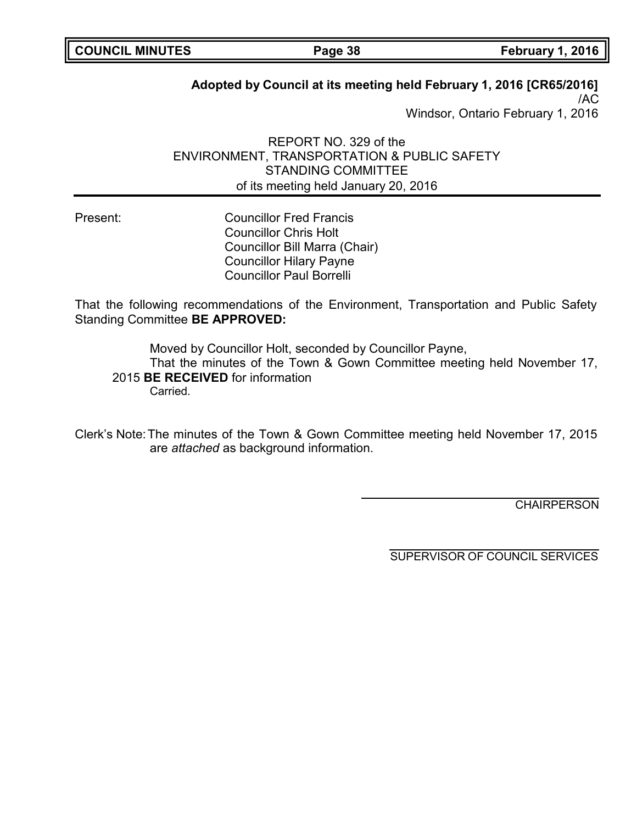| <b>COUNCIL MINUTES</b> |  |
|------------------------|--|
|------------------------|--|

## **Adopted by Council at its meeting held February 1, 2016 [CR65/2016]**

/AC Windsor, Ontario February 1, 2016

REPORT NO. 329 of the ENVIRONMENT, TRANSPORTATION & PUBLIC SAFETY STANDING COMMITTEE of its meeting held January 20, 2016

Present: Councillor Fred Francis Councillor Chris Holt Councillor Bill Marra (Chair) Councillor Hilary Payne Councillor Paul Borrelli

That the following recommendations of the Environment, Transportation and Public Safety Standing Committee **BE APPROVED:**

Moved by Councillor Holt, seconded by Councillor Payne, That the minutes of the Town & Gown Committee meeting held November 17, 2015 **BE RECEIVED** for information **Carried** 

Clerk's Note:The minutes of the Town & Gown Committee meeting held November 17, 2015 are *attached* as background information.

**CHAIRPERSON** 

SUPERVISOR OF COUNCIL SERVICES

**Page 38 February 1, 2016**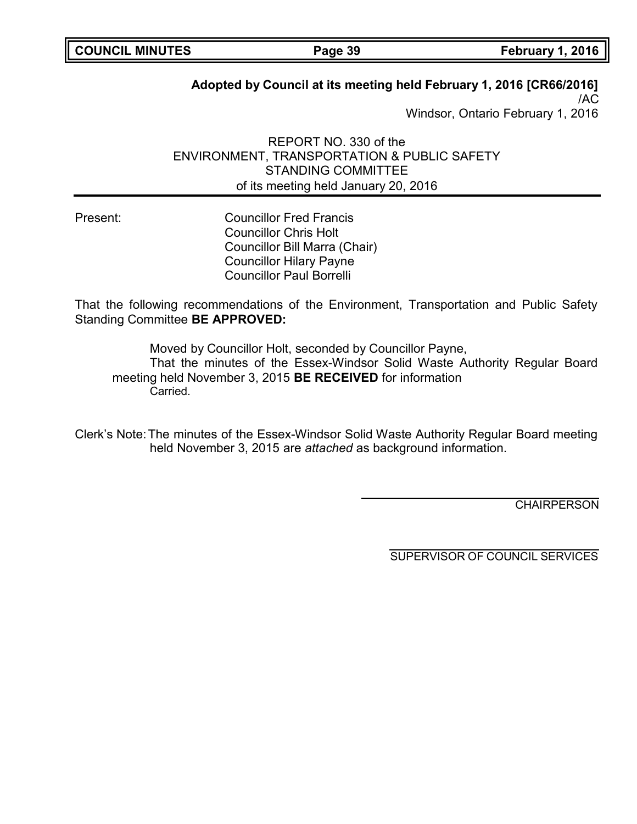| <b>COUNCIL MINUTES</b> |  |
|------------------------|--|
|------------------------|--|

## **Adopted by Council at its meeting held February 1, 2016 [CR66/2016]**

/AC Windsor, Ontario February 1, 2016

REPORT NO. 330 of the ENVIRONMENT, TRANSPORTATION & PUBLIC SAFETY STANDING COMMITTEE of its meeting held January 20, 2016

Present: Councillor Fred Francis Councillor Chris Holt Councillor Bill Marra (Chair) Councillor Hilary Payne Councillor Paul Borrelli

That the following recommendations of the Environment, Transportation and Public Safety Standing Committee **BE APPROVED:**

Moved by Councillor Holt, seconded by Councillor Payne, That the minutes of the Essex-Windsor Solid Waste Authority Regular Board meeting held November 3, 2015 **BE RECEIVED** for information **Carried** 

Clerk's Note:The minutes of the Essex-Windsor Solid Waste Authority Regular Board meeting held November 3, 2015 are *attached* as background information.

**CHAIRPERSON** 

SUPERVISOR OF COUNCIL SERVICES

**Page 39 February 1, 2016**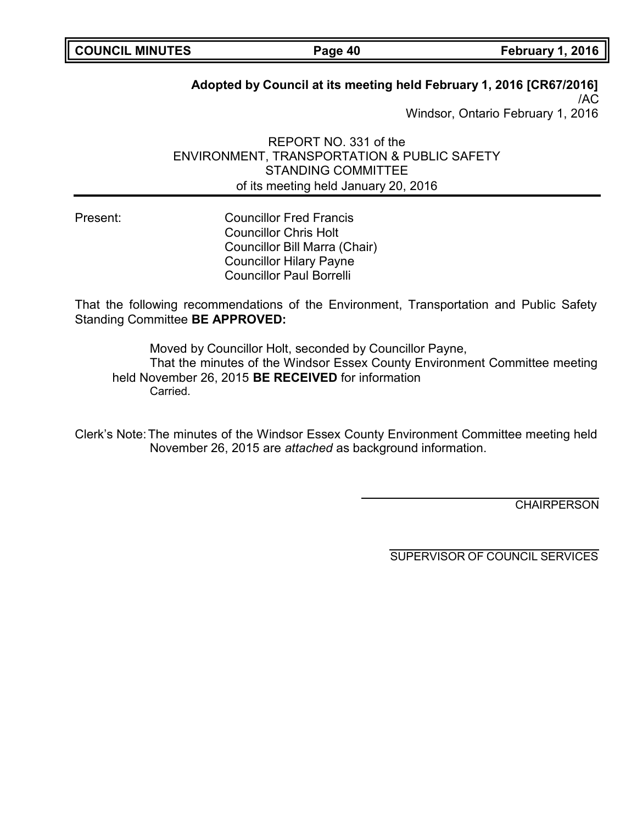| <b>COUNCIL MINUTES</b> |  |
|------------------------|--|
|------------------------|--|

## **Adopted by Council at its meeting held February 1, 2016 [CR67/2016]**

/AC Windsor, Ontario February 1, 2016

REPORT NO. 331 of the ENVIRONMENT, TRANSPORTATION & PUBLIC SAFETY STANDING COMMITTEE of its meeting held January 20, 2016

Present: Councillor Fred Francis Councillor Chris Holt Councillor Bill Marra (Chair) Councillor Hilary Payne Councillor Paul Borrelli

That the following recommendations of the Environment, Transportation and Public Safety Standing Committee **BE APPROVED:**

Moved by Councillor Holt, seconded by Councillor Payne, That the minutes of the Windsor Essex County Environment Committee meeting held November 26, 2015 **BE RECEIVED** for information **Carried** 

Clerk's Note:The minutes of the Windsor Essex County Environment Committee meeting held November 26, 2015 are *attached* as background information.

**CHAIRPERSON**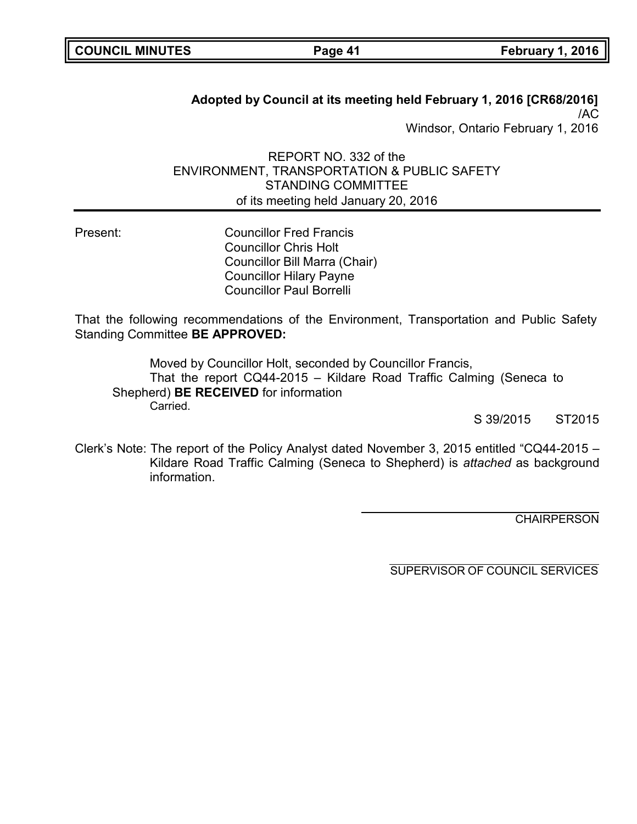| <b>COUNCIL MINUTES</b> |  |
|------------------------|--|
|------------------------|--|

**Page 41 February 1, 2016** 

**Adopted by Council at its meeting held February 1, 2016 [CR68/2016]** /AC Windsor, Ontario February 1, 2016

REPORT NO. 332 of the ENVIRONMENT, TRANSPORTATION & PUBLIC SAFETY STANDING COMMITTEE of its meeting held January 20, 2016

Present: Councillor Fred Francis Councillor Chris Holt Councillor Bill Marra (Chair) Councillor Hilary Payne Councillor Paul Borrelli

That the following recommendations of the Environment, Transportation and Public Safety Standing Committee **BE APPROVED:**

Moved by Councillor Holt, seconded by Councillor Francis, That the report CQ44-2015 – Kildare Road Traffic Calming (Seneca to Shepherd) **BE RECEIVED** for information Carried.

S 39/2015 ST2015

Clerk's Note: The report of the Policy Analyst dated November 3, 2015 entitled "CQ44-2015 – Kildare Road Traffic Calming (Seneca to Shepherd) is *attached* as background information.

**CHAIRPERSON**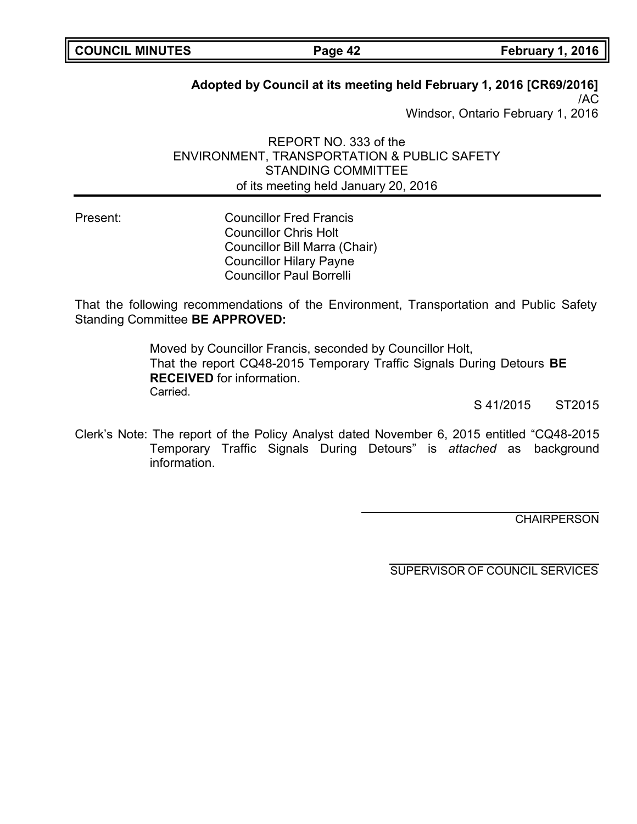| <b>COUNCIL MINUTES</b> |  |
|------------------------|--|
|------------------------|--|

## **Adopted by Council at its meeting held February 1, 2016 [CR69/2016]**

/AC Windsor, Ontario February 1, 2016

REPORT NO. 333 of the ENVIRONMENT, TRANSPORTATION & PUBLIC SAFETY STANDING COMMITTEE of its meeting held January 20, 2016

Present: Councillor Fred Francis Councillor Chris Holt Councillor Bill Marra (Chair) Councillor Hilary Payne Councillor Paul Borrelli

That the following recommendations of the Environment, Transportation and Public Safety Standing Committee **BE APPROVED:**

> Moved by Councillor Francis, seconded by Councillor Holt, That the report CQ48-2015 Temporary Traffic Signals During Detours **BE RECEIVED** for information. Carried.

> > S 41/2015 ST2015

Clerk's Note: The report of the Policy Analyst dated November 6, 2015 entitled "CQ48-2015 Temporary Traffic Signals During Detours" is *attached* as background information.

**CHAIRPERSON**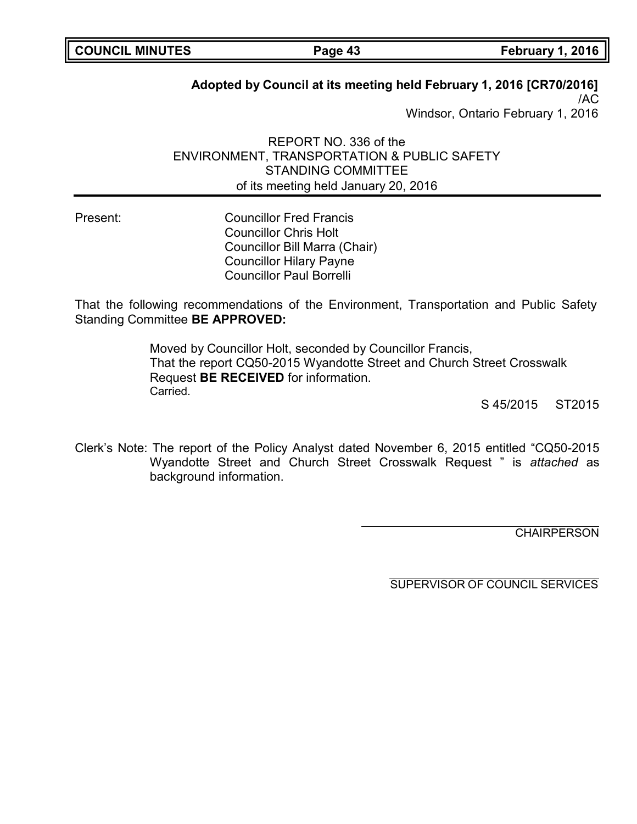| <b>COUNCIL MINUTES</b> |  |
|------------------------|--|
|------------------------|--|

## **Adopted by Council at its meeting held February 1, 2016 [CR70/2016]**

/AC Windsor, Ontario February 1, 2016

REPORT NO. 336 of the ENVIRONMENT, TRANSPORTATION & PUBLIC SAFETY STANDING COMMITTEE of its meeting held January 20, 2016

Present: Councillor Fred Francis Councillor Chris Holt Councillor Bill Marra (Chair) Councillor Hilary Payne Councillor Paul Borrelli

That the following recommendations of the Environment, Transportation and Public Safety Standing Committee **BE APPROVED:**

> Moved by Councillor Holt, seconded by Councillor Francis, That the report CQ50-2015 Wyandotte Street and Church Street Crosswalk Request **BE RECEIVED** for information. Carried.

> > S 45/2015 ST2015

Clerk's Note: The report of the Policy Analyst dated November 6, 2015 entitled "CQ50-2015 Wyandotte Street and Church Street Crosswalk Request " is *attached* as background information.

**CHAIRPERSON** 

SUPERVISOR OF COUNCIL SERVICES

**Page 43 February 1, 2016**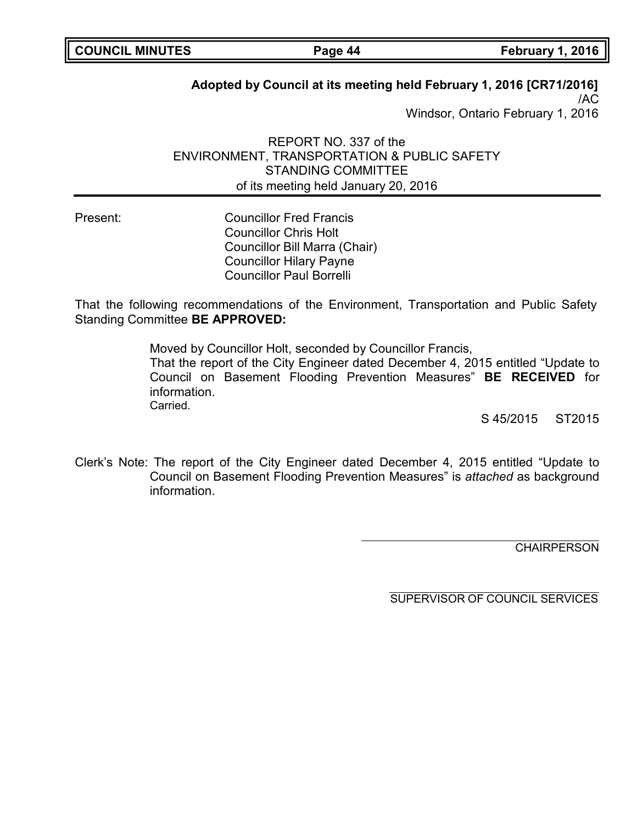| <b>COUNCIL MINUTES</b> |  |
|------------------------|--|
|------------------------|--|

## **Adopted by Council at its meeting held February 1, 2016 [CR71/2016]**

/AC Windsor, Ontario February 1, 2016

REPORT NO. 337 of the ENVIRONMENT, TRANSPORTATION & PUBLIC SAFETY STANDING COMMITTEE of its meeting held January 20, 2016

Present: Councillor Fred Francis Councillor Chris Holt Councillor Bill Marra (Chair) Councillor Hilary Payne Councillor Paul Borrelli

That the following recommendations of the Environment, Transportation and Public Safety Standing Committee **BE APPROVED:**

> Moved by Councillor Holt, seconded by Councillor Francis, That the report of the City Engineer dated December 4, 2015 entitled "Update to Council on Basement Flooding Prevention Measures" **BE RECEIVED** for information. Carried.

> > S 45/2015 ST2015

Clerk's Note: The report of the City Engineer dated December 4, 2015 entitled "Update to Council on Basement Flooding Prevention Measures" is *attached* as background information.

**CHAIRPERSON** 

SUPERVISOR OF COUNCIL SERVICES

**Page 44 February 1, 2016**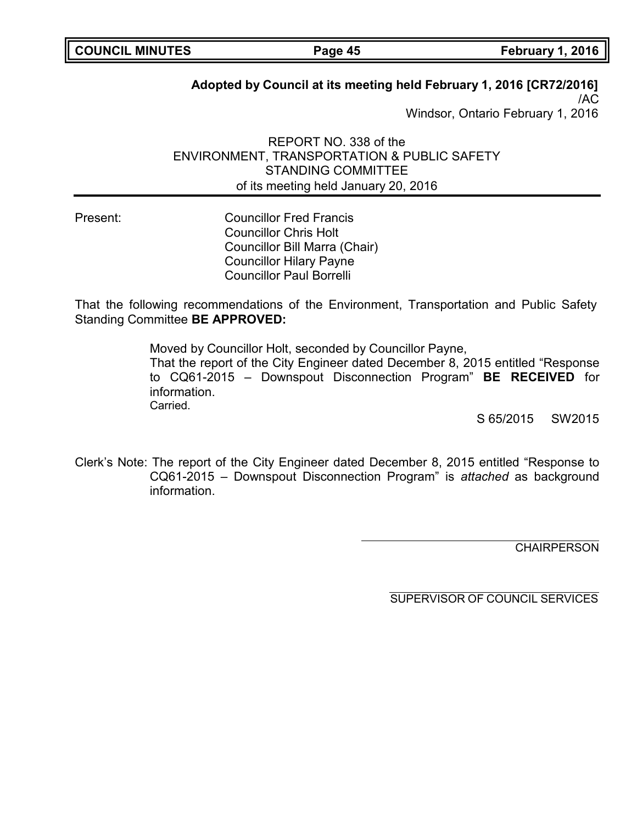| <b>COUNCIL MINUTES</b> |  |
|------------------------|--|
|------------------------|--|

## **Adopted by Council at its meeting held February 1, 2016 [CR72/2016]**

/AC Windsor, Ontario February 1, 2016

REPORT NO. 338 of the ENVIRONMENT, TRANSPORTATION & PUBLIC SAFETY STANDING COMMITTEE of its meeting held January 20, 2016

Present: Councillor Fred Francis Councillor Chris Holt Councillor Bill Marra (Chair) Councillor Hilary Payne Councillor Paul Borrelli

That the following recommendations of the Environment, Transportation and Public Safety Standing Committee **BE APPROVED:**

> Moved by Councillor Holt, seconded by Councillor Payne, That the report of the City Engineer dated December 8, 2015 entitled "Response to CQ61-2015 – Downspout Disconnection Program" **BE RECEIVED** for information. Carried.

> > S 65/2015 SW2015

Clerk's Note: The report of the City Engineer dated December 8, 2015 entitled "Response to CQ61-2015 – Downspout Disconnection Program" is *attached* as background information.

**CHAIRPERSON** 

SUPERVISOR OF COUNCIL SERVICES

**COUNCIL MINUTES Page 45 February 1, 2016**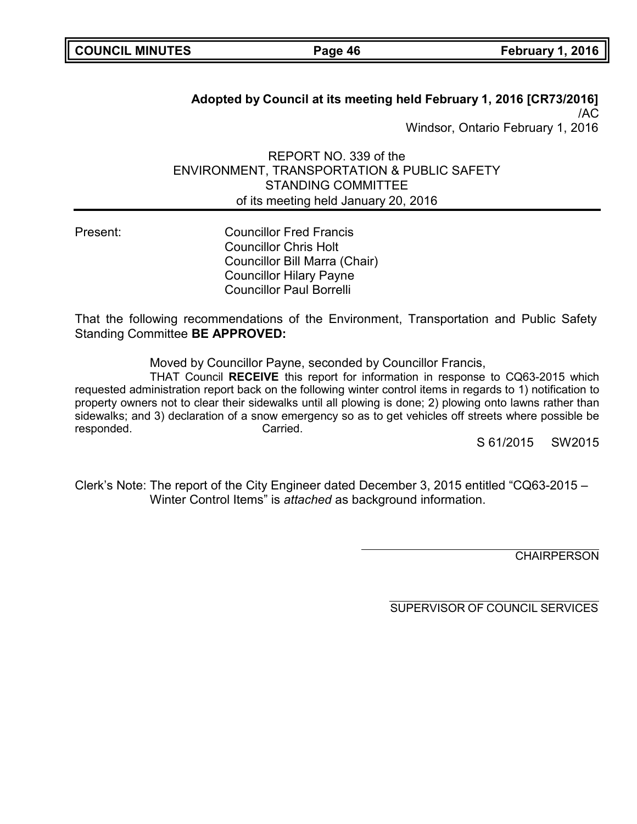| <b>COUNCIL MINUTES</b> |  |
|------------------------|--|
|------------------------|--|

**COUNCIL MINUTES Page 46 February 1, 2016**

**Adopted by Council at its meeting held February 1, 2016 [CR73/2016]** /AC Windsor, Ontario February 1, 2016

REPORT NO. 339 of the ENVIRONMENT, TRANSPORTATION & PUBLIC SAFETY STANDING COMMITTEE of its meeting held January 20, 2016

Present: Councillor Fred Francis Councillor Chris Holt Councillor Bill Marra (Chair) Councillor Hilary Payne Councillor Paul Borrelli

That the following recommendations of the Environment, Transportation and Public Safety Standing Committee **BE APPROVED:**

Moved by Councillor Payne, seconded by Councillor Francis,

THAT Council **RECEIVE** this report for information in response to CQ63-2015 which requested administration report back on the following winter control items in regards to 1) notification to property owners not to clear their sidewalks until all plowing is done; 2) plowing onto lawns rather than sidewalks; and 3) declaration of a snow emergency so as to get vehicles off streets where possible be responded. Carried.

S 61/2015 SW2015

Clerk's Note: The report of the City Engineer dated December 3, 2015 entitled "CQ63-2015 – Winter Control Items" is *attached* as background information.

**CHAIRPERSON**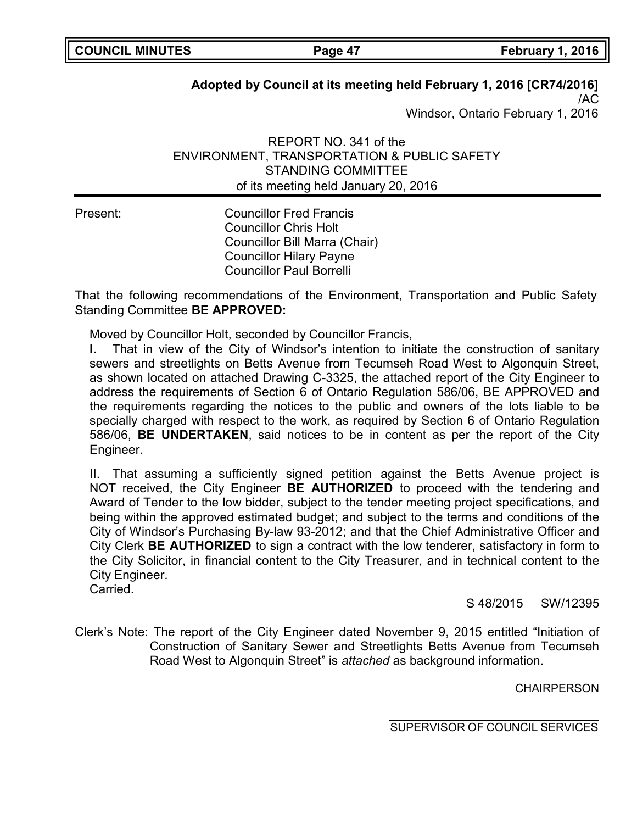## **Adopted by Council at its meeting held February 1, 2016 [CR74/2016]**

/AC Windsor, Ontario February 1, 2016

REPORT NO. 341 of the ENVIRONMENT, TRANSPORTATION & PUBLIC SAFETY STANDING COMMITTEE of its meeting held January 20, 2016

Present: Councillor Fred Francis Councillor Chris Holt Councillor Bill Marra (Chair) Councillor Hilary Payne Councillor Paul Borrelli

That the following recommendations of the Environment, Transportation and Public Safety Standing Committee **BE APPROVED:**

Moved by Councillor Holt, seconded by Councillor Francis,

**I.** That in view of the City of Windsor's intention to initiate the construction of sanitary sewers and streetlights on Betts Avenue from Tecumseh Road West to Algonquin Street, as shown located on attached Drawing C-3325, the attached report of the City Engineer to address the requirements of Section 6 of Ontario Regulation 586/06, BE APPROVED and the requirements regarding the notices to the public and owners of the lots liable to be specially charged with respect to the work, as required by Section 6 of Ontario Regulation 586/06, **BE UNDERTAKEN**, said notices to be in content as per the report of the City Engineer.

II. That assuming a sufficiently signed petition against the Betts Avenue project is NOT received, the City Engineer **BE AUTHORIZED** to proceed with the tendering and Award of Tender to the low bidder, subject to the tender meeting project specifications, and being within the approved estimated budget; and subject to the terms and conditions of the City of Windsor's Purchasing By-law 93-2012; and that the Chief Administrative Officer and City Clerk **BE AUTHORIZED** to sign a contract with the low tenderer, satisfactory in form to the City Solicitor, in financial content to the City Treasurer, and in technical content to the City Engineer.

Carried.

S 48/2015 SW/12395

Clerk's Note: The report of the City Engineer dated November 9, 2015 entitled "Initiation of Construction of Sanitary Sewer and Streetlights Betts Avenue from Tecumseh Road West to Algonquin Street" is *attached* as background information.

**CHAIRPERSON**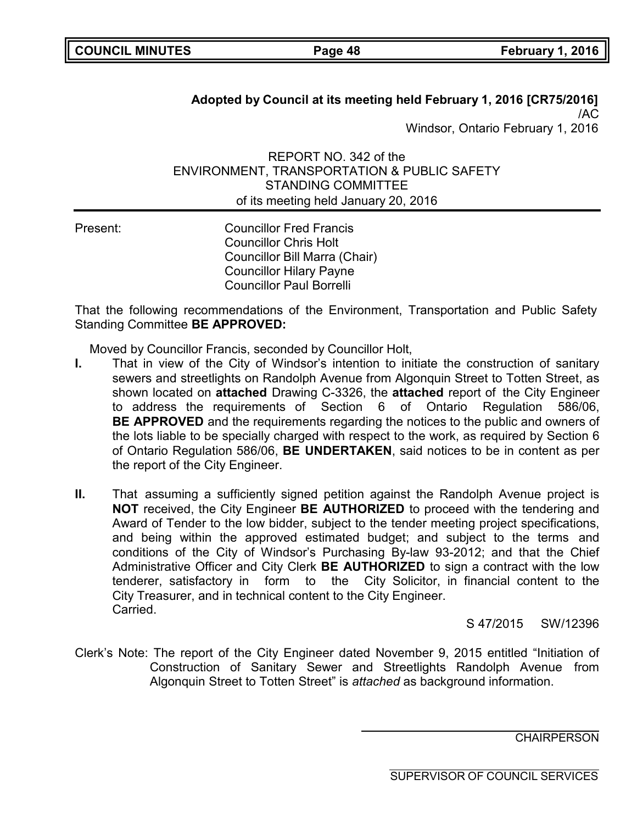## **Adopted by Council at its meeting held February 1, 2016 [CR75/2016]** /AC Windsor, Ontario February 1, 2016

REPORT NO. 342 of the ENVIRONMENT, TRANSPORTATION & PUBLIC SAFETY STANDING COMMITTEE of its meeting held January 20, 2016

Present: Councillor Fred Francis Councillor Chris Holt Councillor Bill Marra (Chair) Councillor Hilary Payne Councillor Paul Borrelli

That the following recommendations of the Environment, Transportation and Public Safety Standing Committee **BE APPROVED:**

Moved by Councillor Francis, seconded by Councillor Holt,

- **I.** That in view of the City of Windsor's intention to initiate the construction of sanitary sewers and streetlights on Randolph Avenue from Algonquin Street to Totten Street, as shown located on **attached** Drawing C-3326, the **attached** report of the City Engineer to address the requirements of Section 6 of Ontario Regulation 586/06, **BE APPROVED** and the requirements regarding the notices to the public and owners of the lots liable to be specially charged with respect to the work, as required by Section 6 of Ontario Regulation 586/06, **BE UNDERTAKEN**, said notices to be in content as per the report of the City Engineer.
- **II.** That assuming a sufficiently signed petition against the Randolph Avenue project is **NOT** received, the City Engineer **BE AUTHORIZED** to proceed with the tendering and Award of Tender to the low bidder, subject to the tender meeting project specifications, and being within the approved estimated budget; and subject to the terms and conditions of the City of Windsor's Purchasing By-law 93-2012; and that the Chief Administrative Officer and City Clerk **BE AUTHORIZED** to sign a contract with the low tenderer, satisfactory in form to the City Solicitor, in financial content to the City Treasurer, and in technical content to the City Engineer. Carried.

S 47/2015 SW/12396

Clerk's Note: The report of the City Engineer dated November 9, 2015 entitled "Initiation of Construction of Sanitary Sewer and Streetlights Randolph Avenue from Algonquin Street to Totten Street" is *attached* as background information.

**CHAIRPERSON**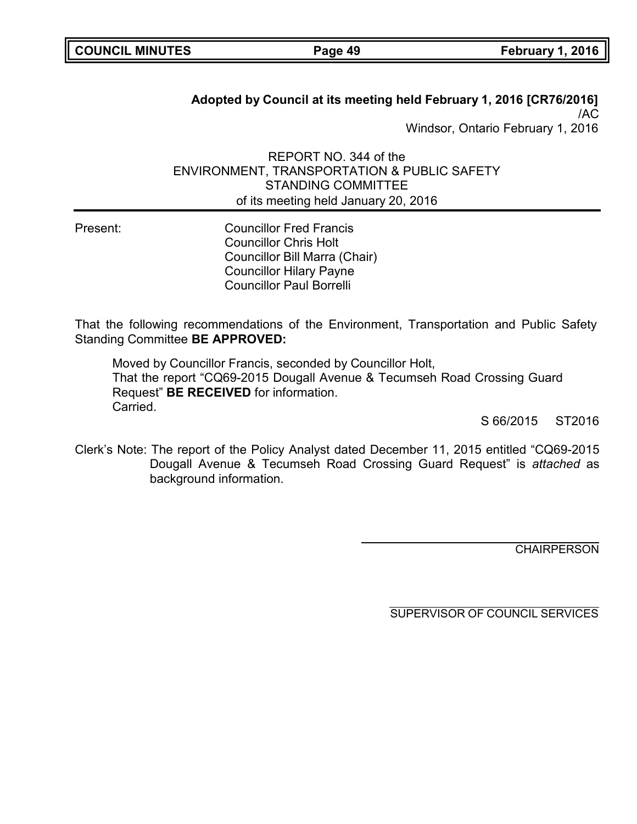| <b>COUNCIL MINUTES</b> |  |
|------------------------|--|
|------------------------|--|

**COUNCIL MINUTES Page 49 February 1, 2016**

## **Adopted by Council at its meeting held February 1, 2016 [CR76/2016]** /AC Windsor, Ontario February 1, 2016

REPORT NO. 344 of the ENVIRONMENT, TRANSPORTATION & PUBLIC SAFETY STANDING COMMITTEE of its meeting held January 20, 2016

Present: Councillor Fred Francis Councillor Chris Holt Councillor Bill Marra (Chair) Councillor Hilary Payne Councillor Paul Borrelli

That the following recommendations of the Environment, Transportation and Public Safety Standing Committee **BE APPROVED:**

Moved by Councillor Francis, seconded by Councillor Holt, That the report "CQ69-2015 Dougall Avenue & Tecumseh Road Crossing Guard Request" **BE RECEIVED** for information. Carried.

S 66/2015 ST2016

Clerk's Note: The report of the Policy Analyst dated December 11, 2015 entitled "CQ69-2015 Dougall Avenue & Tecumseh Road Crossing Guard Request" is *attached* as background information.

**CHAIRPERSON**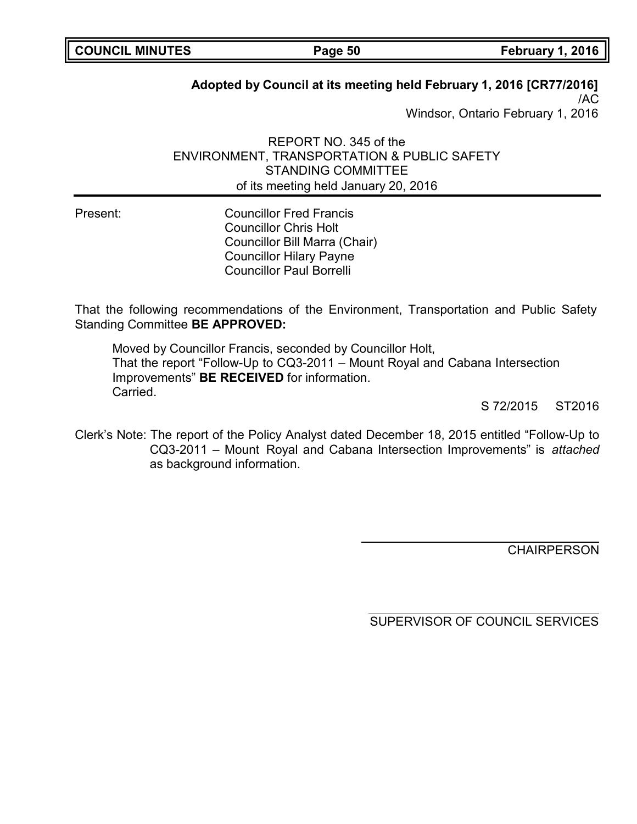| <b>COUNCIL MINUTES</b> |  |
|------------------------|--|
|------------------------|--|

## **Adopted by Council at its meeting held February 1, 2016 [CR77/2016]**

/AC Windsor, Ontario February 1, 2016

REPORT NO. 345 of the ENVIRONMENT, TRANSPORTATION & PUBLIC SAFETY STANDING COMMITTEE of its meeting held January 20, 2016

Present: Councillor Fred Francis Councillor Chris Holt Councillor Bill Marra (Chair) Councillor Hilary Payne Councillor Paul Borrelli

That the following recommendations of the Environment, Transportation and Public Safety Standing Committee **BE APPROVED:**

Moved by Councillor Francis, seconded by Councillor Holt, That the report "Follow-Up to CQ3-2011 – Mount Royal and Cabana Intersection Improvements" **BE RECEIVED** for information. Carried.

S 72/2015 ST2016

Clerk's Note: The report of the Policy Analyst dated December 18, 2015 entitled "Follow-Up to CQ3-2011 – Mount Royal and Cabana Intersection Improvements" is *attached* as background information.

**CHAIRPERSON** 

SUPERVISOR OF COUNCIL SERVICES

**COUNCIL MINUTES Page 50 February 1, 2016**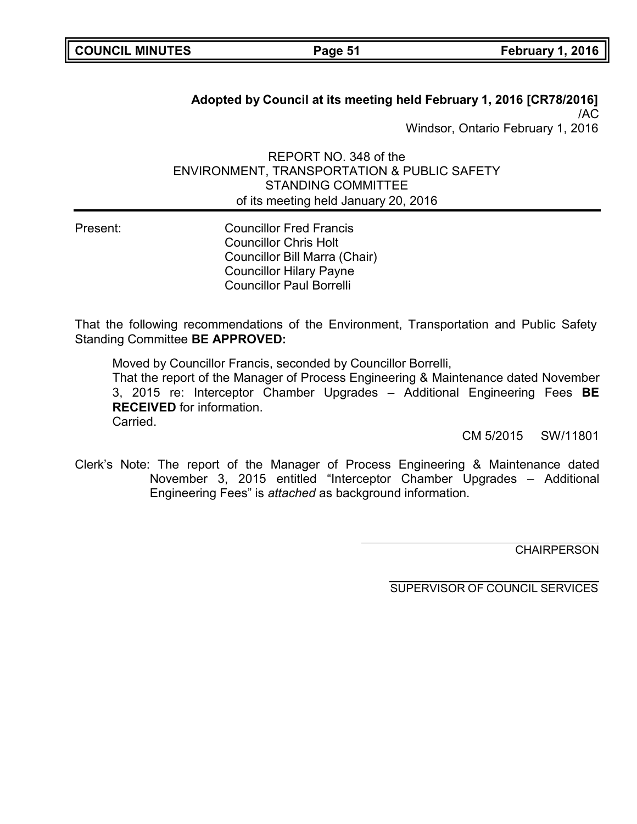| <b>COUNCIL MINUTES</b> |  |
|------------------------|--|
|------------------------|--|

**Page 51 February 1, 2016** 

## **Adopted by Council at its meeting held February 1, 2016 [CR78/2016]** /AC Windsor, Ontario February 1, 2016

REPORT NO. 348 of the ENVIRONMENT, TRANSPORTATION & PUBLIC SAFETY STANDING COMMITTEE of its meeting held January 20, 2016

Present: Councillor Fred Francis Councillor Chris Holt Councillor Bill Marra (Chair) Councillor Hilary Payne Councillor Paul Borrelli

That the following recommendations of the Environment, Transportation and Public Safety Standing Committee **BE APPROVED:**

Moved by Councillor Francis, seconded by Councillor Borrelli,

That the report of the Manager of Process Engineering & Maintenance dated November 3, 2015 re: Interceptor Chamber Upgrades – Additional Engineering Fees **BE RECEIVED** for information. Carried.

CM 5/2015 SW/11801

Clerk's Note: The report of the Manager of Process Engineering & Maintenance dated November 3, 2015 entitled "Interceptor Chamber Upgrades – Additional Engineering Fees" is *attached* as background information.

**CHAIRPERSON**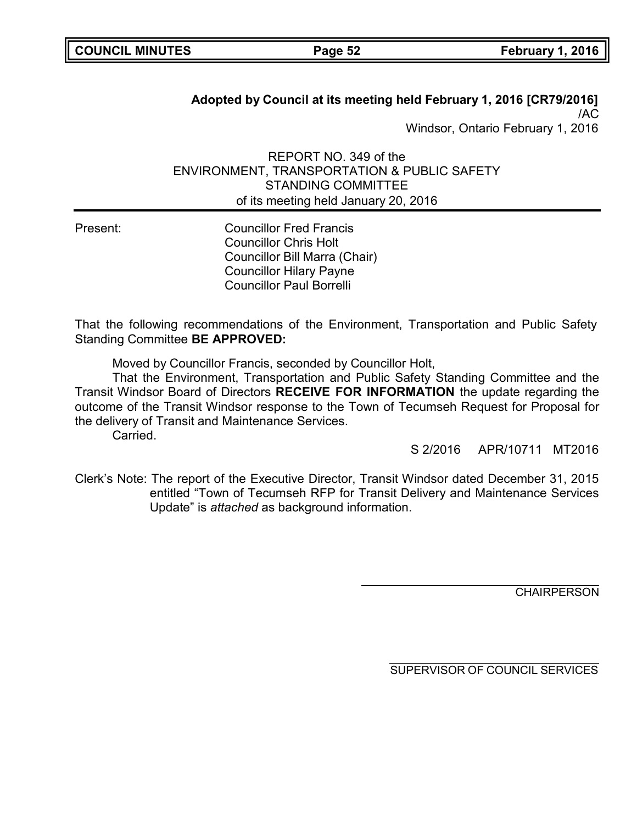| <b>COUNCIL MINUTES</b> |  |
|------------------------|--|
|------------------------|--|

**COUNCIL MINUTES Page 52 February 1, 2016**

## **Adopted by Council at its meeting held February 1, 2016 [CR79/2016]** /AC Windsor, Ontario February 1, 2016

REPORT NO. 349 of the ENVIRONMENT, TRANSPORTATION & PUBLIC SAFETY STANDING COMMITTEE of its meeting held January 20, 2016

Present: Councillor Fred Francis Councillor Chris Holt Councillor Bill Marra (Chair) Councillor Hilary Payne Councillor Paul Borrelli

That the following recommendations of the Environment, Transportation and Public Safety Standing Committee **BE APPROVED:**

Moved by Councillor Francis, seconded by Councillor Holt,

That the Environment, Transportation and Public Safety Standing Committee and the Transit Windsor Board of Directors **RECEIVE FOR INFORMATION** the update regarding the outcome of the Transit Windsor response to the Town of Tecumseh Request for Proposal for the delivery of Transit and Maintenance Services.

Carried.

S 2/2016 APR/10711 MT2016

Clerk's Note: The report of the Executive Director, Transit Windsor dated December 31, 2015 entitled "Town of Tecumseh RFP for Transit Delivery and Maintenance Services Update" is *attached* as background information.

**CHAIRPERSON**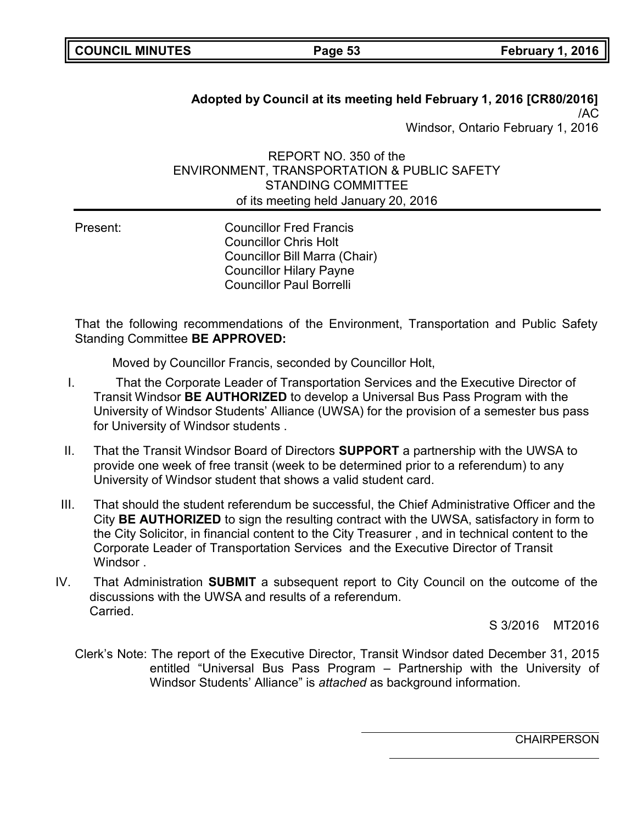## **Adopted by Council at its meeting held February 1, 2016 [CR80/2016]** /AC Windsor, Ontario February 1, 2016

REPORT NO. 350 of the ENVIRONMENT, TRANSPORTATION & PUBLIC SAFETY STANDING COMMITTEE of its meeting held January 20, 2016

Present: Councillor Fred Francis Councillor Chris Holt Councillor Bill Marra (Chair) Councillor Hilary Payne Councillor Paul Borrelli

That the following recommendations of the Environment, Transportation and Public Safety Standing Committee **BE APPROVED:**

Moved by Councillor Francis, seconded by Councillor Holt,

- I. That the Corporate Leader of Transportation Services and the Executive Director of Transit Windsor **BE AUTHORIZED** to develop a Universal Bus Pass Program with the University of Windsor Students' Alliance (UWSA) for the provision of a semester bus pass for University of Windsor students .
- II. That the Transit Windsor Board of Directors **SUPPORT** a partnership with the UWSA to provide one week of free transit (week to be determined prior to a referendum) to any University of Windsor student that shows a valid student card.
- III. That should the student referendum be successful, the Chief Administrative Officer and the City **BE AUTHORIZED** to sign the resulting contract with the UWSA, satisfactory in form to the City Solicitor, in financial content to the City Treasurer , and in technical content to the Corporate Leader of Transportation Services and the Executive Director of Transit Windsor .
- IV. That Administration **SUBMIT** a subsequent report to City Council on the outcome of the discussions with the UWSA and results of a referendum. Carried.

S 3/2016 MT2016

Clerk's Note: The report of the Executive Director, Transit Windsor dated December 31, 2015 entitled "Universal Bus Pass Program – Partnership with the University of Windsor Students' Alliance" is *attached* as background information.

**CHAIRPERSON**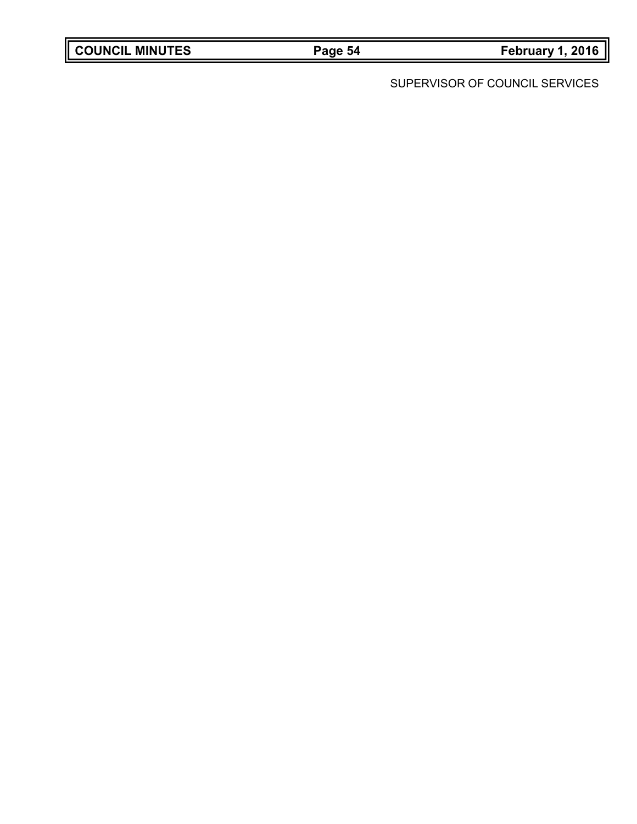|  | <b>COUNCIL MINUTES</b> |
|--|------------------------|
|--|------------------------|

**COUNCIL MINUTES Page 54 February 1, 2016**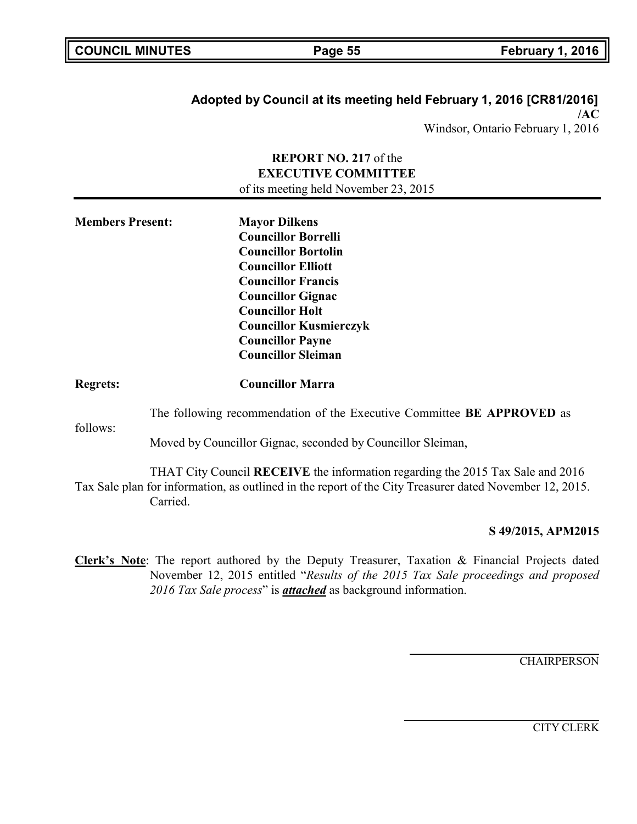|  |  |  |  | <b>COUNCIL MINUTES</b> |
|--|--|--|--|------------------------|
|--|--|--|--|------------------------|

## **Adopted by Council at its meeting held February 1, 2016 [CR81/2016] /AC**

Windsor, Ontario February 1, 2016

### **REPORT NO. 217** of the **EXECUTIVE COMMITTEE** of its meeting held November 23, 2015

| <b>Members Present:</b> | <b>Mayor Dilkens</b><br><b>Councillor Borrelli</b><br><b>Councillor Bortolin</b><br><b>Councillor Elliott</b><br><b>Councillor Francis</b><br><b>Councillor Gignac</b><br><b>Councillor Holt</b><br><b>Councillor Kusmierczyk</b><br><b>Councillor Payne</b> |  |
|-------------------------|--------------------------------------------------------------------------------------------------------------------------------------------------------------------------------------------------------------------------------------------------------------|--|
|                         | <b>Councillor Sleiman</b>                                                                                                                                                                                                                                    |  |
| <b>Regrets:</b>         | <b>Councillor Marra</b>                                                                                                                                                                                                                                      |  |
|                         | The following recommendation of the Executive Committee BE APPROVED as                                                                                                                                                                                       |  |
| follows:                | Moved by Councillor Gignac, seconded by Councillor Sleiman,                                                                                                                                                                                                  |  |
|                         | THAT City Council RECEIVE the information regarding the 2015 Tax Sale and 2016<br>Tax Sale plan for information, as outlined in the report of the City Treasurer dated November 12, 2015.<br>Carried.                                                        |  |
|                         | S 49/2015. APM201                                                                                                                                                                                                                                            |  |

### **S 49/2015, APM2015**

**Clerk's Note**: The report authored by the Deputy Treasurer, Taxation & Financial Projects dated November 12, 2015 entitled "*Results of the 2015 Tax Sale proceedings and proposed 2016 Tax Sale process*" is *attached* as background information.

**CHAIRPERSON**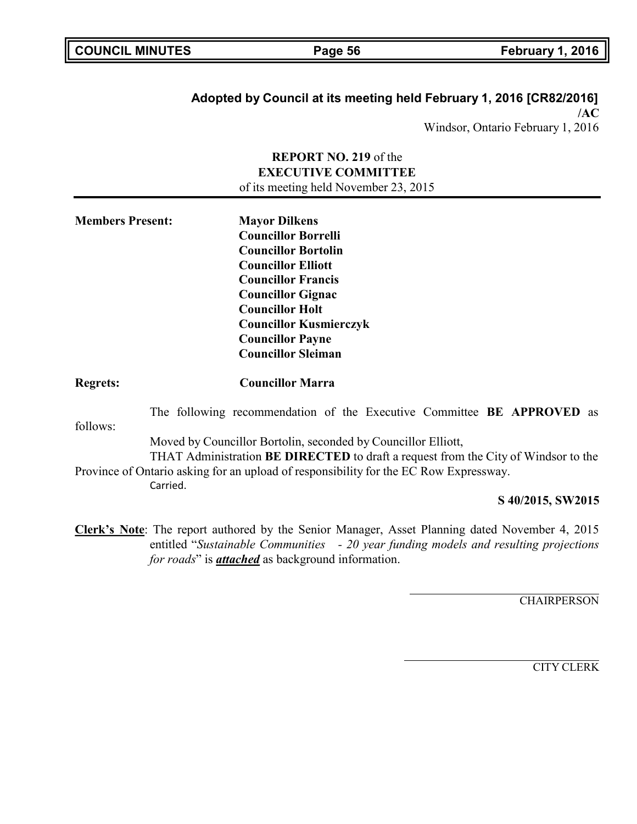| <b>COUNCIL MINUTES</b> |  |  |  |  |
|------------------------|--|--|--|--|
|------------------------|--|--|--|--|

### **Adopted by Council at its meeting held February 1, 2016 [CR82/2016] /AC**

Windsor, Ontario February 1, 2016

### **REPORT NO. 219** of the **EXECUTIVE COMMITTEE** of its meeting held November 23, 2015

| <b>Mayor Dilkens</b>          |
|-------------------------------|
| <b>Councillor Borrelli</b>    |
| <b>Councillor Bortolin</b>    |
| <b>Councillor Elliott</b>     |
| <b>Councillor Francis</b>     |
| <b>Councillor Gignac</b>      |
| <b>Councillor Holt</b>        |
| <b>Councillor Kusmierczyk</b> |
| <b>Councillor Payne</b>       |
| <b>Councillor Sleiman</b>     |
|                               |

### **Regrets: Councillor Marra**

follows: The following recommendation of the Executive Committee **BE APPROVED** as

Moved by Councillor Bortolin, seconded by Councillor Elliott,

THAT Administration **BE DIRECTED** to draft a request from the City of Windsor to the Province of Ontario asking for an upload of responsibility for the EC Row Expressway.

Carried.

### **S 40/2015, SW2015**

**Clerk's Note**: The report authored by the Senior Manager, Asset Planning dated November 4, 2015 entitled "*Sustainable Communities - 20 year funding models and resulting projections for roads*" is *attached* as background information.

**CHAIRPERSON**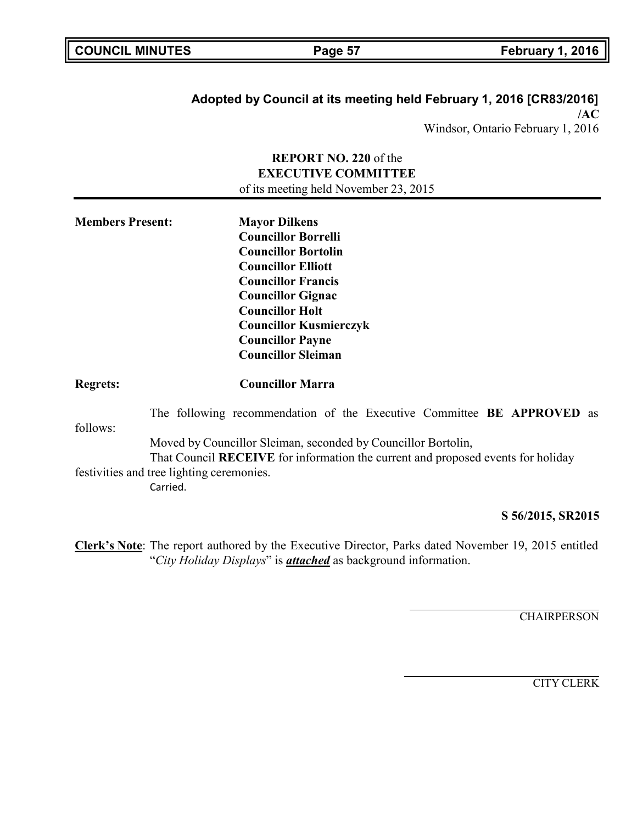| <b>COUNCIL MINUTES</b> |  |  |
|------------------------|--|--|
|------------------------|--|--|

## **Adopted by Council at its meeting held February 1, 2016 [CR83/2016] /AC**

Windsor, Ontario February 1, 2016

### **REPORT NO. 220** of the **EXECUTIVE COMMITTEE** of its meeting held November 23, 2015

| <b>Members Present:</b> | <b>Mayor Dilkens</b>          |  |
|-------------------------|-------------------------------|--|
|                         | <b>Councillor Borrelli</b>    |  |
|                         | <b>Councillor Bortolin</b>    |  |
|                         | <b>Councillor Elliott</b>     |  |
|                         | <b>Councillor Francis</b>     |  |
|                         | <b>Councillor Gignac</b>      |  |
|                         | <b>Councillor Holt</b>        |  |
|                         | <b>Councillor Kusmierczyk</b> |  |
|                         | <b>Councillor Payne</b>       |  |
|                         | <b>Councillor Sleiman</b>     |  |
|                         |                               |  |

### **Regrets: Councillor Marra**

follows: The following recommendation of the Executive Committee **BE APPROVED** as Moved by Councillor Sleiman, seconded by Councillor Bortolin, That Council **RECEIVE** for information the current and proposed events for holiday festivities and tree lighting ceremonies. Carried.

### **S 56/2015, SR2015**

**Clerk's Note**: The report authored by the Executive Director, Parks dated November 19, 2015 entitled "*City Holiday Displays*" is *attached* as background information.

**CHAIRPERSON**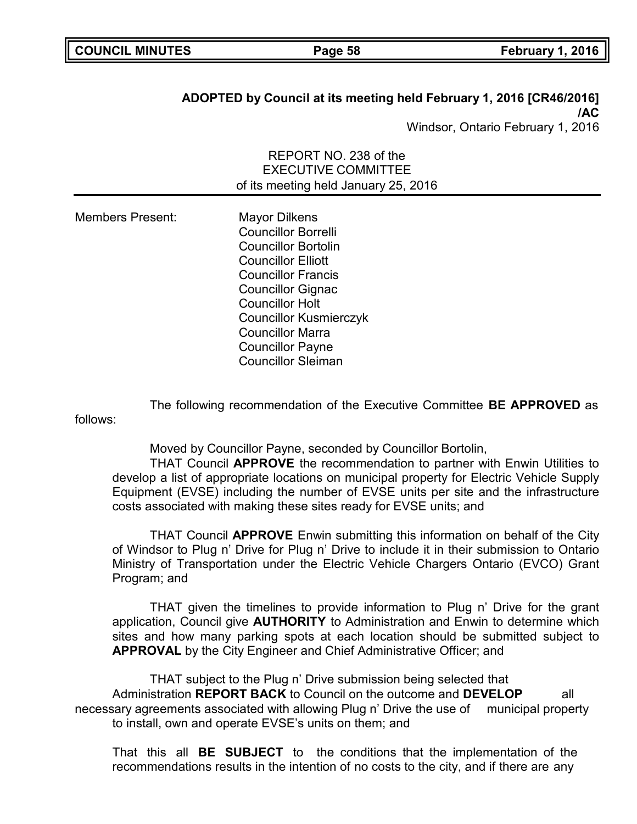|  | <b>COUNCIL MINUTES</b> |
|--|------------------------|
|--|------------------------|

## **ADOPTED by Council at its meeting held February 1, 2016 [CR46/2016] /AC**

Windsor, Ontario February 1, 2016

REPORT NO. 238 of the EXECUTIVE COMMITTEE of its meeting held January 25, 2016

| <b>Members Present:</b> | <b>Mayor Dilkens</b>          |
|-------------------------|-------------------------------|
|                         | <b>Councillor Borrelli</b>    |
|                         | <b>Councillor Bortolin</b>    |
|                         | <b>Councillor Elliott</b>     |
|                         | <b>Councillor Francis</b>     |
|                         | <b>Councillor Gignac</b>      |
|                         | <b>Councillor Holt</b>        |
|                         | <b>Councillor Kusmierczyk</b> |
|                         | <b>Councillor Marra</b>       |
|                         | <b>Councillor Payne</b>       |
|                         | <b>Councillor Sleiman</b>     |

The following recommendation of the Executive Committee **BE APPROVED** as follows:

Moved by Councillor Payne, seconded by Councillor Bortolin,

THAT Council **APPROVE** the recommendation to partner with Enwin Utilities to develop a list of appropriate locations on municipal property for Electric Vehicle Supply Equipment (EVSE) including the number of EVSE units per site and the infrastructure costs associated with making these sites ready for EVSE units; and

THAT Council **APPROVE** Enwin submitting this information on behalf of the City of Windsor to Plug n' Drive for Plug n' Drive to include it in their submission to Ontario Ministry of Transportation under the Electric Vehicle Chargers Ontario (EVCO) Grant Program; and

THAT given the timelines to provide information to Plug n' Drive for the grant application, Council give **AUTHORITY** to Administration and Enwin to determine which sites and how many parking spots at each location should be submitted subject to **APPROVAL** by the City Engineer and Chief Administrative Officer; and

THAT subject to the Plug n' Drive submission being selected that Administration **REPORT BACK** to Council on the outcome and **DEVELOP** all necessary agreements associated with allowing Plug n' Drive the use of municipal property to install, own and operate EVSE's units on them; and

That this all **BE SUBJECT** to the conditions that the implementation of the recommendations results in the intention of no costs to the city, and if there are any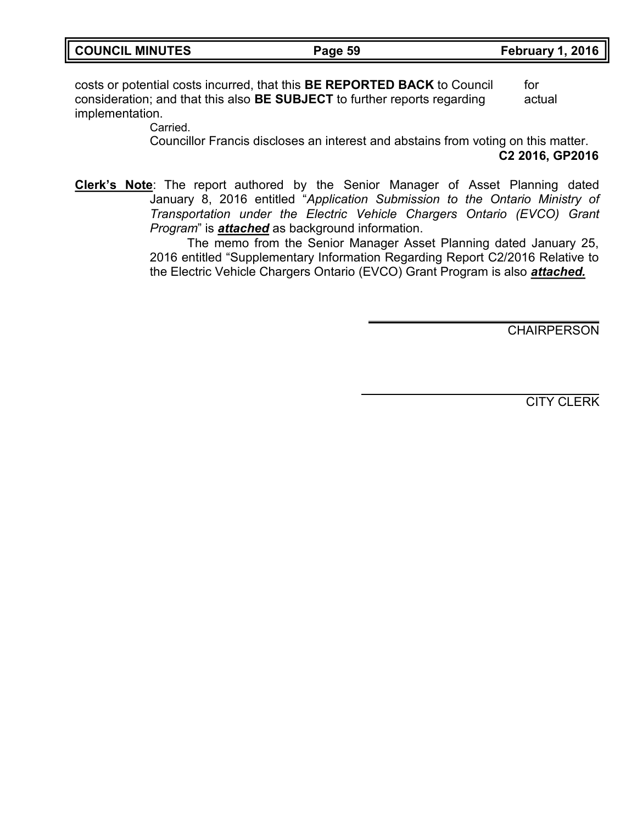| <b>COUNCIL MINUTES</b> |  |  |
|------------------------|--|--|
|------------------------|--|--|

costs or potential costs incurred, that this **BE REPORTED BACK** to Council for consideration; and that this also **BE SUBJECT** to further reports regarding actual implementation.

Carried.

Councillor Francis discloses an interest and abstains from voting on this matter. **C2 2016, GP2016**

**Clerk's Note**: The report authored by the Senior Manager of Asset Planning dated January 8, 2016 entitled "*Application Submission to the Ontario Ministry of Transportation under the Electric Vehicle Chargers Ontario (EVCO) Grant Program*" is *attached* as background information.

> The memo from the Senior Manager Asset Planning dated January 25, 2016 entitled "Supplementary Information Regarding Report C2/2016 Relative to the Electric Vehicle Chargers Ontario (EVCO) Grant Program is also *attached.*

> > CHAIRPERSON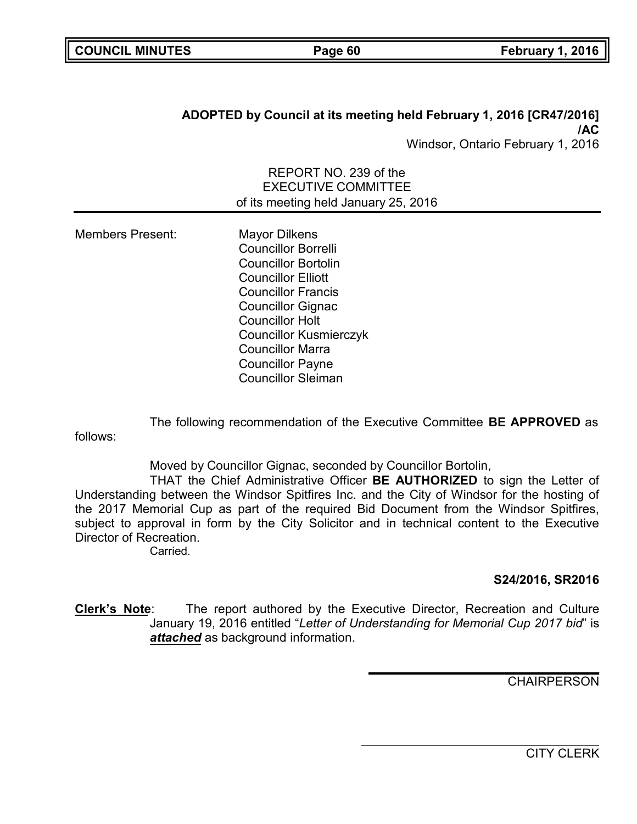# **ADOPTED by Council at its meeting held February 1, 2016 [CR47/2016] /AC**

Windsor, Ontario February 1, 2016

REPORT NO. 239 of the EXECUTIVE COMMITTEE of its meeting held January 25, 2016

Members Present: Mayor Dilkens Councillor Borrelli Councillor Bortolin Councillor Elliott Councillor Francis Councillor Gignac Councillor Holt Councillor Kusmierczyk Councillor Marra Councillor Payne Councillor Sleiman

The following recommendation of the Executive Committee **BE APPROVED** as follows:

Moved by Councillor Gignac, seconded by Councillor Bortolin,

THAT the Chief Administrative Officer **BE AUTHORIZED** to sign the Letter of Understanding between the Windsor Spitfires Inc. and the City of Windsor for the hosting of the 2017 Memorial Cup as part of the required Bid Document from the Windsor Spitfires, subject to approval in form by the City Solicitor and in technical content to the Executive Director of Recreation.

Carried.

## **S24/2016, SR2016**

**Clerk's Note**: The report authored by the Executive Director, Recreation and Culture January 19, 2016 entitled "*Letter of Understanding for Memorial Cup 2017 bid*" is *attached* as background information.

**CHAIRPERSON**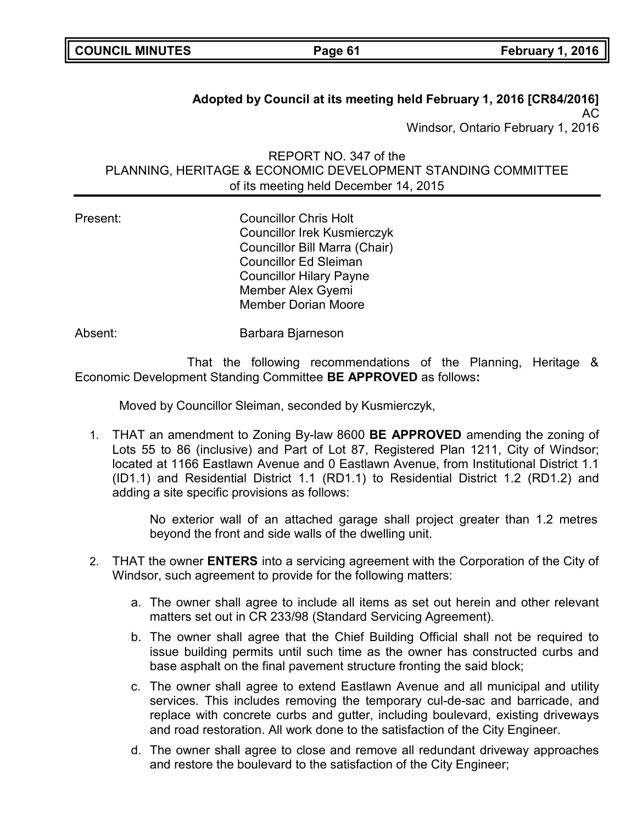| <b>COUNCIL MINUTES</b> |  |
|------------------------|--|
|------------------------|--|

# **Adopted by Council at its meeting held February 1, 2016 [CR84/2016]** AC

Windsor, Ontario February 1, 2016

REPORT NO. 347 of the PLANNING, HERITAGE & ECONOMIC DEVELOPMENT STANDING COMMITTEE of its meeting held December 14, 2015

Present: Councillor Chris Holt Councillor Irek Kusmierczyk Councillor Bill Marra (Chair) Councillor Ed Sleiman Councillor Hilary Payne Member Alex Gyemi Member Dorian Moore

Absent: Barbara Bjarneson

That the following recommendations of the Planning, Heritage & Economic Development Standing Committee **BE APPROVED** as follows**:**

Moved by Councillor Sleiman, seconded by Kusmierczyk,

1. THAT an amendment to Zoning By-law 8600 **BE APPROVED** amending the zoning of Lots 55 to 86 (inclusive) and Part of Lot 87, Registered Plan 1211, City of Windsor; located at 1166 Eastlawn Avenue and 0 Eastlawn Avenue, from Institutional District 1.1 (ID1.1) and Residential District 1.1 (RD1.1) to Residential District 1.2 (RD1.2) and adding a site specific provisions as follows:

> No exterior wall of an attached garage shall project greater than 1.2 metres beyond the front and side walls of the dwelling unit.

- 2. THAT the owner **ENTERS** into a servicing agreement with the Corporation of the City of Windsor, such agreement to provide for the following matters:
	- a. The owner shall agree to include all items as set out herein and other relevant matters set out in CR 233/98 (Standard Servicing Agreement).
	- b. The owner shall agree that the Chief Building Official shall not be required to issue building permits until such time as the owner has constructed curbs and base asphalt on the final pavement structure fronting the said block;
	- c. The owner shall agree to extend Eastlawn Avenue and all municipal and utility services. This includes removing the temporary cul-de-sac and barricade, and replace with concrete curbs and gutter, including boulevard, existing driveways and road restoration. All work done to the satisfaction of the City Engineer.
	- d. The owner shall agree to close and remove all redundant driveway approaches and restore the boulevard to the satisfaction of the City Engineer;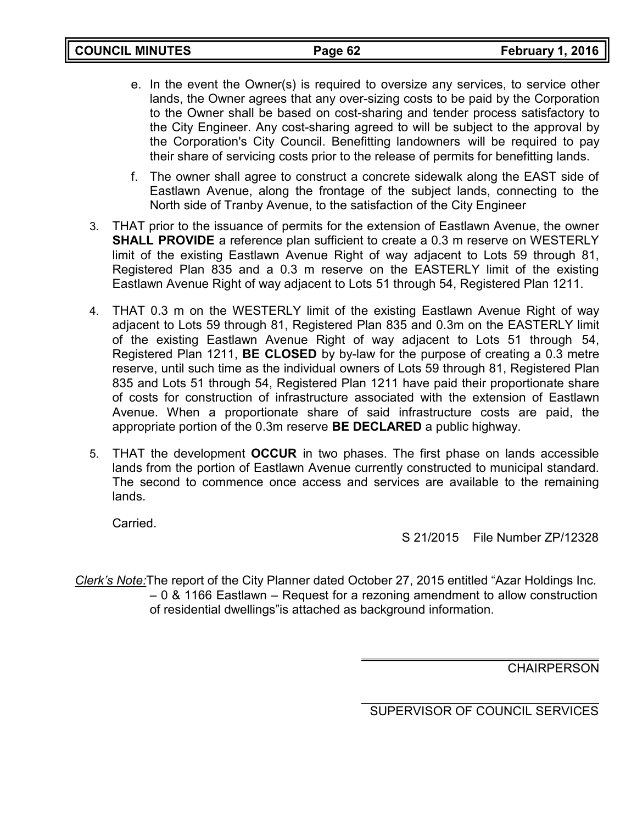|  | <b>COUNCIL MINUTES</b> |  |  |
|--|------------------------|--|--|
|--|------------------------|--|--|

- e. In the event the Owner(s) is required to oversize any services, to service other lands, the Owner agrees that any over-sizing costs to be paid by the Corporation to the Owner shall be based on cost-sharing and tender process satisfactory to the City Engineer. Any cost-sharing agreed to will be subject to the approval by the Corporation's City Council. Benefitting landowners will be required to pay their share of servicing costs prior to the release of permits for benefitting lands.
- f. The owner shall agree to construct a concrete sidewalk along the EAST side of Eastlawn Avenue, along the frontage of the subject lands, connecting to the North side of Tranby Avenue, to the satisfaction of the City Engineer
- 3. THAT prior to the issuance of permits for the extension of Eastlawn Avenue, the owner **SHALL PROVIDE** a reference plan sufficient to create a 0.3 m reserve on WESTERLY limit of the existing Eastlawn Avenue Right of way adjacent to Lots 59 through 81, Registered Plan 835 and a 0.3 m reserve on the EASTERLY limit of the existing Eastlawn Avenue Right of way adjacent to Lots 51 through 54, Registered Plan 1211.
- 4. THAT 0.3 m on the WESTERLY limit of the existing Eastlawn Avenue Right of way adjacent to Lots 59 through 81, Registered Plan 835 and 0.3m on the EASTERLY limit of the existing Eastlawn Avenue Right of way adjacent to Lots 51 through 54, Registered Plan 1211, **BE CLOSED** by by-law for the purpose of creating a 0.3 metre reserve, until such time as the individual owners of Lots 59 through 81, Registered Plan 835 and Lots 51 through 54, Registered Plan 1211 have paid their proportionate share of costs for construction of infrastructure associated with the extension of Eastlawn Avenue. When a proportionate share of said infrastructure costs are paid, the appropriate portion of the 0.3m reserve **BE DECLARED** a public highway.
- 5. THAT the development **OCCUR** in two phases. The first phase on lands accessible lands from the portion of Eastlawn Avenue currently constructed to municipal standard. The second to commence once access and services are available to the remaining lands.

Carried.

S 21/2015 File Number ZP/12328

*Clerk's Note:*The report of the City Planner dated October 27, 2015 entitled "Azar Holdings Inc. – 0 & 1166 Eastlawn – Request for a rezoning amendment to allow construction of residential dwellings"is attached as background information.

**CHAIRPERSON**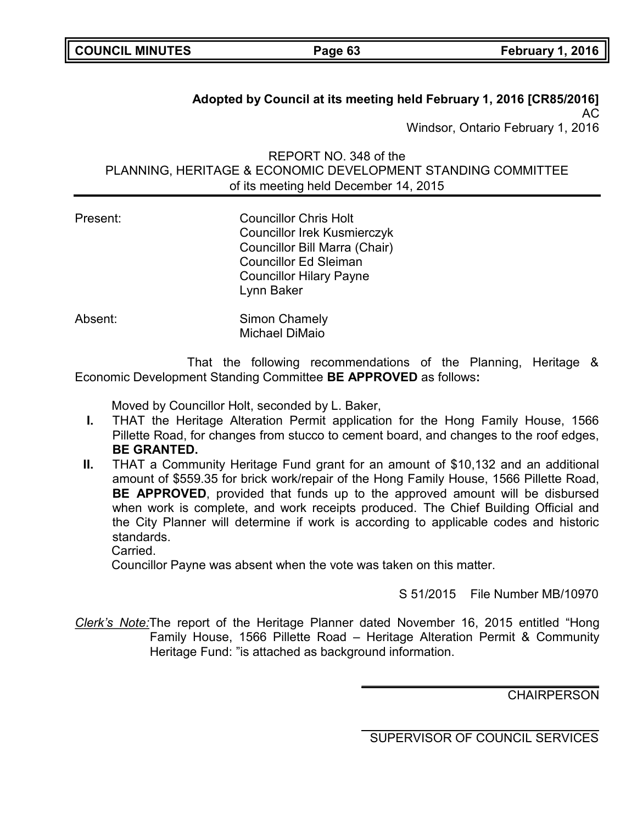# **Adopted by Council at its meeting held February 1, 2016 [CR85/2016]** AC

Windsor, Ontario February 1, 2016

REPORT NO. 348 of the PLANNING, HERITAGE & ECONOMIC DEVELOPMENT STANDING COMMITTEE of its meeting held December 14, 2015

| Present: | <b>Councillor Chris Holt</b><br><b>Councillor Irek Kusmierczyk</b><br>Councillor Bill Marra (Chair)<br><b>Councillor Ed Sleiman</b><br><b>Councillor Hilary Payne</b> |
|----------|-----------------------------------------------------------------------------------------------------------------------------------------------------------------------|
|          | Lynn Baker                                                                                                                                                            |
| Absent:  | Simon Chamely                                                                                                                                                         |

That the following recommendations of the Planning, Heritage & Economic Development Standing Committee **BE APPROVED** as follows**:**

Moved by Councillor Holt, seconded by L. Baker,

Michael DiMaio

- **I.** THAT the Heritage Alteration Permit application for the Hong Family House, 1566 Pillette Road, for changes from stucco to cement board, and changes to the roof edges, **BE GRANTED.**
- **II.** THAT a Community Heritage Fund grant for an amount of \$10,132 and an additional amount of \$559.35 for brick work/repair of the Hong Family House, 1566 Pillette Road, **BE APPROVED**, provided that funds up to the approved amount will be disbursed when work is complete, and work receipts produced. The Chief Building Official and the City Planner will determine if work is according to applicable codes and historic standards.

Carried.

Councillor Payne was absent when the vote was taken on this matter.

S 51/2015 File Number MB/10970

*Clerk's Note:*The report of the Heritage Planner dated November 16, 2015 entitled "Hong Family House, 1566 Pillette Road – Heritage Alteration Permit & Community Heritage Fund: "is attached as background information.

**CHAIRPERSON**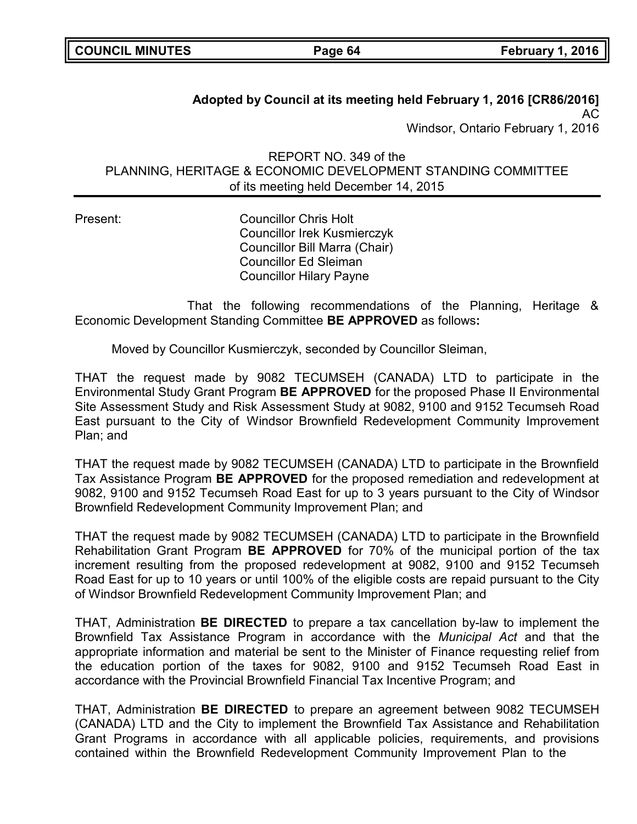# **Adopted by Council at its meeting held February 1, 2016 [CR86/2016]** AC

Windsor, Ontario February 1, 2016

REPORT NO. 349 of the PLANNING, HERITAGE & ECONOMIC DEVELOPMENT STANDING COMMITTEE of its meeting held December 14, 2015

Present: Councillor Chris Holt Councillor Irek Kusmierczyk Councillor Bill Marra (Chair) Councillor Ed Sleiman Councillor Hilary Payne

That the following recommendations of the Planning, Heritage & Economic Development Standing Committee **BE APPROVED** as follows**:**

Moved by Councillor Kusmierczyk, seconded by Councillor Sleiman,

THAT the request made by 9082 TECUMSEH (CANADA) LTD to participate in the Environmental Study Grant Program **BE APPROVED** for the proposed Phase II Environmental Site Assessment Study and Risk Assessment Study at 9082, 9100 and 9152 Tecumseh Road East pursuant to the City of Windsor Brownfield Redevelopment Community Improvement Plan; and

THAT the request made by 9082 TECUMSEH (CANADA) LTD to participate in the Brownfield Tax Assistance Program **BE APPROVED** for the proposed remediation and redevelopment at 9082, 9100 and 9152 Tecumseh Road East for up to 3 years pursuant to the City of Windsor Brownfield Redevelopment Community Improvement Plan; and

THAT the request made by 9082 TECUMSEH (CANADA) LTD to participate in the Brownfield Rehabilitation Grant Program **BE APPROVED** for 70% of the municipal portion of the tax increment resulting from the proposed redevelopment at 9082, 9100 and 9152 Tecumseh Road East for up to 10 years or until 100% of the eligible costs are repaid pursuant to the City of Windsor Brownfield Redevelopment Community Improvement Plan; and

THAT, Administration **BE DIRECTED** to prepare a tax cancellation by-law to implement the Brownfield Tax Assistance Program in accordance with the *Municipal Act* and that the appropriate information and material be sent to the Minister of Finance requesting relief from the education portion of the taxes for 9082, 9100 and 9152 Tecumseh Road East in accordance with the Provincial Brownfield Financial Tax Incentive Program; and

THAT, Administration **BE DIRECTED** to prepare an agreement between 9082 TECUMSEH (CANADA) LTD and the City to implement the Brownfield Tax Assistance and Rehabilitation Grant Programs in accordance with all applicable policies, requirements, and provisions contained within the Brownfield Redevelopment Community Improvement Plan to the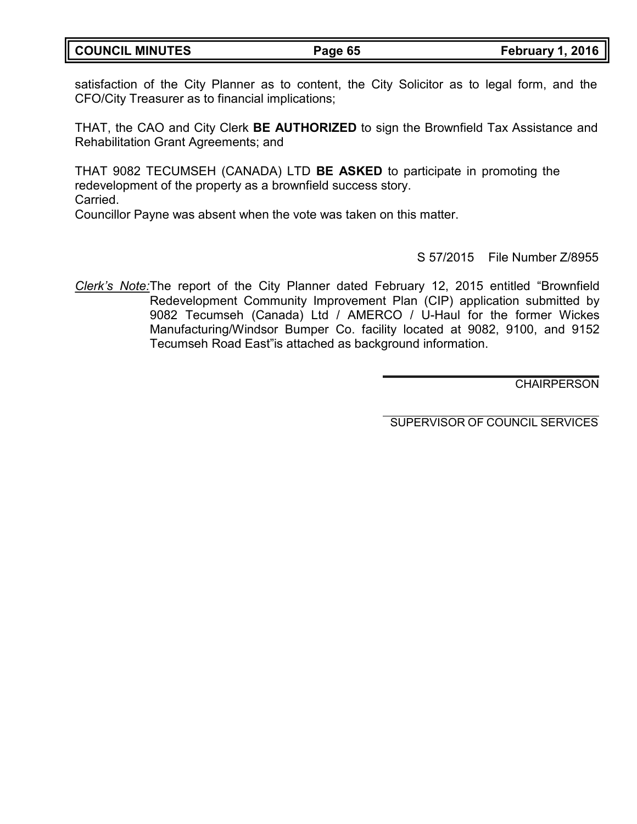| <b>COUNCIL MINUTES</b> |
|------------------------|
|------------------------|

satisfaction of the City Planner as to content, the City Solicitor as to legal form, and the CFO/City Treasurer as to financial implications;

THAT, the CAO and City Clerk **BE AUTHORIZED** to sign the Brownfield Tax Assistance and Rehabilitation Grant Agreements; and

THAT 9082 TECUMSEH (CANADA) LTD **BE ASKED** to participate in promoting the redevelopment of the property as a brownfield success story. Carried. Councillor Payne was absent when the vote was taken on this matter.

S 57/2015 File Number Z/8955

*Clerk's Note:*The report of the City Planner dated February 12, 2015 entitled "Brownfield Redevelopment Community Improvement Plan (CIP) application submitted by 9082 Tecumseh (Canada) Ltd / AMERCO / U-Haul for the former Wickes Manufacturing/Windsor Bumper Co. facility located at 9082, 9100, and 9152 Tecumseh Road East"is attached as background information.

**CHAIRPERSON**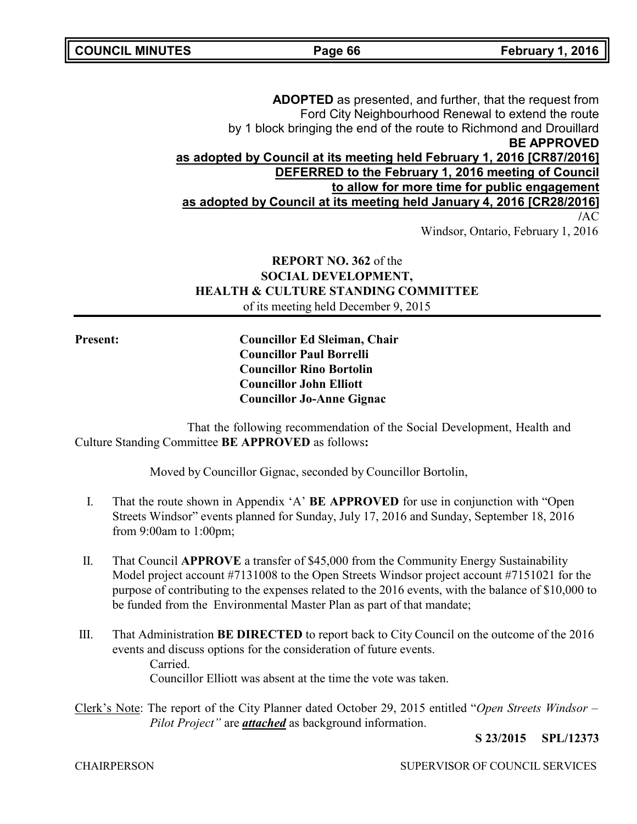**ADOPTED** as presented, and further, that the request from Ford City Neighbourhood Renewal to extend the route by 1 block bringing the end of the route to Richmond and Drouillard **BE APPROVED as adopted by Council at its meeting held February 1, 2016 [CR87/2016] DEFERRED to the February 1, 2016 meeting of Council to allow for more time for public engagement as adopted by Council at its meeting held January 4, 2016 [CR28/2016] /**AC Windsor, Ontario, February 1, 2016

## **REPORT NO. 362** of the **SOCIAL DEVELOPMENT, HEALTH & CULTURE STANDING COMMITTEE** of its meeting held December 9, 2015

**Present: Councillor Ed Sleiman, Chair Councillor Paul Borrelli Councillor Rino Bortolin Councillor John Elliott Councillor Jo-Anne Gignac**

That the following recommendation of the Social Development, Health and Culture Standing Committee **BE APPROVED** as follows**:**

Moved by Councillor Gignac, seconded by Councillor Bortolin,

- I. That the route shown in Appendix 'A' **BE APPROVED** for use in conjunction with "Open Streets Windsor" events planned for Sunday, July 17, 2016 and Sunday, September 18, 2016 from 9:00am to 1:00pm;
- II. That Council **APPROVE** a transfer of \$45,000 from the Community Energy Sustainability Model project account #7131008 to the Open Streets Windsor project account #7151021 for the purpose of contributing to the expenses related to the 2016 events, with the balance of \$10,000 to be funded from the Environmental Master Plan as part of that mandate;
- III. That Administration **BE DIRECTED** to report back to City Council on the outcome of the 2016 events and discuss options for the consideration of future events. Carried. Councillor Elliott was absent at the time the vote was taken.
- Clerk's Note: The report of the City Planner dated October 29, 2015 entitled "*Open Streets Windsor – Pilot Project"* are *attached* as background information.

**S 23/2015 SPL/12373**

CHAIRPERSON SUPERVISOR OF COUNCIL SERVICES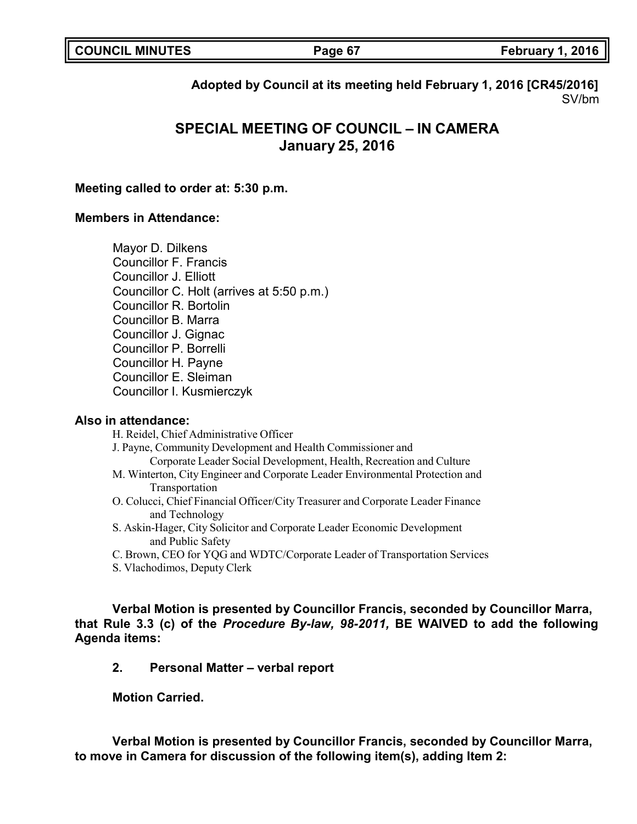|  | <b>COUNCIL MINUTES</b> |
|--|------------------------|
|--|------------------------|

**COUNCIL MINUTES Page 67 February 1, 2016**

**Adopted by Council at its meeting held February 1, 2016 [CR45/2016]** SV/bm

# **SPECIAL MEETING OF COUNCIL – IN CAMERA January 25, 2016**

### **Meeting called to order at: 5:30 p.m.**

### **Members in Attendance:**

Mayor D. Dilkens Councillor F. Francis Councillor J. Elliott Councillor C. Holt (arrives at 5:50 p.m.) Councillor R. Bortolin Councillor B. Marra Councillor J. Gignac Councillor P. Borrelli Councillor H. Payne Councillor E. Sleiman Councillor I. Kusmierczyk

### **Also in attendance:**

H. Reidel, Chief Administrative Officer

- J. Payne, Community Development and Health Commissioner and Corporate Leader Social Development, Health, Recreation and Culture
- M. Winterton, City Engineer and Corporate Leader Environmental Protection and Transportation
- O. Colucci, Chief Financial Officer/City Treasurer and Corporate Leader Finance and Technology
- S. Askin-Hager, City Solicitor and Corporate Leader Economic Development and Public Safety
- C. Brown, CEO for YQG and WDTC/Corporate Leader of Transportation Services
- S. Vlachodimos, Deputy Clerk

**Verbal Motion is presented by Councillor Francis, seconded by Councillor Marra, that Rule 3.3 (c) of the** *Procedure By-law, 98-2011,* **BE WAIVED to add the following Agenda items:**

### **2. Personal Matter – verbal report**

**Motion Carried.**

**Verbal Motion is presented by Councillor Francis, seconded by Councillor Marra, to move in Camera for discussion of the following item(s), adding Item 2:**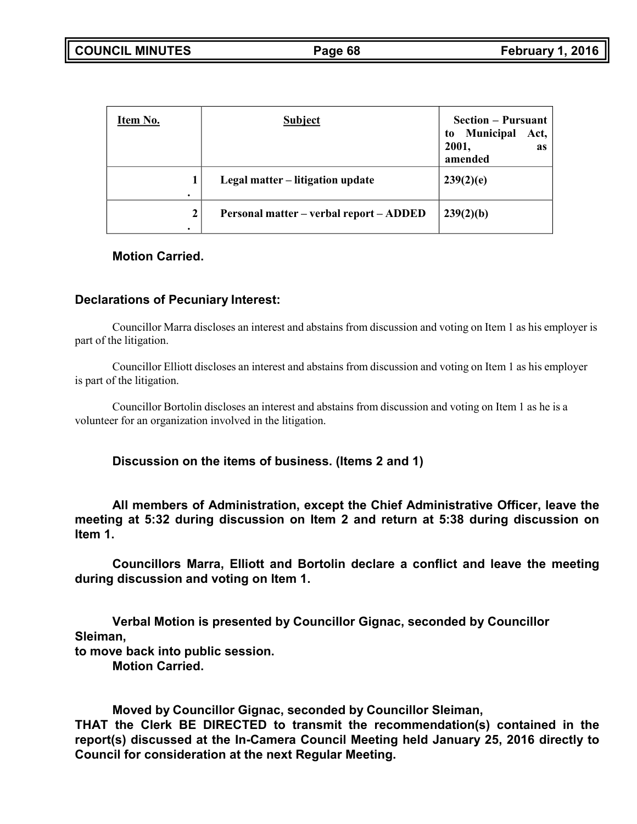| Item No. | <b>Subject</b>                          | <b>Section – Pursuant</b><br><b>Municipal</b><br>Act,<br>to<br>2001,<br><b>as</b><br>amended |
|----------|-----------------------------------------|----------------------------------------------------------------------------------------------|
|          | Legal matter – litigation update        | 239(2)(e)                                                                                    |
| 2        | Personal matter – verbal report – ADDED | 239(2)(b)                                                                                    |

## **Motion Carried.**

### **Declarations of Pecuniary Interest:**

Councillor Marra discloses an interest and abstains from discussion and voting on Item 1 as his employer is part of the litigation.

Councillor Elliott discloses an interest and abstains from discussion and voting on Item 1 as his employer is part of the litigation.

Councillor Bortolin discloses an interest and abstains from discussion and voting on Item 1 as he is a volunteer for an organization involved in the litigation.

**Discussion on the items of business. (Items 2 and 1)**

**All members of Administration, except the Chief Administrative Officer, leave the meeting at 5:32 during discussion on Item 2 and return at 5:38 during discussion on Item 1.**

**Councillors Marra, Elliott and Bortolin declare a conflict and leave the meeting during discussion and voting on Item 1.**

**Verbal Motion is presented by Councillor Gignac, seconded by Councillor Sleiman, to move back into public session.**

**Motion Carried.**

**Moved by Councillor Gignac, seconded by Councillor Sleiman,**

**THAT the Clerk BE DIRECTED to transmit the recommendation(s) contained in the report(s) discussed at the In-Camera Council Meeting held January 25, 2016 directly to Council for consideration at the next Regular Meeting.**